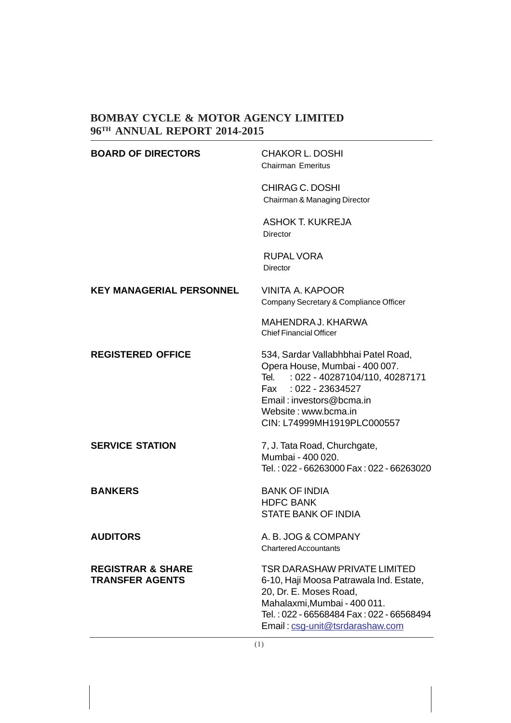| <b>BOARD OF DIRECTORS</b>                              | <b>CHAKOR L. DOSHI</b><br><b>Chairman Emeritus</b>                                                                                                                                                                        |
|--------------------------------------------------------|---------------------------------------------------------------------------------------------------------------------------------------------------------------------------------------------------------------------------|
|                                                        | CHIRAG C. DOSHI<br>Chairman & Managing Director                                                                                                                                                                           |
|                                                        | <b>ASHOK T. KUKREJA</b><br><b>Director</b>                                                                                                                                                                                |
|                                                        | <b>RUPAL VORA</b><br>Director                                                                                                                                                                                             |
| <b>KEY MANAGERIAL PERSONNEL</b>                        | VINITA A. KAPOOR<br>Company Secretary & Compliance Officer                                                                                                                                                                |
|                                                        | MAHENDRA J. KHARWA<br><b>Chief Financial Officer</b>                                                                                                                                                                      |
| <b>REGISTERED OFFICE</b>                               | 534, Sardar Vallabhbhai Patel Road,<br>Opera House, Mumbai - 400 007.<br>Tel.<br>: 022 - 40287104/110, 40287171<br>Fax : 022 - 23634527<br>Email: investors@bcma.in<br>Website: www.bcma.in<br>CIN: L74999MH1919PLC000557 |
| <b>SERVICE STATION</b>                                 | 7, J. Tata Road, Churchgate,<br>Mumbai - 400 020.<br>Tel.: 022 - 66263000 Fax: 022 - 66263020                                                                                                                             |
| <b>BANKERS</b>                                         | <b>BANK OF INDIA</b><br><b>HDFC BANK</b><br><b>STATE BANK OF INDIA</b>                                                                                                                                                    |
| <b>AUDITORS</b>                                        | A. B. JOG & COMPANY<br><b>Chartered Accountants</b>                                                                                                                                                                       |
| <b>REGISTRAR &amp; SHARE</b><br><b>TRANSFER AGENTS</b> | <b>TSR DARASHAW PRIVATE LIMITED</b><br>6-10, Haji Moosa Patrawala Ind. Estate,<br>20, Dr. E. Moses Road,<br>Mahalaxmi, Mumbai - 400 011.<br>Tel.: 022 - 66568484 Fax: 022 - 66568494<br>Email: csg-unit@tsrdarashaw.com   |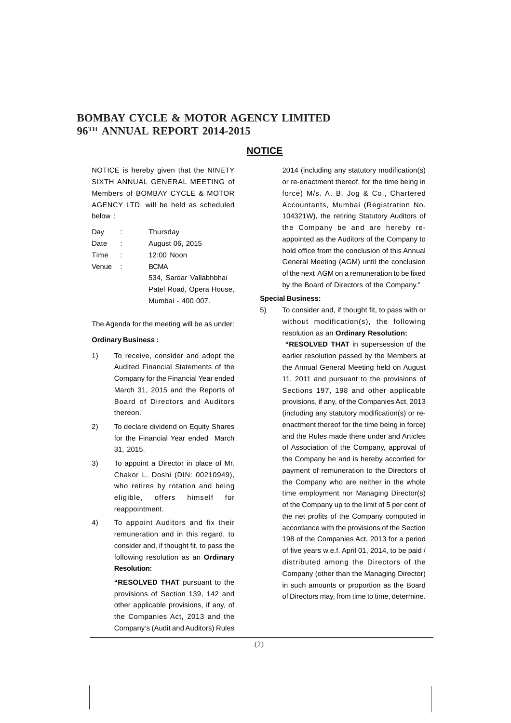### **NOTICE**

NOTICE is hereby given that the NINETY SIXTH ANNUAL GENERAL MEETING of Members of BOMBAY CYCLE & MOTOR AGENCY LTD. will be held as scheduled below :

| Day   | Thursday                 |
|-------|--------------------------|
| Date  | August 06, 2015          |
| Time  | 12:00 Noon               |
| Venue | <b>BCMA</b>              |
|       | 534, Sardar Vallabhbhai  |
|       | Patel Road, Opera House, |
|       | Mumbai - 400 007.        |
|       |                          |

The Agenda for the meeting will be as under:

### **Ordinary Business :**

- 1) To receive, consider and adopt the Audited Financial Statements of the Company for the Financial Year ended March 31, 2015 and the Reports of Board of Directors and Auditors thereon.
- 2) To declare dividend on Equity Shares for the Financial Year ended March 31, 2015.
- 3) To appoint a Director in place of Mr. Chakor L. Doshi (DIN: 00210949), who retires by rotation and being eligible, offers himself for reappointment.
- 4) To appoint Auditors and fix their remuneration and in this regard, to consider and, if thought fit, to pass the following resolution as an **Ordinary Resolution:**

**"RESOLVED THAT** pursuant to the provisions of Section 139, 142 and other applicable provisions, if any, of the Companies Act, 2013 and the Company's (Audit and Auditors) Rules

2014 (including any statutory modification(s) or re-enactment thereof, for the time being in force) M/s. A. B. Jog & Co., Chartered Accountants, Mumbai (Registration No. 104321W), the retiring Statutory Auditors of the Company be and are hereby reappointed as the Auditors of the Company to hold office from the conclusion of this Annual General Meeting (AGM) until the conclusion of the next AGM on a remuneration to be fixed by the Board of Directors of the Company."

### **Special Business:**

5) To consider and, if thought fit, to pass with or without modification(s), the following resolution as an **Ordinary Resolution:**

> **"RESOLVED THAT** in supersession of the earlier resolution passed by the Members at the Annual General Meeting held on August 11, 2011 and pursuant to the provisions of Sections 197, 198 and other applicable provisions, if any, of the Companies Act, 2013 (including any statutory modification(s) or reenactment thereof for the time being in force) and the Rules made there under and Articles of Association of the Company, approval of the Company be and is hereby accorded for payment of remuneration to the Directors of the Company who are neither in the whole time employment nor Managing Director(s) of the Company up to the limit of 5 per cent of the net profits of the Company computed in accordance with the provisions of the Section 198 of the Companies Act, 2013 for a period of five years w.e.f. April 01, 2014, to be paid / distributed among the Directors of the Company (other than the Managing Director) in such amounts or proportion as the Board of Directors may, from time to time, determine.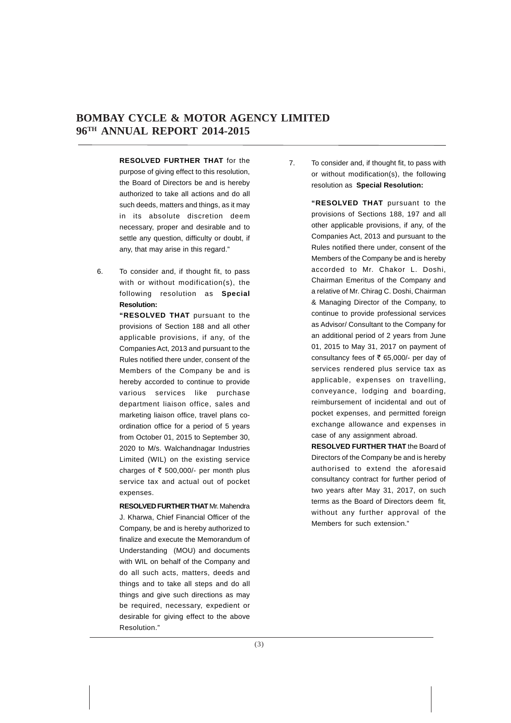**RESOLVED FURTHER THAT** for the purpose of giving effect to this resolution, the Board of Directors be and is hereby authorized to take all actions and do all such deeds, matters and things, as it may in its absolute discretion deem necessary, proper and desirable and to settle any question, difficulty or doubt, if any, that may arise in this regard."

6. To consider and, if thought fit, to pass with or without modification(s), the following resolution as **Special Resolution:**

> **"RESOLVED THAT** pursuant to the provisions of Section 188 and all other applicable provisions, if any, of the Companies Act, 2013 and pursuant to the Rules notified there under, consent of the Members of the Company be and is hereby accorded to continue to provide various services like purchase department liaison office, sales and marketing liaison office, travel plans coordination office for a period of 5 years from October 01, 2015 to September 30, 2020 to M/s. Walchandnagar Industries Limited (WIL) on the existing service charges of  $\bar{\tau}$  500,000/- per month plus service tax and actual out of pocket expenses.

**RESOLVED FURTHER THAT** Mr. Mahendra J. Kharwa, Chief Financial Officer of the Company, be and is hereby authorized to finalize and execute the Memorandum of Understanding (MOU) and documents with WIL on behalf of the Company and do all such acts, matters, deeds and things and to take all steps and do all things and give such directions as may be required, necessary, expedient or desirable for giving effect to the above Resolution."

7. To consider and, if thought fit, to pass with or without modification(s), the following resolution as **Special Resolution:**

> **"RESOLVED THAT** pursuant to the provisions of Sections 188, 197 and all other applicable provisions, if any, of the Companies Act, 2013 and pursuant to the Rules notified there under, consent of the Members of the Company be and is hereby accorded to Mr. Chakor L. Doshi, Chairman Emeritus of the Company and a relative of Mr. Chirag C. Doshi, Chairman & Managing Director of the Company, to continue to provide professional services as Advisor/ Consultant to the Company for an additional period of 2 years from June 01, 2015 to May 31, 2017 on payment of consultancy fees of  $\bar{\tau}$  65,000/- per day of services rendered plus service tax as applicable, expenses on travelling, conveyance, lodging and boarding, reimbursement of incidental and out of pocket expenses, and permitted foreign exchange allowance and expenses in case of any assignment abroad.

> **RESOLVED FURTHER THAT** the Board of Directors of the Company be and is hereby authorised to extend the aforesaid consultancy contract for further period of two years after May 31, 2017, on such terms as the Board of Directors deem fit, without any further approval of the Members for such extension."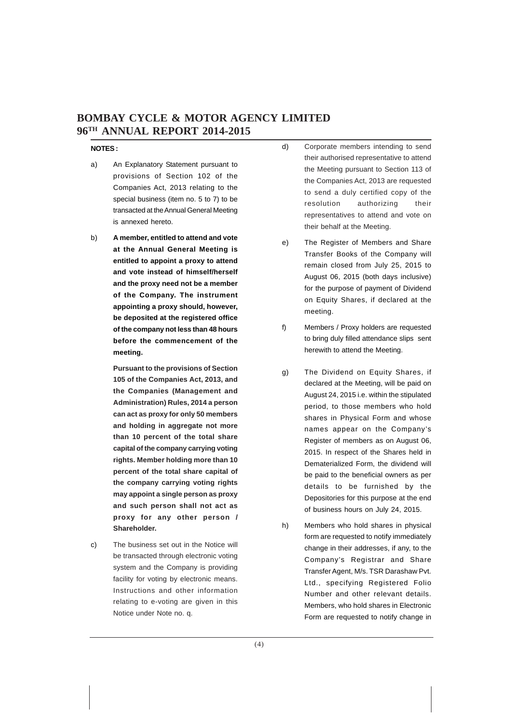### **NOTES :**

- a) An Explanatory Statement pursuant to provisions of Section 102 of the Companies Act, 2013 relating to the special business (item no. 5 to 7) to be transacted at the Annual General Meeting is annexed hereto.
- b) **A member, entitled to attend and vote at the Annual General Meeting is entitled to appoint a proxy to attend and vote instead of himself/herself and the proxy need not be a member of the Company. The instrument appointing a proxy should, however, be deposited at the registered office of the company not less than 48 hours before the commencement of the meeting.**

**Pursuant to the provisions of Section 105 of the Companies Act, 2013, and the Companies (Management and Administration) Rules, 2014 a person can act as proxy for only 50 members and holding in aggregate not more than 10 percent of the total share capital of the company carrying voting rights. Member holding more than 10 percent of the total share capital of the company carrying voting rights may appoint a single person as proxy and such person shall not act as proxy for any other person / Shareholder.**

c) The business set out in the Notice will be transacted through electronic voting system and the Company is providing facility for voting by electronic means. Instructions and other information relating to e-voting are given in this Notice under Note no. q.

- d) Corporate members intending to send their authorised representative to attend the Meeting pursuant to Section 113 of the Companies Act, 2013 are requested to send a duly certified copy of the resolution authorizing their representatives to attend and vote on their behalf at the Meeting.
- e) The Register of Members and Share Transfer Books of the Company will remain closed from July 25, 2015 to August 06, 2015 (both days inclusive) for the purpose of payment of Dividend on Equity Shares, if declared at the meeting.
- f) Members / Proxy holders are requested to bring duly filled attendance slips sent herewith to attend the Meeting.
- g) The Dividend on Equity Shares, if declared at the Meeting, will be paid on August 24, 2015 i.e. within the stipulated period, to those members who hold shares in Physical Form and whose names appear on the Company's Register of members as on August 06, 2015. In respect of the Shares held in Dematerialized Form, the dividend will be paid to the beneficial owners as per details to be furnished by the Depositories for this purpose at the end of business hours on July 24, 2015.
- h) Members who hold shares in physical form are requested to notify immediately change in their addresses, if any, to the Company's Registrar and Share Transfer Agent, M/s. TSR Darashaw Pvt. Ltd., specifying Registered Folio Number and other relevant details. Members, who hold shares in Electronic Form are requested to notify change in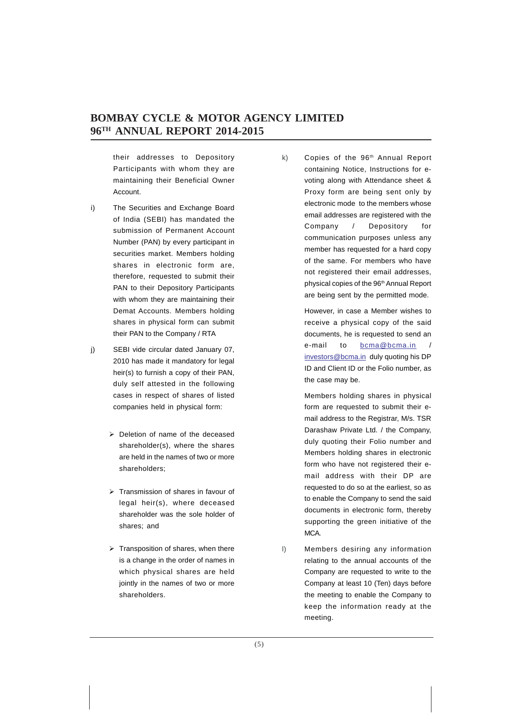their addresses to Depository Participants with whom they are maintaining their Beneficial Owner Account.

- i) The Securities and Exchange Board of India (SEBI) has mandated the submission of Permanent Account Number (PAN) by every participant in securities market. Members holding shares in electronic form are, therefore, requested to submit their PAN to their Depository Participants with whom they are maintaining their Demat Accounts. Members holding shares in physical form can submit their PAN to the Company / RTA
- j) SEBI vide circular dated January 07, 2010 has made it mandatory for legal heir(s) to furnish a copy of their PAN, duly self attested in the following cases in respect of shares of listed companies held in physical form:
	- $\triangleright$  Deletion of name of the deceased shareholder(s), where the shares are held in the names of two or more shareholders;
	- $\triangleright$  Transmission of shares in favour of legal heir(s), where deceased shareholder was the sole holder of shares; and
	- $\triangleright$  Transposition of shares, when there is a change in the order of names in which physical shares are held jointly in the names of two or more shareholders.

k) Copies of the 96<sup>th</sup> Annual Report containing Notice, Instructions for evoting along with Attendance sheet & Proxy form are being sent only by electronic mode to the members whose email addresses are registered with the Company / Depository for communication purposes unless any member has requested for a hard copy of the same. For members who have not registered their email addresses, physical copies of the 96<sup>th</sup> Annual Report are being sent by the permitted mode.

> However, in case a Member wishes to receive a physical copy of the said documents, he is requested to send an e-mail to bcma@bcma.in / investors@bcma.in duly quoting his DP ID and Client ID or the Folio number, as the case may be.

> Members holding shares in physical form are requested to submit their email address to the Registrar, M/s. TSR Darashaw Private Ltd. / the Company, duly quoting their Folio number and Members holding shares in electronic form who have not registered their email address with their DP are requested to do so at the earliest, so as to enable the Company to send the said documents in electronic form, thereby supporting the green initiative of the MCA.

l) Members desiring any information relating to the annual accounts of the Company are requested to write to the Company at least 10 (Ten) days before the meeting to enable the Company to keep the information ready at the meeting.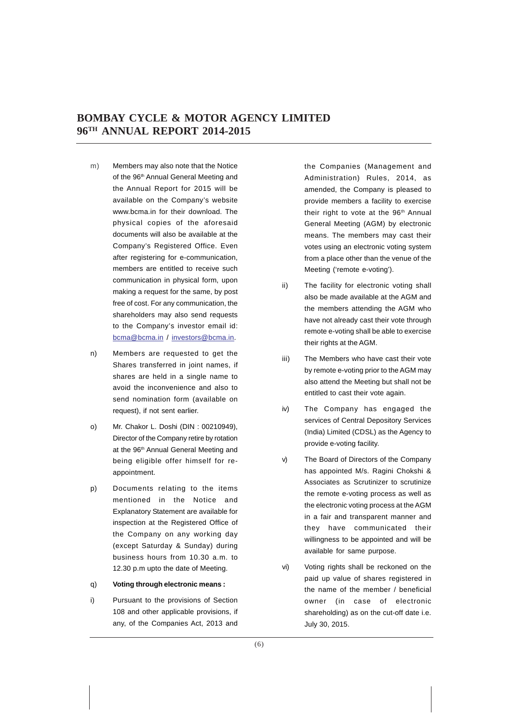- m) Members may also note that the Notice of the 96<sup>th</sup> Annual General Meeting and the Annual Report for 2015 will be available on the Company's website www.bcma.in for their download. The physical copies of the aforesaid documents will also be available at the Company's Registered Office. Even after registering for e-communication, members are entitled to receive such communication in physical form, upon making a request for the same, by post free of cost. For any communication, the shareholders may also send requests to the Company's investor email id: bcma@bcma.in / investors@bcma.in.
- n) Members are requested to get the Shares transferred in joint names, if shares are held in a single name to avoid the inconvenience and also to send nomination form (available on request), if not sent earlier.
- o) Mr. Chakor L. Doshi (DIN : 00210949), Director of the Company retire by rotation at the 96<sup>th</sup> Annual General Meeting and being eligible offer himself for reappointment.
- p) Documents relating to the items mentioned in the Notice and Explanatory Statement are available for inspection at the Registered Office of the Company on any working day (except Saturday & Sunday) during business hours from 10.30 a.m. to 12.30 p.m upto the date of Meeting.

### q) **Voting through electronic means :**

i) Pursuant to the provisions of Section 108 and other applicable provisions, if any, of the Companies Act, 2013 and the Companies (Management and Administration) Rules, 2014, as amended, the Company is pleased to provide members a facility to exercise their right to vote at the 96<sup>th</sup> Annual General Meeting (AGM) by electronic means. The members may cast their votes using an electronic voting system from a place other than the venue of the Meeting ('remote e-voting').

- ii) The facility for electronic voting shall also be made available at the AGM and the members attending the AGM who have not already cast their vote through remote e-voting shall be able to exercise their rights at the AGM.
- iii) The Members who have cast their vote by remote e-voting prior to the AGM may also attend the Meeting but shall not be entitled to cast their vote again.
- iv) The Company has engaged the services of Central Depository Services (India) Limited (CDSL) as the Agency to provide e-voting facility.
- v) The Board of Directors of the Company has appointed M/s. Ragini Chokshi & Associates as Scrutinizer to scrutinize the remote e-voting process as well as the electronic voting process at the AGM in a fair and transparent manner and they have communicated their willingness to be appointed and will be available for same purpose.
- vi) Voting rights shall be reckoned on the paid up value of shares registered in the name of the member / beneficial owner (in case of electronic shareholding) as on the cut-off date i.e. July 30, 2015.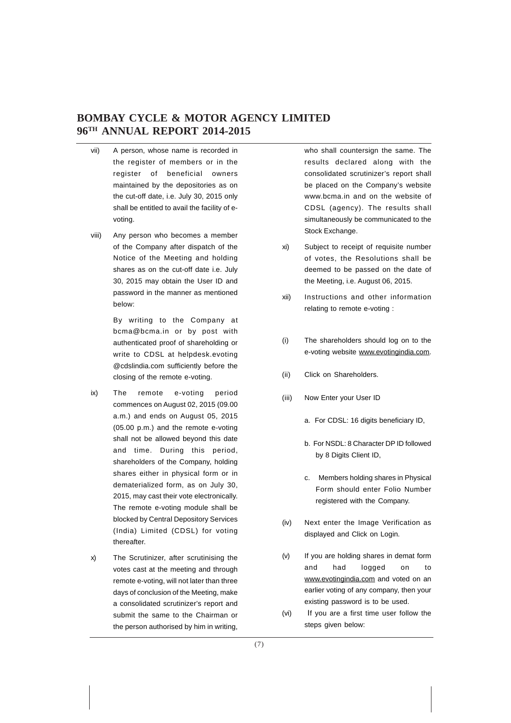- vii) A person, whose name is recorded in the register of members or in the register of beneficial owners maintained by the depositories as on the cut-off date, i.e. July 30, 2015 only shall be entitled to avail the facility of evoting.
- viii) Any person who becomes a member of the Company after dispatch of the Notice of the Meeting and holding shares as on the cut-off date i.e. July 30, 2015 may obtain the User ID and password in the manner as mentioned below:

By writing to the Company at bcma@bcma.in or by post with authenticated proof of shareholding or write to CDSL at helpdesk.evoting @cdslindia.com sufficiently before the closing of the remote e-voting.

- ix) The remote e-voting period commences on August 02, 2015 (09.00 a.m.) and ends on August 05, 2015 (05.00 p.m.) and the remote e-voting shall not be allowed beyond this date and time. During this period, shareholders of the Company, holding shares either in physical form or in dematerialized form, as on July 30, 2015, may cast their vote electronically. The remote e-voting module shall be blocked by Central Depository Services (India) Limited (CDSL) for voting thereafter.
- x) The Scrutinizer, after scrutinising the votes cast at the meeting and through remote e-voting, will not later than three days of conclusion of the Meeting, make a consolidated scrutinizer's report and submit the same to the Chairman or the person authorised by him in writing,

who shall countersign the same. The results declared along with the consolidated scrutinizer's report shall be placed on the Company's website www.bcma.in and on the website of CDSL (agency). The results shall simultaneously be communicated to the Stock Exchange.

- xi) Subject to receipt of requisite number of votes, the Resolutions shall be deemed to be passed on the date of the Meeting, i.e. August 06, 2015.
- xii) Instructions and other information relating to remote e-voting :
- (i) The shareholders should log on to the e-voting website www.evotingindia.com.
- (ii) Click on Shareholders.
- (iii) Now Enter your User ID
	- a. For CDSL: 16 digits beneficiary ID,
	- b. For NSDL: 8 Character DP ID followed by 8 Digits Client ID,
	- c. Members holding shares in Physical Form should enter Folio Number registered with the Company.
- (iv) Next enter the Image Verification as displayed and Click on Login.
- (v) If you are holding shares in demat form and had logged on to www.evotingindia.com and voted on an earlier voting of any company, then your existing password is to be used.
- (vi) If you are a first time user follow the steps given below: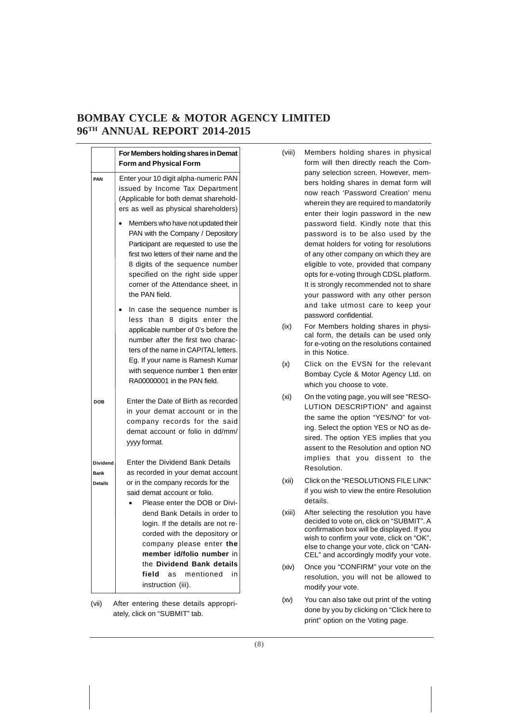|                                                  | For Members holding shares in Demat<br><b>Form and Physical Form</b>                                                                                                                                                                                                                                                                                                                                                            |  |
|--------------------------------------------------|---------------------------------------------------------------------------------------------------------------------------------------------------------------------------------------------------------------------------------------------------------------------------------------------------------------------------------------------------------------------------------------------------------------------------------|--|
| PAN                                              | Enter your 10 digit alpha-numeric PAN<br>issued by Income Tax Department<br>(Applicable for both demat sharehold-<br>ers as well as physical shareholders)                                                                                                                                                                                                                                                                      |  |
|                                                  | Members who have not updated their<br>PAN with the Company / Depository<br>Participant are requested to use the<br>first two letters of their name and the<br>8 digits of the sequence number<br>specified on the right side upper<br>corner of the Attendance sheet, in<br>the PAN field.                                                                                                                                      |  |
|                                                  | In case the sequence number is<br>than 8 digits enter<br>less<br>the<br>applicable number of 0's before the<br>number after the first two charac-<br>ters of the name in CAPITAL letters.<br>Eg. If your name is Ramesh Kumar<br>with sequence number 1 then enter<br>RA00000001 in the PAN field.                                                                                                                              |  |
| <b>DOB</b>                                       | Enter the Date of Birth as recorded<br>in your demat account or in the<br>company records for the said<br>demat account or folio in dd/mm/<br>yyyy format.                                                                                                                                                                                                                                                                      |  |
| <b>Dividend</b><br><b>Bank</b><br><b>Details</b> | Enter the Dividend Bank Details<br>as recorded in your demat account<br>or in the company records for the<br>said demat account or folio.<br>Please enter the DOB or Divi-<br>dend Bank Details in order to<br>login. If the details are not re-<br>corded with the depository or<br>company please enter the<br>member id/folio number in<br>the Dividend Bank details<br>field<br>mentioned<br>in<br>as<br>instruction (iii). |  |

(vii) After entering these details appropriately, click on "SUBMIT" tab.

- (viii) Members holding shares in physical form will then directly reach the Company selection screen. However, members holding shares in demat form will now reach 'Password Creation' menu wherein they are required to mandatorily enter their login password in the new password field. Kindly note that this password is to be also used by the demat holders for voting for resolutions of any other company on which they are eligible to vote, provided that company opts for e-voting through CDSL platform. It is strongly recommended not to share your password with any other person and take utmost care to keep your password confidential.
- (ix) For Members holding shares in physical form, the details can be used only for e-voting on the resolutions contained in this Notice.
- (x) Click on the EVSN for the relevant Bombay Cycle & Motor Agency Ltd. on which you choose to vote.
- (xi) On the voting page, you will see "RESO-LUTION DESCRIPTION" and against the same the option "YES/NO" for voting. Select the option YES or NO as desired. The option YES implies that you assent to the Resolution and option NO implies that you dissent to the Resolution.
- (xii) Click on the "RESOLUTIONS FILE LINK" if you wish to view the entire Resolution details.
- (xiii) After selecting the resolution you have decided to vote on, click on "SUBMIT". A confirmation box will be displayed. If you wish to confirm your vote, click on "OK", else to change your vote, click on "CAN-CEL" and accordingly modify your vote.
- (xiv) Once you "CONFIRM" your vote on the resolution, you will not be allowed to modify your vote.
- (xv) You can also take out print of the voting done by you by clicking on "Click here to print" option on the Voting page.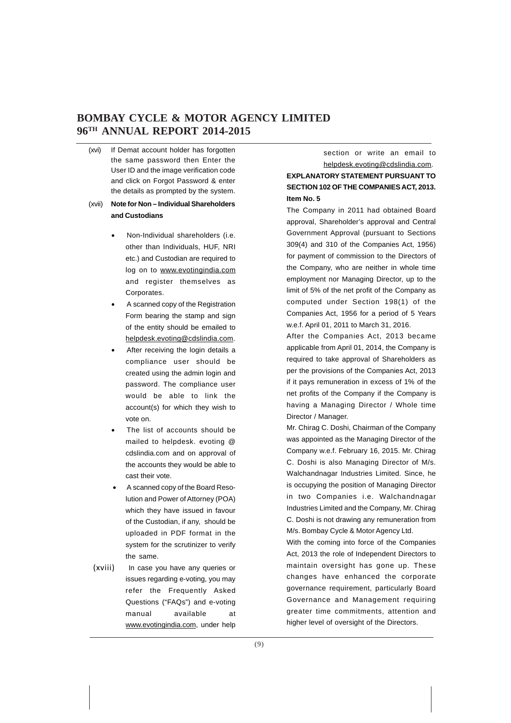(xvi) If Demat account holder has forgotten the same password then Enter the User ID and the image verification code and click on Forgot Password & enter the details as prompted by the system.

### (xvii) **Note for Non – Individual Shareholders and Custodians**

- Non-Individual shareholders (i.e. other than Individuals, HUF, NRI etc.) and Custodian are required to log on to www.evotingindia.com and register themselves as Corporates.
- A scanned copy of the Registration Form bearing the stamp and sign of the entity should be emailed to helpdesk.evoting@cdslindia.com.
- After receiving the login details a compliance user should be created using the admin login and password. The compliance user would be able to link the account(s) for which they wish to vote on.
- The list of accounts should be mailed to helpdesk. evoting @ cdslindia.com and on approval of the accounts they would be able to cast their vote.
- A scanned copy of the Board Resolution and Power of Attorney (POA) which they have issued in favour of the Custodian, if any, should be uploaded in PDF format in the system for the scrutinizer to verify the same.
- (xviii) In case you have any queries or issues regarding e-voting, you may refer the Frequently Asked Questions ("FAQs") and e-voting manual available at www.evotingindia.com, under help

section or write an email to helpdesk.evoting@cdslindia.com. **EXPLANATORY STATEMENT PURSUANT TO SECTION 102 OF THE COMPANIES ACT, 2013. Item No. 5**

The Company in 2011 had obtained Board approval, Shareholder's approval and Central Government Approval (pursuant to Sections 309(4) and 310 of the Companies Act, 1956) for payment of commission to the Directors of the Company, who are neither in whole time employment nor Managing Director, up to the limit of 5% of the net profit of the Company as computed under Section 198(1) of the Companies Act, 1956 for a period of 5 Years w.e.f. April 01, 2011 to March 31, 2016.

After the Companies Act, 2013 became applicable from April 01, 2014, the Company is required to take approval of Shareholders as per the provisions of the Companies Act, 2013 if it pays remuneration in excess of 1% of the net profits of the Company if the Company is having a Managing Director / Whole time Director / Manager.

Mr. Chirag C. Doshi, Chairman of the Company was appointed as the Managing Director of the Company w.e.f. February 16, 2015. Mr. Chirag C. Doshi is also Managing Director of M/s. Walchandnagar Industries Limited. Since, he is occupying the position of Managing Director in two Companies i.e. Walchandnagar Industries Limited and the Company, Mr. Chirag C. Doshi is not drawing any remuneration from M/s. Bombay Cycle & Motor Agency Ltd.

With the coming into force of the Companies Act, 2013 the role of Independent Directors to maintain oversight has gone up. These changes have enhanced the corporate governance requirement, particularly Board Governance and Management requiring greater time commitments, attention and higher level of oversight of the Directors.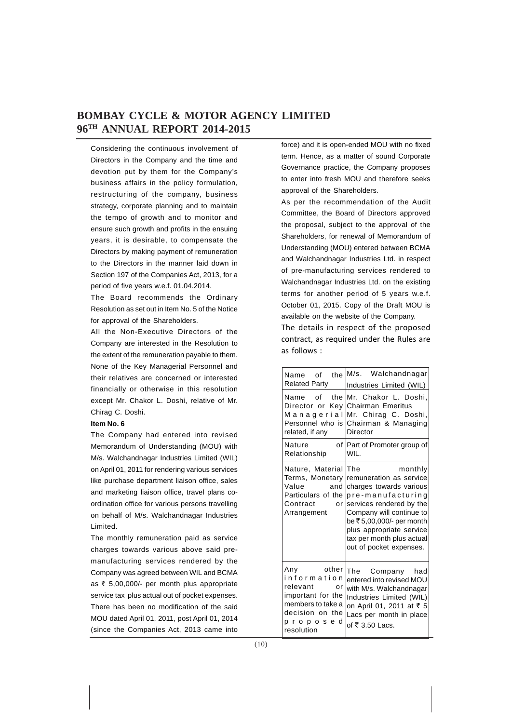Considering the continuous involvement of Directors in the Company and the time and devotion put by them for the Company's business affairs in the policy formulation, restructuring of the company, business strategy, corporate planning and to maintain the tempo of growth and to monitor and ensure such growth and profits in the ensuing years, it is desirable, to compensate the Directors by making payment of remuneration to the Directors in the manner laid down in Section 197 of the Companies Act, 2013, for a period of five years w.e.f. 01.04.2014.

The Board recommends the Ordinary Resolution as set out in Item No. 5 of the Notice for approval of the Shareholders.

All the Non-Executive Directors of the Company are interested in the Resolution to the extent of the remuneration payable to them. None of the Key Managerial Personnel and their relatives are concerned or interested financially or otherwise in this resolution except Mr. Chakor L. Doshi, relative of Mr. Chirag C. Doshi.

### **Item No. 6**

The Company had entered into revised Memorandum of Understanding (MOU) with M/s. Walchandnagar Industries Limited (WIL) on April 01, 2011 for rendering various services like purchase department liaison office, sales and marketing liaison office, travel plans coordination office for various persons travelling on behalf of M/s. Walchandnagar Industries Limited.

The monthly remuneration paid as service charges towards various above said premanufacturing services rendered by the Company was agreed between WIL and BCMA as  $\bar{\tau}$  5,00,000/- per month plus appropriate service tax plus actual out of pocket expenses. There has been no modification of the said MOU dated April 01, 2011, post April 01, 2014 (since the Companies Act, 2013 came into

force) and it is open-ended MOU with no fixed term. Hence, as a matter of sound Corporate Governance practice, the Company proposes to enter into fresh MOU and therefore seeks approval of the Shareholders.

As per the recommendation of the Audit Committee, the Board of Directors approved the proposal, subject to the approval of the Shareholders, for renewal of Memorandum of Understanding (MOU) entered between BCMA and Walchandnagar Industries Ltd. in respect of pre-manufacturing services rendered to Walchandnagar Industries Ltd. on the existing terms for another period of 5 years w.e.f. October 01, 2015. Copy of the Draft MOU is available on the website of the Company.

The details in respect of the proposed contract, as required under the Rules are as follows :

| Name of the<br><b>Related Party</b>                                                                                                  | M/s.<br>Walchandnagar<br>Industries Limited (WIL)                                                                                                                                                                                                                 |
|--------------------------------------------------------------------------------------------------------------------------------------|-------------------------------------------------------------------------------------------------------------------------------------------------------------------------------------------------------------------------------------------------------------------|
| Name of the<br>Director or Key<br>Managerial<br>Personnel who is<br>related, if any                                                  | Mr. Chakor L. Doshi.<br><b>Chairman Emeritus</b><br>Mr. Chirag C. Doshi,<br>Chairman & Managing<br>Director                                                                                                                                                       |
| Nature<br>of<br>Relationship                                                                                                         | Part of Promoter group of<br>WIL.                                                                                                                                                                                                                                 |
| Nature, Material<br>Terms, Monetary<br>and<br>Value<br>Particulars of the<br>Contract<br>or<br>Arrangement                           | The<br>monthly<br>remuneration as service<br>charges towards various<br>pre-manufacturing<br>services rendered by the<br>Company will continue to<br>be ₹5,00,000/- per month<br>plus appropriate service<br>tax per month plus actual<br>out of pocket expenses. |
| Any<br>other<br>information<br>relevant<br>or<br>important for the<br>members to take a<br>decision on the<br>proposed<br>resolution | The Company had<br>entered into revised MOU<br>with M/s. Walchandnagar<br>Industries Limited (WIL)<br>on April 01, 2011 at ₹ 5<br>Lacs per month in place<br>of ₹ 3.50 Lacs.                                                                                      |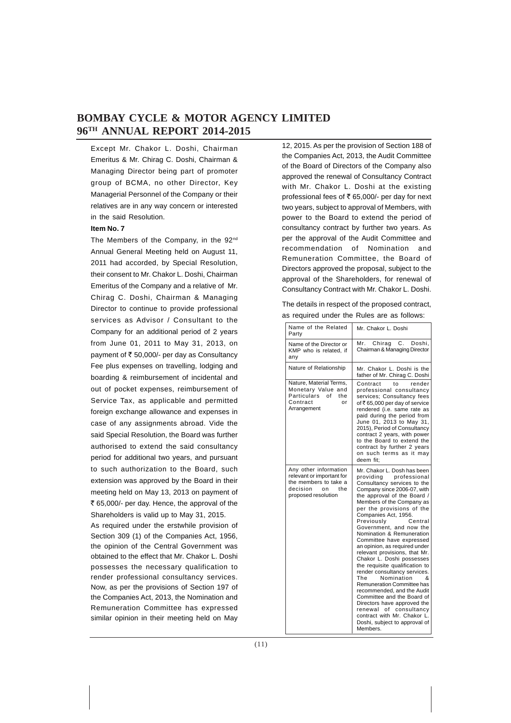Except Mr. Chakor L. Doshi, Chairman Emeritus & Mr. Chirag C. Doshi, Chairman & Managing Director being part of promoter group of BCMA, no other Director, Key Managerial Personnel of the Company or their relatives are in any way concern or interested in the said Resolution.

### **Item No. 7**

The Members of the Company, in the 92<sup>nd</sup> Annual General Meeting held on August 11, 2011 had accorded, by Special Resolution, their consent to Mr. Chakor L. Doshi, Chairman Emeritus of the Company and a relative of Mr. Chirag C. Doshi, Chairman & Managing Director to continue to provide professional services as Advisor / Consultant to the Company for an additional period of 2 years from June 01, 2011 to May 31, 2013, on payment of  $\bar{\tau}$  50,000/- per day as Consultancy Fee plus expenses on travelling, lodging and boarding & reimbursement of incidental and out of pocket expenses, reimbursement of Service Tax, as applicable and permitted foreign exchange allowance and expenses in case of any assignments abroad. Vide the said Special Resolution, the Board was further authorised to extend the said consultancy period for additional two years, and pursuant to such authorization to the Board, such extension was approved by the Board in their meeting held on May 13, 2013 on payment of ₹ 65,000/- per day. Hence, the approval of the Shareholders is valid up to May 31, 2015.

As required under the erstwhile provision of Section 309 (1) of the Companies Act, 1956, the opinion of the Central Government was obtained to the effect that Mr. Chakor L. Doshi possesses the necessary qualification to render professional consultancy services. Now, as per the provisions of Section 197 of the Companies Act, 2013, the Nomination and Remuneration Committee has expressed similar opinion in their meeting held on May

12, 2015. As per the provision of Section 188 of the Companies Act, 2013, the Audit Committee of the Board of Directors of the Company also approved the renewal of Consultancy Contract with Mr. Chakor L. Doshi at the existing professional fees of  $\overline{\epsilon}$  65,000/- per day for next two years, subject to approval of Members, with power to the Board to extend the period of consultancy contract by further two years. As per the approval of the Audit Committee and recommendation of Nomination and Remuneration Committee, the Board of Directors approved the proposal, subject to the approval of the Shareholders, for renewal of Consultancy Contract with Mr. Chakor L. Doshi.

The details in respect of the proposed contract, as required under the Rules are as follows:

| Name of the Related<br>Party                                                                                                | Mr. Chakor L. Doshi                                                                                                                                                                                                                                                                                                                                                                                                                                                                                                                                                                                                                                                                                                                                                                   |
|-----------------------------------------------------------------------------------------------------------------------------|---------------------------------------------------------------------------------------------------------------------------------------------------------------------------------------------------------------------------------------------------------------------------------------------------------------------------------------------------------------------------------------------------------------------------------------------------------------------------------------------------------------------------------------------------------------------------------------------------------------------------------------------------------------------------------------------------------------------------------------------------------------------------------------|
| Name of the Director or<br>KMP who is related. if<br>any                                                                    | Mr.<br>Chirag<br>C.<br>Doshi.<br>Chairman & Managing Director                                                                                                                                                                                                                                                                                                                                                                                                                                                                                                                                                                                                                                                                                                                         |
| Nature of Relationship                                                                                                      | Mr. Chakor L. Doshi is the<br>father of Mr. Chirag C. Doshi                                                                                                                                                                                                                                                                                                                                                                                                                                                                                                                                                                                                                                                                                                                           |
| Nature, Material Terms,<br>Monetary Value and<br>Particulars of<br>the<br>Contract<br>or<br>Arrangement                     | Contract<br>to<br>render<br>professional consultancy<br>services; Consultancy fees<br>of ₹65,000 per day of service<br>rendered (i.e. same rate as<br>paid during the period from<br>June 01, 2013 to May 31,<br>2015), Period of Consultancy<br>contract 2 years, with power<br>to the Board to extend the<br>contract by further 2 years<br>on such terms as it may<br>deem fit:                                                                                                                                                                                                                                                                                                                                                                                                    |
| Any other information<br>relevant or important for<br>the members to take a<br>decision<br>the<br>on<br>proposed resolution | Mr. Chakor L. Dosh has been<br>professional<br>providing<br>Consultancy services to the<br>Company since 2006-07, with<br>the approval of the Board /<br>Members of the Company as<br>per the provisions of the<br>Companies Act, 1956.<br>Previously<br>Central<br>Government, and now the<br>Nomination & Remuneration<br>Committee have expressed<br>an opinion, as required under<br>relevant provisions, that Mr.<br>Chakor L. Doshi possesses<br>the requisite qualification to<br>render consultancy services.<br>Nomination<br>The<br>&<br><b>Remuneration Committee has</b><br>recommended, and the Audit<br>Committee and the Board of<br>Directors have approved the<br>renewal of consultancy<br>contract with Mr. Chakor L.<br>Doshi, subject to approval of<br>Members. |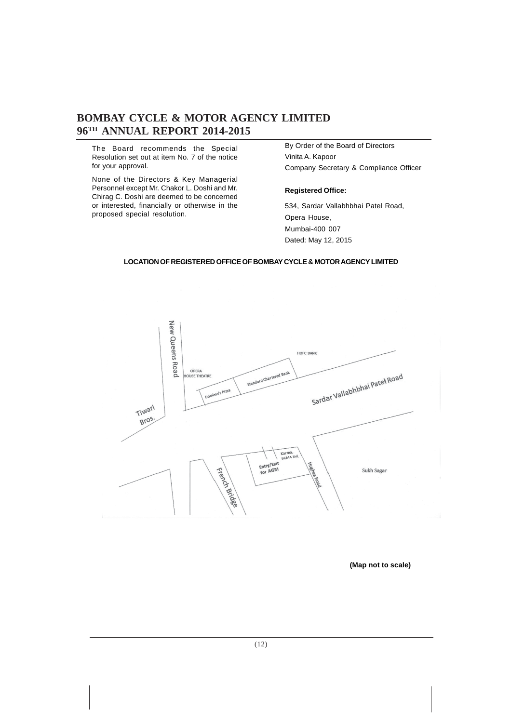The Board recommends the Special Resolution set out at item No. 7 of the notice for your approval.

None of the Directors & Key Managerial Personnel except Mr. Chakor L. Doshi and Mr. Chirag C. Doshi are deemed to be concerned or interested, financially or otherwise in the proposed special resolution.

By Order of the Board of Directors Vinita A. Kapoor Company Secretary & Compliance Officer

### **Registered Office:**

534, Sardar Vallabhbhai Patel Road, Opera House, Mumbai-400 007 Dated: May 12, 2015

### **LOCATION OF REGISTERED OFFICE OF BOMBAY CYCLE & MOTOR AGENCY LIMITED**



**(Map not to scale)**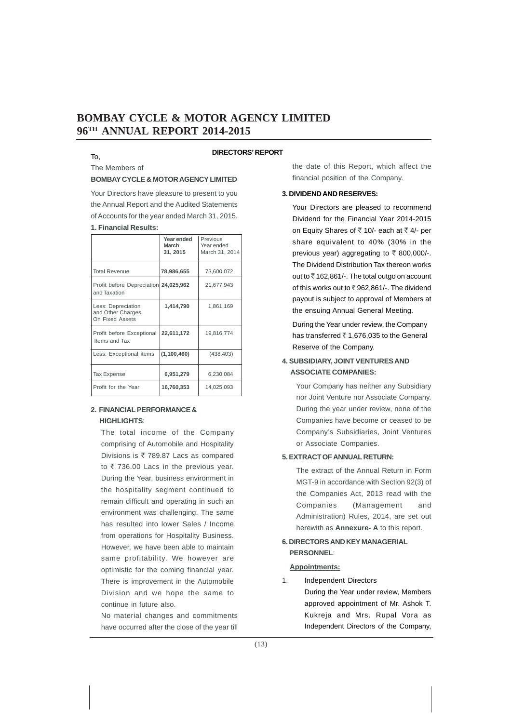### To,

### **DIRECTORS' REPORT**

### The Members of

### **BOMBAY CYCLE & MOTOR AGENCY LIMITED**

Your Directors have pleasure to present to you the Annual Report and the Audited Statements of Accounts for the year ended March 31, 2015. **1. Financial Results:**

|                                                            | Year ended<br>March<br>31, 2015 | Previous<br>Year ended<br>March 31, 2014 |
|------------------------------------------------------------|---------------------------------|------------------------------------------|
| <b>Total Revenue</b>                                       | 78,986,655                      | 73,600,072                               |
| Profit before Depreciation 24,025,962<br>and Taxation      |                                 | 21,677,943                               |
| Less: Depreciation<br>and Other Charges<br>On Fixed Assets | 1,414,790                       | 1,861,169                                |
| Profit before Exceptional<br>Items and Tax                 | 22,611,172                      | 19,816,774                               |
| Less: Exceptional items                                    | (1,100,460)                     | (438, 403)                               |
| Tax Expense                                                | 6,951,279                       | 6,230,084                                |
| Profit for the Year                                        | 16,760,353                      | 14,025,093                               |

### **2. FINANCIAL PERFORMANCE & HIGHLIGHTS**:

The total income of the Company comprising of Automobile and Hospitality Divisions is  $\bar{\tau}$  789.87 Lacs as compared to  $\bar{\tau}$  736.00 Lacs in the previous year. During the Year, business environment in the hospitality segment continued to remain difficult and operating in such an environment was challenging. The same has resulted into lower Sales / Income from operations for Hospitality Business. However, we have been able to maintain same profitability. We however are optimistic for the coming financial year. There is improvement in the Automobile Division and we hope the same to continue in future also.

No material changes and commitments have occurred after the close of the year till the date of this Report, which affect the financial position of the Company.

### **3. DIVIDEND AND RESERVES:**

Your Directors are pleased to recommend Dividend for the Financial Year 2014-2015 on Equity Shares of  $\bar{\tau}$  10/- each at  $\bar{\tau}$  4/- per share equivalent to 40% (30% in the previous year) aggregating to  $\bar{\tau}$  800,000/-. The Dividend Distribution Tax thereon works out to  $\bar{z}$  162,861/-. The total outgo on account of this works out to  $\overline{z}$  962,861/-. The dividend payout is subject to approval of Members at the ensuing Annual General Meeting.

During the Year under review, the Company has transferred  $\bar{c}$  1,676,035 to the General Reserve of the Company.

### **4. SUBSIDIARY, JOINT VENTURES AND ASSOCIATE COMPANIES:**

Your Company has neither any Subsidiary nor Joint Venture nor Associate Company. During the year under review, none of the Companies have become or ceased to be Company's Subsidiaries, Joint Ventures or Associate Companies.

### **5. EXTRACT OF ANNUAL RETURN:**

The extract of the Annual Return in Form MGT-9 in accordance with Section 92(3) of the Companies Act, 2013 read with the Companies (Management and Administration) Rules, 2014, are set out herewith as **Annexure- A** to this report.

### **6. DIRECTORS AND KEY MANAGERIAL PERSONNEL**:

### **Appointments:**

1. Independent Directors During the Year under review, Members approved appointment of Mr. Ashok T. Kukreja and Mrs. Rupal Vora as Independent Directors of the Company,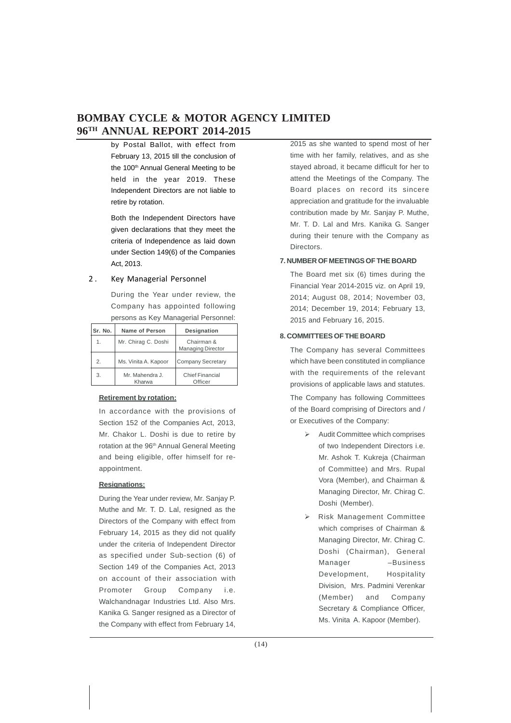by Postal Ballot, with effect from February 13, 2015 till the conclusion of the 100<sup>th</sup> Annual General Meeting to be held in the year 2019. These Independent Directors are not liable to retire by rotation.

Both the Independent Directors have given declarations that they meet the criteria of Independence as laid down under Section 149(6) of the Companies Act, 2013.

### 2 . Key Managerial Personnel

During the Year under review, the Company has appointed following persons as Key Managerial Personnel:

| Sr. No. | Name of Person            | Designation                            |
|---------|---------------------------|----------------------------------------|
| 1.      | Mr. Chirag C. Doshi       | Chairman &<br><b>Managing Director</b> |
| 2.      | Ms. Vinita A. Kapoor      | Company Secretary                      |
| 3.      | Mr. Mahendra J.<br>Kharwa | <b>Chief Financial</b><br>Officer      |

### **Retirement by rotation:**

In accordance with the provisions of Section 152 of the Companies Act, 2013, Mr. Chakor L. Doshi is due to retire by rotation at the 96<sup>th</sup> Annual General Meeting and being eligible, offer himself for reappointment.

### **Resignations:**

During the Year under review, Mr. Sanjay P. Muthe and Mr. T. D. Lal, resigned as the Directors of the Company with effect from February 14, 2015 as they did not qualify under the criteria of Independent Director as specified under Sub-section (6) of Section 149 of the Companies Act, 2013 on account of their association with Promoter Group Company i.e. Walchandnagar Industries Ltd. Also Mrs. Kanika G. Sanger resigned as a Director of the Company with effect from February 14, 2015 as she wanted to spend most of her time with her family, relatives, and as she stayed abroad, it became difficult for her to attend the Meetings of the Company. The Board places on record its sincere appreciation and gratitude for the invaluable contribution made by Mr. Sanjay P. Muthe, Mr. T. D. Lal and Mrs. Kanika G. Sanger during their tenure with the Company as Directors.

### **7. NUMBER OF MEETINGS OF THE BOARD**

The Board met six (6) times during the Financial Year 2014-2015 viz. on April 19, 2014; August 08, 2014; November 03, 2014; December 19, 2014; February 13, 2015 and February 16, 2015.

### **8. COMMITTEES OF THE BOARD**

The Company has several Committees which have been constituted in compliance with the requirements of the relevant provisions of applicable laws and statutes.

The Company has following Committees of the Board comprising of Directors and / or Executives of the Company:

- $\triangleright$  Audit Committee which comprises of two Independent Directors i.e. Mr. Ashok T. Kukreja (Chairman of Committee) and Mrs. Rupal Vora (Member), and Chairman & Managing Director, Mr. Chirag C. Doshi (Member).
- Risk Management Committee which comprises of Chairman & Managing Director, Mr. Chirag C. Doshi (Chairman), General Manager –Business Development, Hospitality Division, Mrs. Padmini Verenkar (Member) and Company Secretary & Compliance Officer, Ms. Vinita A. Kapoor (Member).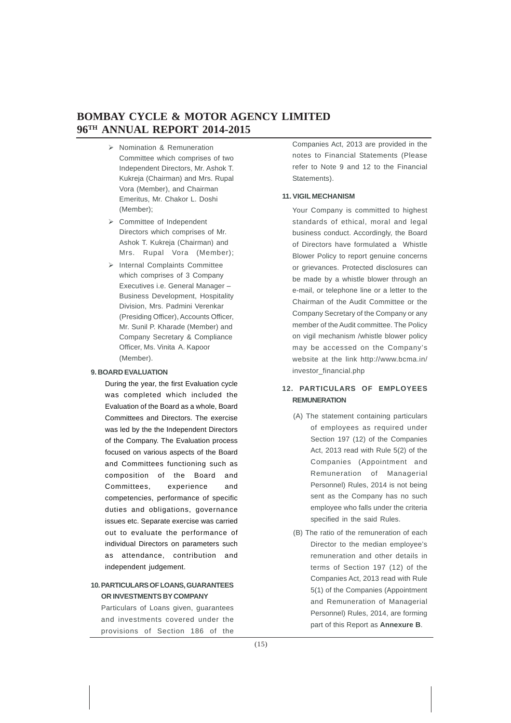- $\triangleright$  Nomination & Remuneration Committee which comprises of two Independent Directors, Mr. Ashok T. Kukreja (Chairman) and Mrs. Rupal Vora (Member), and Chairman Emeritus, Mr. Chakor L. Doshi (Member);
- Committee of Independent Directors which comprises of Mr. Ashok T. Kukreja (Chairman) and Mrs. Rupal Vora (Member);
- > Internal Complaints Committee which comprises of 3 Company Executives i.e. General Manager – Business Development, Hospitality Division, Mrs. Padmini Verenkar (Presiding Officer), Accounts Officer, Mr. Sunil P. Kharade (Member) and Company Secretary & Compliance Officer, Ms. Vinita A. Kapoor (Member).

### **9. BOARD EVALUATION**

During the year, the first Evaluation cycle was completed which included the Evaluation of the Board as a whole, Board Committees and Directors. The exercise was led by the the Independent Directors of the Company. The Evaluation process focused on various aspects of the Board and Committees functioning such as composition of the Board and Committees, experience and competencies, performance of specific duties and obligations, governance issues etc. Separate exercise was carried out to evaluate the performance of individual Directors on parameters such as attendance, contribution and independent judgement.

### **10. PARTICULARS OF LOANS, GUARANTEES OR INVESTMENTS BY COMPANY**

Particulars of Loans given, guarantees and investments covered under the provisions of Section 186 of the

Companies Act, 2013 are provided in the notes to Financial Statements (Please refer to Note 9 and 12 to the Financial Statements).

### **11. VIGIL MECHANISM**

Your Company is committed to highest standards of ethical, moral and legal business conduct. Accordingly, the Board of Directors have formulated a Whistle Blower Policy to report genuine concerns or grievances. Protected disclosures can be made by a whistle blower through an e-mail, or telephone line or a letter to the Chairman of the Audit Committee or the Company Secretary of the Company or any member of the Audit committee. The Policy on vigil mechanism /whistle blower policy may be accessed on the Company's website at the link http://www.bcma.in/ investor\_financial.php

### **12. PARTICULARS OF EMPLOYEES REMUNERATION**

- (A) The statement containing particulars of employees as required under Section 197 (12) of the Companies Act, 2013 read with Rule 5(2) of the Companies (Appointment and Remuneration of Managerial Personnel) Rules, 2014 is not being sent as the Company has no such employee who falls under the criteria specified in the said Rules.
- (B) The ratio of the remuneration of each Director to the median employee's remuneration and other details in terms of Section 197 (12) of the Companies Act, 2013 read with Rule 5(1) of the Companies (Appointment and Remuneration of Managerial Personnel) Rules, 2014, are forming part of this Report as **Annexure B**.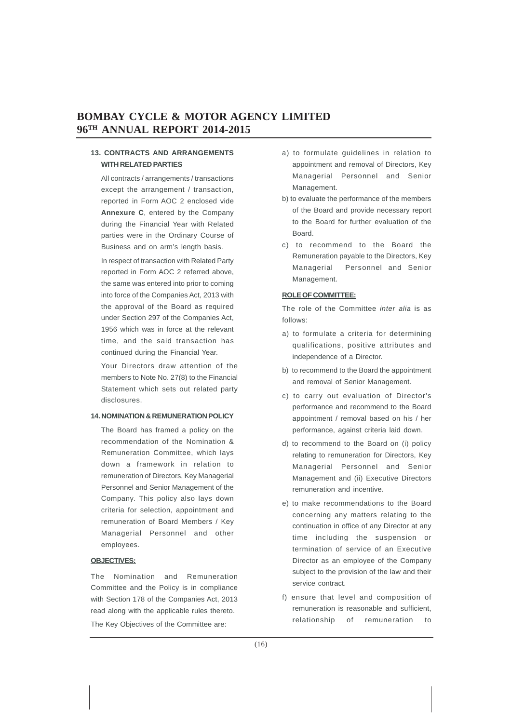### **13. CONTRACTS AND ARRANGEMENTS WITH RELATED PARTIES**

All contracts / arrangements / transactions except the arrangement / transaction, reported in Form AOC 2 enclosed vide **Annexure C**, entered by the Company during the Financial Year with Related parties were in the Ordinary Course of Business and on arm's length basis.

In respect of transaction with Related Party reported in Form AOC 2 referred above, the same was entered into prior to coming into force of the Companies Act, 2013 with the approval of the Board as required under Section 297 of the Companies Act, 1956 which was in force at the relevant time, and the said transaction has continued during the Financial Year.

Your Directors draw attention of the members to Note No. 27(8) to the Financial Statement which sets out related party disclosures.

### **14. NOMINATION & REMUNERATION POLICY**

The Board has framed a policy on the recommendation of the Nomination & Remuneration Committee, which lays down a framework in relation to remuneration of Directors, Key Managerial Personnel and Senior Management of the Company. This policy also lays down criteria for selection, appointment and remuneration of Board Members / Key Managerial Personnel and other employees.

### **OBJECTIVES:**

The Nomination and Remuneration Committee and the Policy is in compliance with Section 178 of the Companies Act, 2013 read along with the applicable rules thereto. The Key Objectives of the Committee are:

- a) to formulate guidelines in relation to appointment and removal of Directors, Key Managerial Personnel and Senior Management.
- b) to evaluate the performance of the members of the Board and provide necessary report to the Board for further evaluation of the Board.
- c) to recommend to the Board the Remuneration payable to the Directors, Key Managerial Personnel and Senior Management.

### **ROLE OF COMMITTEE:**

The role of the Committee *inter alia* is as follows:

- a) to formulate a criteria for determining qualifications, positive attributes and independence of a Director.
- b) to recommend to the Board the appointment and removal of Senior Management.
- c) to carry out evaluation of Director's performance and recommend to the Board appointment / removal based on his / her performance, against criteria laid down.
- d) to recommend to the Board on (i) policy relating to remuneration for Directors, Key Managerial Personnel and Senior Management and (ii) Executive Directors remuneration and incentive.
- e) to make recommendations to the Board concerning any matters relating to the continuation in office of any Director at any time including the suspension or termination of service of an Executive Director as an employee of the Company subject to the provision of the law and their service contract.
- f) ensure that level and composition of remuneration is reasonable and sufficient, relationship of remuneration to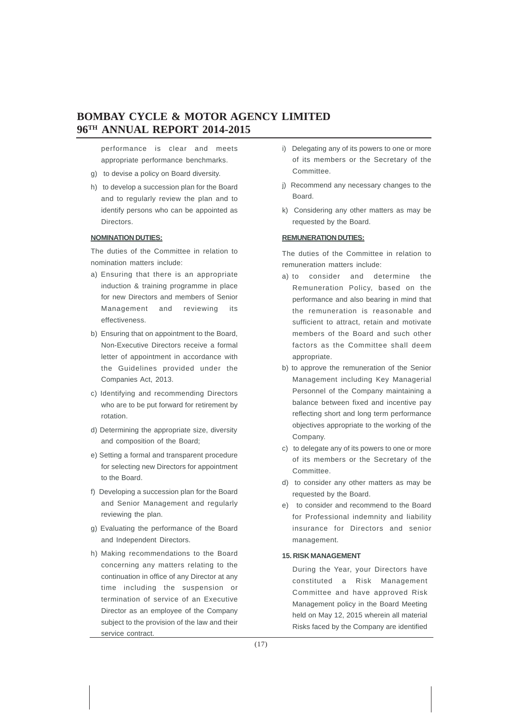performance is clear and meets appropriate performance benchmarks.

- g) to devise a policy on Board diversity.
- h) to develop a succession plan for the Board and to regularly review the plan and to identify persons who can be appointed as Directors.

### **NOMINATION DUTIES:**

The duties of the Committee in relation to nomination matters include:

- a) Ensuring that there is an appropriate induction & training programme in place for new Directors and members of Senior Management and reviewing its effectiveness.
- b) Ensuring that on appointment to the Board, Non-Executive Directors receive a formal letter of appointment in accordance with the Guidelines provided under the Companies Act, 2013.
- c) Identifying and recommending Directors who are to be put forward for retirement by rotation.
- d) Determining the appropriate size, diversity and composition of the Board;
- e) Setting a formal and transparent procedure for selecting new Directors for appointment to the Board.
- f) Developing a succession plan for the Board and Senior Management and regularly reviewing the plan.
- g) Evaluating the performance of the Board and Independent Directors.
- h) Making recommendations to the Board concerning any matters relating to the continuation in office of any Director at any time including the suspension or termination of service of an Executive Director as an employee of the Company subject to the provision of the law and their service contract.
- i) Delegating any of its powers to one or more of its members or the Secretary of the Committee.
- j) Recommend any necessary changes to the Board.
- k) Considering any other matters as may be requested by the Board.

### **REMUNERATION DUTIES:**

The duties of the Committee in relation to remuneration matters include:

- a) to consider and determine the Remuneration Policy, based on the performance and also bearing in mind that the remuneration is reasonable and sufficient to attract, retain and motivate members of the Board and such other factors as the Committee shall deem appropriate.
- b) to approve the remuneration of the Senior Management including Key Managerial Personnel of the Company maintaining a balance between fixed and incentive pay reflecting short and long term performance objectives appropriate to the working of the Company.
- c) to delegate any of its powers to one or more of its members or the Secretary of the Committee.
- d) to consider any other matters as may be requested by the Board.
- e) to consider and recommend to the Board for Professional indemnity and liability insurance for Directors and senior management.

### **15. RISK MANAGEMENT**

During the Year, your Directors have constituted a Risk Management Committee and have approved Risk Management policy in the Board Meeting held on May 12, 2015 wherein all material Risks faced by the Company are identified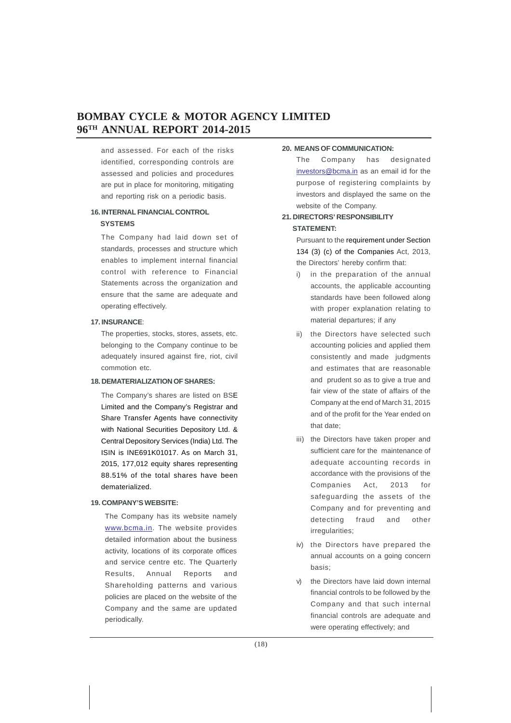and assessed. For each of the risks identified, corresponding controls are assessed and policies and procedures are put in place for monitoring, mitigating and reporting risk on a periodic basis.

### **16. INTERNAL FINANCIAL CONTROL SYSTEMS**

The Company had laid down set of standards, processes and structure which enables to implement internal financial control with reference to Financial Statements across the organization and ensure that the same are adequate and operating effectively.

### **17. INSURANCE**:

The properties, stocks, stores, assets, etc. belonging to the Company continue to be adequately insured against fire, riot, civil commotion etc.

### **18. DEMATERIALIZATION OF SHARES:**

The Company's shares are listed on BSE Limited and the Company's Registrar and Share Transfer Agents have connectivity with National Securities Depository Ltd. & Central Depository Services (India) Ltd. The ISIN is INE691K01017. As on March 31, 2015, 177,012 equity shares representing 88.51% of the total shares have been dematerialized.

### **19. COMPANY'S WEBSITE:**

The Company has its website namely www.bcma.in. The website provides detailed information about the business activity, locations of its corporate offices and service centre etc. The Quarterly Results, Annual Reports and Shareholding patterns and various policies are placed on the website of the Company and the same are updated periodically.

### **20. MEANS OF COMMUNICATION:**

The Company has designated investors@bcma.in as an email id for the purpose of registering complaints by investors and displayed the same on the website of the Company.

### **21. DIRECTORS' RESPONSIBILITY STATEMENT:**

Pursuant to the requirement under Section 134 (3) (c) of the Companies Act, 2013, the Directors' hereby confirm that:

- i) in the preparation of the annual accounts, the applicable accounting standards have been followed along with proper explanation relating to material departures; if any
- ii) the Directors have selected such accounting policies and applied them consistently and made judgments and estimates that are reasonable and prudent so as to give a true and fair view of the state of affairs of the Company at the end of March 31, 2015 and of the profit for the Year ended on that date;
- iii) the Directors have taken proper and sufficient care for the maintenance of adequate accounting records in accordance with the provisions of the Companies Act, 2013 for safeguarding the assets of the Company and for preventing and detecting fraud and other irregularities;
- iv) the Directors have prepared the annual accounts on a going concern basis;
- v) the Directors have laid down internal financial controls to be followed by the Company and that such internal financial controls are adequate and were operating effectively; and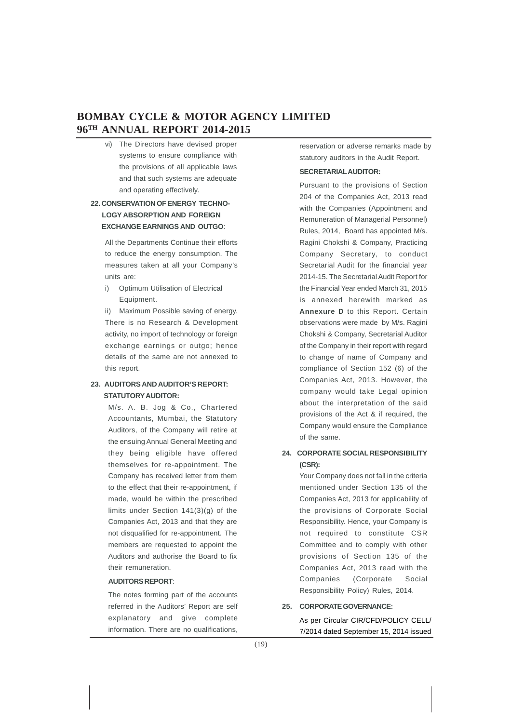vi) The Directors have devised proper systems to ensure compliance with the provisions of all applicable laws and that such systems are adequate and operating effectively.

### **22. CONSERVATION OF ENERGY TECHNO- LOGY ABSORPTION AND FOREIGN EXCHANGE EARNINGS AND OUTGO**:

All the Departments Continue their efforts to reduce the energy consumption. The measures taken at all your Company's units are:

i) Optimum Utilisation of Electrical Equipment.

ii) Maximum Possible saving of energy. There is no Research & Development activity, no import of technology or foreign exchange earnings or outgo; hence details of the same are not annexed to this report.

### **23. AUDITORS AND AUDITOR'S REPORT: STATUTORY AUDITOR:**

M/s. A. B. Jog & Co., Chartered Accountants, Mumbai, the Statutory Auditors, of the Company will retire at the ensuing Annual General Meeting and they being eligible have offered themselves for re-appointment. The Company has received letter from them to the effect that their re-appointment, if made, would be within the prescribed limits under Section 141(3)(g) of the Companies Act, 2013 and that they are not disqualified for re-appointment. The members are requested to appoint the Auditors and authorise the Board to fix their remuneration.

### **AUDITORS REPORT**:

The notes forming part of the accounts referred in the Auditors' Report are self explanatory and give complete information. There are no qualifications,

reservation or adverse remarks made by statutory auditors in the Audit Report.

### **SECRETARIAL AUDITOR:**

Pursuant to the provisions of Section 204 of the Companies Act, 2013 read with the Companies (Appointment and Remuneration of Managerial Personnel) Rules, 2014, Board has appointed M/s. Ragini Chokshi & Company, Practicing Company Secretary, to conduct Secretarial Audit for the financial year 2014-15. The Secretarial Audit Report for the Financial Year ended March 31, 2015 is annexed herewith marked as **Annexure D** to this Report. Certain observations were made by M/s. Ragini Chokshi & Company, Secretarial Auditor of the Company in their report with regard to change of name of Company and compliance of Section 152 (6) of the Companies Act, 2013. However, the company would take Legal opinion about the interpretation of the said provisions of the Act & if required, the Company would ensure the Compliance of the same.

### **24. CORPORATE SOCIAL RESPONSIBILITY (CSR):**

Your Company does not fall in the criteria mentioned under Section 135 of the Companies Act, 2013 for applicability of the provisions of Corporate Social Responsibility. Hence, your Company is not required to constitute CSR Committee and to comply with other provisions of Section 135 of the Companies Act, 2013 read with the Companies (Corporate Social Responsibility Policy) Rules, 2014.

### **25. CORPORATE GOVERNANCE:**

As per Circular CIR/CFD/POLICY CELL/ 7/2014 dated September 15, 2014 issued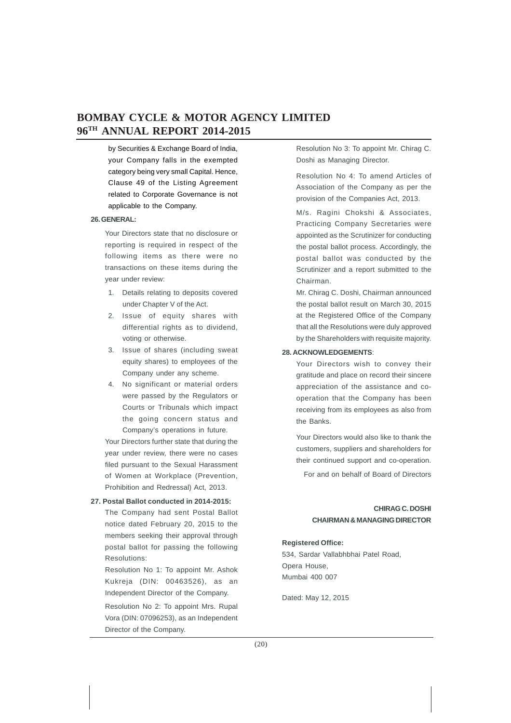by Securities & Exchange Board of India, your Company falls in the exempted category being very small Capital. Hence, Clause 49 of the Listing Agreement related to Corporate Governance is not applicable to the Company.

### **26. GENERAL:**

Your Directors state that no disclosure or reporting is required in respect of the following items as there were no transactions on these items during the year under review:

- 1. Details relating to deposits covered under Chapter V of the Act.
- 2. Issue of equity shares with differential rights as to dividend, voting or otherwise.
- 3. Issue of shares (including sweat equity shares) to employees of the Company under any scheme.
- 4. No significant or material orders were passed by the Regulators or Courts or Tribunals which impact the going concern status and Company's operations in future.

Your Directors further state that during the year under review, there were no cases filed pursuant to the Sexual Harassment of Women at Workplace (Prevention, Prohibition and Redressal) Act, 2013.

### **27. Postal Ballot conducted in 2014-2015:**

The Company had sent Postal Ballot notice dated February 20, 2015 to the members seeking their approval through postal ballot for passing the following Resolutions:

Resolution No 1: To appoint Mr. Ashok Kukreja (DIN: 00463526), as an Independent Director of the Company.

Resolution No 2: To appoint Mrs. Rupal Vora (DIN: 07096253), as an Independent Director of the Company.

Resolution No 3: To appoint Mr. Chirag C. Doshi as Managing Director.

Resolution No 4: To amend Articles of Association of the Company as per the provision of the Companies Act, 2013.

M/s. Ragini Chokshi & Associates, Practicing Company Secretaries were appointed as the Scrutinizer for conducting the postal ballot process. Accordingly, the postal ballot was conducted by the Scrutinizer and a report submitted to the Chairman.

Mr. Chirag C. Doshi, Chairman announced the postal ballot result on March 30, 2015 at the Registered Office of the Company that all the Resolutions were duly approved by the Shareholders with requisite majority.

### **28. ACKNOWLEDGEMENTS**:

Your Directors wish to convey their gratitude and place on record their sincere appreciation of the assistance and cooperation that the Company has been receiving from its employees as also from the Banks.

Your Directors would also like to thank the customers, suppliers and shareholders for their continued support and co-operation.

For and on behalf of Board of Directors

### **CHIRAG C. DOSHI CHAIRMAN & MANAGING DIRECTOR**

### **Registered Office:**

534, Sardar Vallabhbhai Patel Road, Opera House, Mumbai 400 007

Dated: May 12, 2015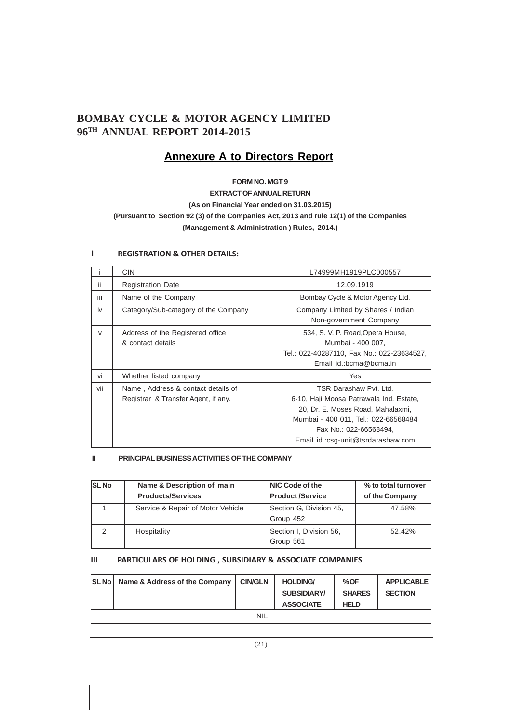### **Annexure A to Directors Report**

### **FORM NO. MGT 9**

### **EXTRACT OF ANNUAL RETURN (As on Financial Year ended on 31.03.2015) (Pursuant to Section 92 (3) of the Companies Act, 2013 and rule 12(1) of the Companies (Management & Administration ) Rules, 2014.)**

|        | <b>CIN</b>                                                                | L74999MH1919PLC000557                                                                                                                                                                                          |
|--------|---------------------------------------------------------------------------|----------------------------------------------------------------------------------------------------------------------------------------------------------------------------------------------------------------|
| ii     | <b>Registration Date</b>                                                  | 12.09.1919                                                                                                                                                                                                     |
| iii    | Name of the Company                                                       | Bombay Cycle & Motor Agency Ltd.                                                                                                                                                                               |
| iv     | Category/Sub-category of the Company                                      | Company Limited by Shares / Indian<br>Non-government Company                                                                                                                                                   |
| $\vee$ | Address of the Registered office<br>& contact details                     | 534, S. V. P. Road, Opera House,<br>Mumbai - 400 007,<br>Tel.: 022-40287110, Fax No.: 022-23634527,<br>Email id.:bcma@bcma.in                                                                                  |
| vi     | Whether listed company                                                    | Yes                                                                                                                                                                                                            |
| vii    | Name, Address & contact details of<br>Registrar & Transfer Agent, if any. | TSR Darashaw Pvt. Ltd.<br>6-10, Haji Moosa Patrawala Ind. Estate,<br>20, Dr. E. Moses Road, Mahalaxmi,<br>Mumbai - 400 011, Tel.: 022-66568484<br>Fax No.: 022-66568494,<br>Email id.:csg-unit@tsrdarashaw.com |

### **I REGISTRATION & OTHER DETAILS:**

### **II PRINCIPAL BUSINESS ACTIVITIES OF THE COMPANY**

| <b>SL No</b> | Name & Description of main<br><b>Products/Services</b> | NIC Code of the<br><b>Product /Service</b> | % to total turnover<br>of the Company |
|--------------|--------------------------------------------------------|--------------------------------------------|---------------------------------------|
|              | Service & Repair of Motor Vehicle                      | Section G. Division 45,<br>Group 452       | 47.58%                                |
| 2            | Hospitality                                            | Section I, Division 56,<br>Group 561       | 52.42%                                |

### **III PARTICULARS OF HOLDING , SUBSIDIARY & ASSOCIATE COMPANIES**

| <b>SL No</b> Name & Address of the Company | <b>CIN/GLN</b> | <b>HOLDING/</b><br><b>SUBSIDIARY/</b><br><b>ASSOCIATE</b> | %OF<br><b>SHARES</b><br><b>HELD</b> | <b>APPLICABLE</b><br><b>SECTION</b> |
|--------------------------------------------|----------------|-----------------------------------------------------------|-------------------------------------|-------------------------------------|
|                                            | <b>NIL</b>     |                                                           |                                     |                                     |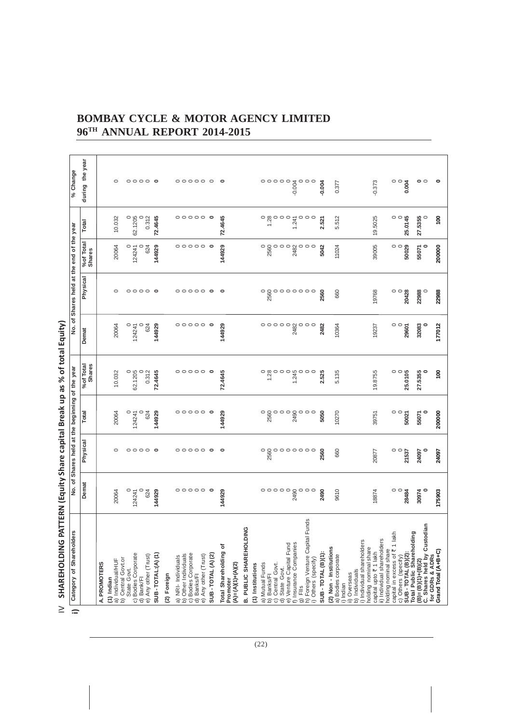| $\geq$   | <b>SHAREHOLDING</b>                                                     |                                 |                                                 |                                 | PATTERN (Equity Share capital Break up as % of total Equity)                                                                                                                                                                                                                                                                                                                                                                                                                        |                                                                                                                             |                                                                          |                                                      |                                                                                                                                                                                                                                                                                                                                                                                                                                                                                         |                                                     |  |
|----------|-------------------------------------------------------------------------|---------------------------------|-------------------------------------------------|---------------------------------|-------------------------------------------------------------------------------------------------------------------------------------------------------------------------------------------------------------------------------------------------------------------------------------------------------------------------------------------------------------------------------------------------------------------------------------------------------------------------------------|-----------------------------------------------------------------------------------------------------------------------------|--------------------------------------------------------------------------|------------------------------------------------------|-----------------------------------------------------------------------------------------------------------------------------------------------------------------------------------------------------------------------------------------------------------------------------------------------------------------------------------------------------------------------------------------------------------------------------------------------------------------------------------------|-----------------------------------------------------|--|
| $\equiv$ | ers<br>Category of Shareholde                                           |                                 | No. of Shares held at the beginning of the year |                                 |                                                                                                                                                                                                                                                                                                                                                                                                                                                                                     |                                                                                                                             | No. of Shares held at the end of the year                                |                                                      |                                                                                                                                                                                                                                                                                                                                                                                                                                                                                         | % Change                                            |  |
|          |                                                                         | Demat                           | Physical                                        | Total                           | <b>Shares</b><br>%of Total                                                                                                                                                                                                                                                                                                                                                                                                                                                          | Demat                                                                                                                       | Physical                                                                 | %of Total<br><b>Shares</b>                           | Total                                                                                                                                                                                                                                                                                                                                                                                                                                                                                   | during the year                                     |  |
|          | A. PROMOTERS                                                            |                                 |                                                 |                                 |                                                                                                                                                                                                                                                                                                                                                                                                                                                                                     |                                                                                                                             |                                                                          |                                                      |                                                                                                                                                                                                                                                                                                                                                                                                                                                                                         |                                                     |  |
|          | a) Individual/HUF<br>$(1)$ Indian                                       | 20064                           | $\circ$                                         | 20064                           | 10.032                                                                                                                                                                                                                                                                                                                                                                                                                                                                              | 20064                                                                                                                       | $\circ$                                                                  | 20064                                                | 10.032                                                                                                                                                                                                                                                                                                                                                                                                                                                                                  | $\circ$                                             |  |
|          | b) Central Govt.or<br>State Govt.                                       | $\circ$                         |                                                 | 0                               |                                                                                                                                                                                                                                                                                                                                                                                                                                                                                     | $\circ$                                                                                                                     |                                                                          | $\circ$                                              |                                                                                                                                                                                                                                                                                                                                                                                                                                                                                         |                                                     |  |
|          | c) Bodies Corporate<br>d) Bank/Fl                                       | 124241                          |                                                 | 124241                          | 62.1205                                                                                                                                                                                                                                                                                                                                                                                                                                                                             | 124241                                                                                                                      |                                                                          | 124241                                               | 62.1205                                                                                                                                                                                                                                                                                                                                                                                                                                                                                 |                                                     |  |
|          | e) Any other (Trust)                                                    | $\circ$<br>624                  | $\circ \circ \circ \circ \circ$                 | 624                             | 0.312                                                                                                                                                                                                                                                                                                                                                                                                                                                                               | 624                                                                                                                         | $\circ \circ \circ \circ \circ$                                          | 624                                                  | 0.312                                                                                                                                                                                                                                                                                                                                                                                                                                                                                   | $\circ \circ \circ \circ \circ$                     |  |
|          | SUB-TOTAL:(A)(1)                                                        | 144929                          |                                                 | 144929                          | 72.4645                                                                                                                                                                                                                                                                                                                                                                                                                                                                             | 144929                                                                                                                      |                                                                          | 144929                                               | 72.4645                                                                                                                                                                                                                                                                                                                                                                                                                                                                                 |                                                     |  |
|          | (2) Foreign                                                             |                                 |                                                 |                                 |                                                                                                                                                                                                                                                                                                                                                                                                                                                                                     |                                                                                                                             |                                                                          |                                                      |                                                                                                                                                                                                                                                                                                                                                                                                                                                                                         |                                                     |  |
|          | a) NRI- Individuals<br>b) Other Individuals                             |                                 |                                                 |                                 |                                                                                                                                                                                                                                                                                                                                                                                                                                                                                     |                                                                                                                             |                                                                          |                                                      |                                                                                                                                                                                                                                                                                                                                                                                                                                                                                         |                                                     |  |
|          |                                                                         |                                 |                                                 |                                 |                                                                                                                                                                                                                                                                                                                                                                                                                                                                                     |                                                                                                                             |                                                                          |                                                      |                                                                                                                                                                                                                                                                                                                                                                                                                                                                                         |                                                     |  |
|          | c) Bodies Corporate<br>d) Banks/Fl                                      | $\circ \circ \circ \circ \circ$ | 00000                                           | $\circ \circ \circ \circ \circ$ | $\circ \circ \circ \circ \circ$                                                                                                                                                                                                                                                                                                                                                                                                                                                     |                                                                                                                             | $\circ \circ \circ \circ \circ$                                          | $\circ \circ \circ \circ \circ$                      | $\circ \circ \circ \circ \circ$                                                                                                                                                                                                                                                                                                                                                                                                                                                         | $\circ\circ\circ\circ\circ$                         |  |
|          | SUB-TOTAL (A) (2)<br>e) Any other (Trust)                               | $\circ$                         | $\circ$                                         | $\circ$                         | $\circ$                                                                                                                                                                                                                                                                                                                                                                                                                                                                             | $\circ \circ \circ \circ \circ \bullet$                                                                                     | $\circ$                                                                  | $\circ$                                              | $\circ$                                                                                                                                                                                                                                                                                                                                                                                                                                                                                 | $\circ$                                             |  |
|          | Total Shareholding of                                                   | 144929                          | $\circ$                                         | 144929                          | 72.4645                                                                                                                                                                                                                                                                                                                                                                                                                                                                             | 144929                                                                                                                      | $\circ$                                                                  | 144929                                               | 72.4645                                                                                                                                                                                                                                                                                                                                                                                                                                                                                 | $\circ$                                             |  |
|          | $(A)=(A)(1)+(A)(2)$<br>Promoter                                         |                                 |                                                 |                                 |                                                                                                                                                                                                                                                                                                                                                                                                                                                                                     |                                                                                                                             |                                                                          |                                                      |                                                                                                                                                                                                                                                                                                                                                                                                                                                                                         |                                                     |  |
|          | <b>B. PUBLIC SHAREHOLDING</b>                                           |                                 |                                                 |                                 |                                                                                                                                                                                                                                                                                                                                                                                                                                                                                     |                                                                                                                             |                                                                          |                                                      |                                                                                                                                                                                                                                                                                                                                                                                                                                                                                         |                                                     |  |
|          | (1) Institutions                                                        |                                 |                                                 |                                 |                                                                                                                                                                                                                                                                                                                                                                                                                                                                                     |                                                                                                                             |                                                                          |                                                      |                                                                                                                                                                                                                                                                                                                                                                                                                                                                                         |                                                     |  |
|          | a) Mutual Funds                                                         |                                 |                                                 | $\circ$                         |                                                                                                                                                                                                                                                                                                                                                                                                                                                                                     |                                                                                                                             | $\circ$                                                                  |                                                      |                                                                                                                                                                                                                                                                                                                                                                                                                                                                                         |                                                     |  |
|          | Central Govt.<br>b) Banks/FI<br>$\widehat{\circ}$                       |                                 |                                                 | $\circ$<br>2560                 |                                                                                                                                                                                                                                                                                                                                                                                                                                                                                     |                                                                                                                             | 2560                                                                     | $\begin{array}{c} 0 \\ 0 \\ 0 \\ 0 \\ 0 \end{array}$ | $\begin{array}{c}\n0 & \text{as} \\ 0 & \text{as} \\ 1 & \text{as} \\ 0 & \text{as} \\ 0 & \text{as} \\ 0 & \text{as} \\ 0 & \text{as} \\ 0 & \text{as} \\ 0 & \text{as} \\ 0 & \text{as} \\ 0 & \text{as} \\ 0 & \text{as} \\ 0 & \text{as} \\ 0 & \text{as} \\ 0 & \text{as} \\ 0 & \text{as} \\ 0 & \text{as} \\ 0 & \text{as} \\ 0 & \text{as} \\ 0 & \text{as} \\ 0 & \text{as} \\ 0 & \text{as} \\ 0 & \text{as} \\ 0 & \text{as} \\ 0 & \text{as} \\ 0 & \text{as} \\ 0 & \text$ |                                                     |  |
|          | d) State Govt.<br>e) Venture Capital Fund                               |                                 |                                                 |                                 |                                                                                                                                                                                                                                                                                                                                                                                                                                                                                     |                                                                                                                             |                                                                          |                                                      |                                                                                                                                                                                                                                                                                                                                                                                                                                                                                         |                                                     |  |
|          | f) Insurance Companies                                                  |                                 |                                                 | $\circ$<br>2490                 |                                                                                                                                                                                                                                                                                                                                                                                                                                                                                     |                                                                                                                             |                                                                          | 2482                                                 | 1.241                                                                                                                                                                                                                                                                                                                                                                                                                                                                                   |                                                     |  |
|          | g) Flls<br>h) Foreign Venture Capital                                   |                                 |                                                 | $\circ$                         |                                                                                                                                                                                                                                                                                                                                                                                                                                                                                     |                                                                                                                             |                                                                          |                                                      |                                                                                                                                                                                                                                                                                                                                                                                                                                                                                         |                                                     |  |
|          | Funds<br>i) Others (specify)                                            | $\circ \circ \circ$             |                                                 | $\circ$                         | $\begin{array}{c}\n 0 & \text{if } \\  0 & \text{if } \\  0 & \text{if } \\  0 & \text{if } \\  0 & \text{if } \\  0 & \text{if } \\  0 & \text{if } \\  0 & \text{if } \\  0 & \text{if } \\  0 & \text{if } \\  0 & \text{if } \\  0 & \text{if } \\  0 & \text{if } \\  0 & \text{if } \\  0 & \text{if } \\  0 & \text{if } \\  0 & \text{if } \\  0 & \text{if } \\  0 & \text{if } \\  0 & \text{if } \\  0 & \text{if } \\  0 & \text{if } \\  0 & \text{if } \\  0 & \text$ | $\begin{matrix} 0 & 0 & 0 & 0 & 0 & 0 \\ 0 & 0 & 0 & 0 & 0 \\ 0 & 0 & 0 & 0 \\ 0 & 0 & 0 & 0 \\ 0 & 0 & 0 & 0 \end{matrix}$ | $\begin{array}{c} \circ \circ \circ \circ \circ \circ \circ \end{array}$ | $\circ \circ \circ$                                  | $\circ \circ \circ$                                                                                                                                                                                                                                                                                                                                                                                                                                                                     | $\circ \circ \circ$                                 |  |
|          | SUB-TOTAL (B)(1):                                                       | 2490                            | 2560                                            | 5050                            | 2.525                                                                                                                                                                                                                                                                                                                                                                                                                                                                               | 2482                                                                                                                        | 2560                                                                     | 5042                                                 | 2.521                                                                                                                                                                                                                                                                                                                                                                                                                                                                                   | $-0.004$                                            |  |
|          | (2) Non - Institutions<br>a) Bodies corporate                           | 9610                            | 660                                             | 10270                           | 5.135                                                                                                                                                                                                                                                                                                                                                                                                                                                                               | 10364                                                                                                                       | 660                                                                      | 11024                                                | 5.512                                                                                                                                                                                                                                                                                                                                                                                                                                                                                   | 0.377                                               |  |
|          | ii) Overseas<br>i) Indian                                               |                                 |                                                 |                                 |                                                                                                                                                                                                                                                                                                                                                                                                                                                                                     |                                                                                                                             |                                                                          |                                                      |                                                                                                                                                                                                                                                                                                                                                                                                                                                                                         |                                                     |  |
|          | i) Individual shareholders<br>b) Individuals                            |                                 |                                                 |                                 |                                                                                                                                                                                                                                                                                                                                                                                                                                                                                     |                                                                                                                             |                                                                          |                                                      |                                                                                                                                                                                                                                                                                                                                                                                                                                                                                         |                                                     |  |
|          | holding nominal share                                                   |                                 |                                                 |                                 |                                                                                                                                                                                                                                                                                                                                                                                                                                                                                     |                                                                                                                             |                                                                          |                                                      |                                                                                                                                                                                                                                                                                                                                                                                                                                                                                         |                                                     |  |
|          | ii) Individual shareholders<br>capital upto ₹ 1 lakh                    | 18874                           | 20877                                           | 39751                           | 19.8755                                                                                                                                                                                                                                                                                                                                                                                                                                                                             | 19237                                                                                                                       | 19768                                                                    | 39005                                                | 19.5025                                                                                                                                                                                                                                                                                                                                                                                                                                                                                 | $-0.373$                                            |  |
|          | capital in excess of ₹ 1 lakh<br>holding nominal share                  |                                 |                                                 |                                 |                                                                                                                                                                                                                                                                                                                                                                                                                                                                                     |                                                                                                                             |                                                                          |                                                      |                                                                                                                                                                                                                                                                                                                                                                                                                                                                                         |                                                     |  |
|          |                                                                         | $rac{1}{28480}$                 | $rac{1}{2}$<br>$21537$                          | $\circ$                         | $\circ$                                                                                                                                                                                                                                                                                                                                                                                                                                                                             | $rac{1}{2}$                                                                                                                 | $\circ$                                                                  | $\frac{1}{2}$<br>50029                               | $\begin{array}{c}\n0 \\ 0 \\ 25.0145\n\end{array}$                                                                                                                                                                                                                                                                                                                                                                                                                                      | $\begin{smallmatrix}0&&0\&0\0&0&0\end{smallmatrix}$ |  |
|          | c) Others (specify)<br>SUB - TOTAL (B)(2):<br>Total Public Shareholding |                                 |                                                 | 50021                           | 25.0105                                                                                                                                                                                                                                                                                                                                                                                                                                                                             |                                                                                                                             | 20428                                                                    |                                                      |                                                                                                                                                                                                                                                                                                                                                                                                                                                                                         |                                                     |  |
|          | $(B)=(B)(1)+(B)(2)$<br>C. Shares held by Custodian                      | 30974                           | $\circ$<br>24097                                | $\circ$<br>55071                | 27.5355<br>0                                                                                                                                                                                                                                                                                                                                                                                                                                                                        | 32083                                                                                                                       | $\circ$<br>22988                                                         | $\circ$<br>55071                                     | 27.5355<br>0                                                                                                                                                                                                                                                                                                                                                                                                                                                                            | $\circ$                                             |  |
|          | for GDRs & ADRs                                                         |                                 |                                                 |                                 |                                                                                                                                                                                                                                                                                                                                                                                                                                                                                     |                                                                                                                             |                                                                          |                                                      |                                                                                                                                                                                                                                                                                                                                                                                                                                                                                         |                                                     |  |
|          | Grand Total (A+B+C)                                                     | 175903                          | 24097                                           | 200000                          | $\frac{8}{1}$                                                                                                                                                                                                                                                                                                                                                                                                                                                                       | 177012                                                                                                                      | 22988                                                                    | 200000                                               | $\frac{8}{1}$                                                                                                                                                                                                                                                                                                                                                                                                                                                                           | ۰                                                   |  |

(22)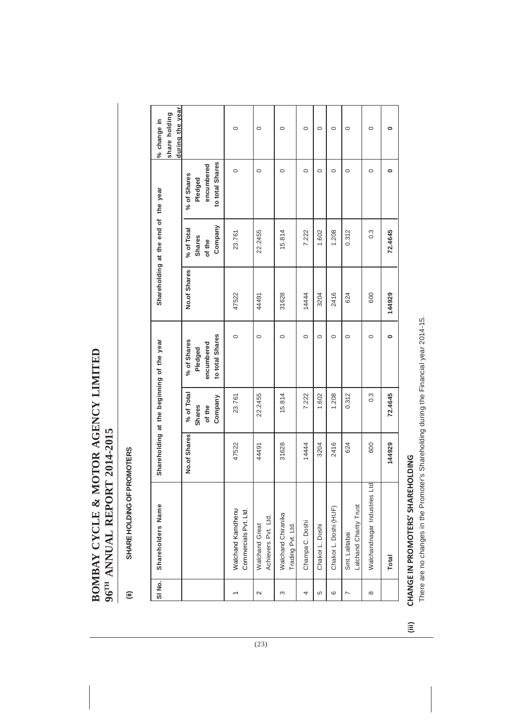## BOMBAY CYCLE & MOTOR AGENCY LIMITED **BOMBAY CYCLE & MOTOR AGENCY LIMITED** 96TH ANNUAL REPORT 2014-2015 **96TH ANNUAL REPORT 2014-2015**

### SHARE HOLDING OF PROMOTERS **(ii) SHARE HOLDING OF PROMOTERS**  $\widehat{\equiv}$

| SINo.    | Shareholders Name                            |              |                                                  | Shareholding at the beginning of the year               |              | Shareholding at the end of the year       |                                                         | during the year<br>share holding<br>% change in |
|----------|----------------------------------------------|--------------|--------------------------------------------------|---------------------------------------------------------|--------------|-------------------------------------------|---------------------------------------------------------|-------------------------------------------------|
|          |                                              | No.of Shares | % of Total<br>Company<br><b>Shares</b><br>of the | to total Shares<br>% of Shares<br>encumbered<br>Pledged | No.of Shares | Company<br>% of Total<br>Shares<br>of the | to total Shares<br>encumbered<br>% of Shares<br>Pledged |                                                 |
|          | Walchand Kamdhenu<br>Commercials Pvt. Ltd.   | 47522        | 23.761                                           | $\circ$                                                 | 47522        | 23.761                                    | $\circ$                                                 | $\circ$                                         |
| $\sim$   | Achievers Pvt. Ltd.<br><b>Walchand Great</b> | 44491        | 22.2455                                          | $\circ$                                                 | 44491        | 22.2455                                   | $\circ$                                                 | $\circ$                                         |
| 3        | Walchand Chiranika<br>Trading Pvt. Ltd.      | 31628        | 15.814                                           | $\circ$                                                 | 31628        | 15.814                                    | $\circ$                                                 | $\circ$                                         |
| 4        | Champa C. Doshi                              | 14444        | 7.222                                            | $\circ$                                                 | 14444        | 7.222                                     | $\circ$                                                 | $\circ$                                         |
| 5        | Chakor L. Doshi                              | 3204         | 1.602                                            | $\circ$                                                 | 3204         | 1.602                                     | $\circ$                                                 | $\circ$                                         |
| ပ        | Chakor L. Doshi (HUF)                        | 2416         | 1.208                                            | $\circ$                                                 | 2416         | 1.208                                     | $\circ$                                                 | $\circ$                                         |
| L        | Lalchand Charity Trust<br>Smt. Lalitabai     | 624          | 0.312                                            | $\circ$                                                 | 624          | 0.312                                     | $\circ$                                                 | $\circ$                                         |
| $\infty$ | Walchandnagar Industries Ltd.                | 600          | $0.\overline{3}$                                 | $\circ$                                                 | 600          | $0.\overline{3}$                          | $\circ$                                                 | $\circ$                                         |
|          | Total                                        | 144929       | 72.4645                                          | $\bullet$                                               | 144929       | 72.4645                                   | $\bullet$                                               | $\bullet$                                       |

### CHANGE IN PROMOTERS' SHAREHOLDING **(iii) CHANGE IN PROMOTERS' SHAREHOLDING**  $\widehat{\equiv}$

There are no changes in the Promoter's Shareholding during the Financial year 2014-15. There are no changes in the Promoter's Shareholding during the Financial year 2014-15.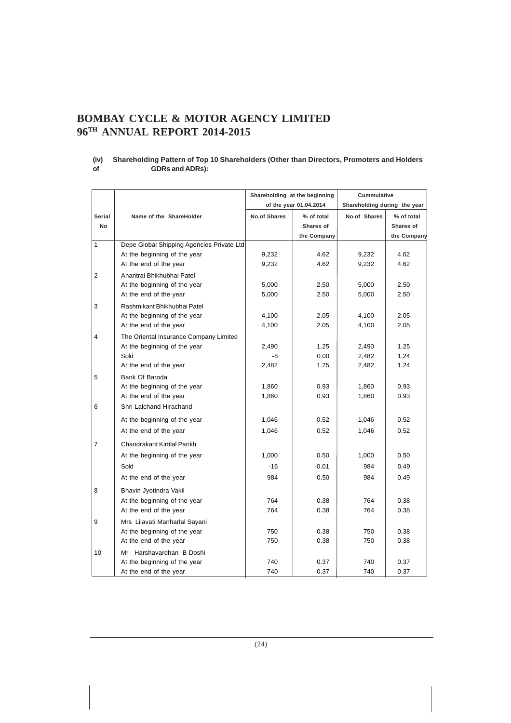### **(iv) Shareholding Pattern of Top 10 Shareholders (Other than Directors, Promoters and Holders of GDRs and ADRs):**

|                |                                           | Shareholding at the beginning |                        | Cummulative                  |             |
|----------------|-------------------------------------------|-------------------------------|------------------------|------------------------------|-------------|
|                |                                           |                               | of the year 01.04.2014 | Shareholding during the year |             |
| <b>Serial</b>  | Name of the ShareHolder                   | <b>No.of Shares</b>           | % of total             | No.of Shares                 | % of total  |
| <b>No</b>      |                                           |                               | Shares of              |                              | Shares of   |
|                |                                           |                               | the Company            |                              | the Company |
| 1              | Depe Global Shipping Agencies Private Ltd |                               |                        |                              |             |
|                | At the beginning of the year              | 9,232                         | 4.62                   | 9,232                        | 4.62        |
|                | At the end of the year                    | 9,232                         | 4.62                   | 9,232                        | 4.62        |
| 2              | Anantrai Bhikhubhai Patel                 |                               |                        |                              |             |
|                | At the beginning of the year              | 5,000                         | 2.50                   | 5,000                        | 2.50        |
|                | At the end of the year                    | 5,000                         | 2.50                   | 5,000                        | 2.50        |
| 3              | Rashmikant Bhikhubhai Patel               |                               |                        |                              |             |
|                | At the beginning of the year              | 4,100                         | 2.05                   | 4,100                        | 2.05        |
|                | At the end of the year                    | 4,100                         | 2.05                   | 4,100                        | 2.05        |
| 4              | The Oriental Insurance Company Limited    |                               |                        |                              |             |
|                | At the beginning of the year              | 2,490                         | 1.25                   | 2,490                        | 1.25        |
|                | Sold                                      | -8                            | 0.00                   | 2,482                        | 1.24        |
|                | At the end of the year                    | 2,482                         | 1.25                   | 2,482                        | 1.24        |
| 5              | Bank Of Baroda                            |                               |                        |                              |             |
|                | At the beginning of the year              | 1,860                         | 0.93                   | 1,860                        | 0.93        |
|                | At the end of the year                    | 1,860                         | 0.93                   | 1,860                        | 0.93        |
| 6              | Shri Lalchand Hirachand                   |                               |                        |                              |             |
|                | At the beginning of the year              | 1,046                         | 0.52                   | 1,046                        | 0.52        |
|                | At the end of the year                    | 1,046                         | 0.52                   | 1,046                        | 0.52        |
| $\overline{7}$ | Chandrakant Kirtilal Parikh               |                               |                        |                              |             |
|                | At the beginning of the year              | 1,000                         | 0.50                   | 1,000                        | 0.50        |
|                | Sold                                      | $-16$                         | $-0.01$                | 984                          | 0.49        |
|                | At the end of the year                    | 984                           | 0.50                   | 984                          | 0.49        |
| 8              | Bhavin Jyotindra Vakil                    |                               |                        |                              |             |
|                | At the beginning of the year              | 764                           | 0.38                   | 764                          | 0.38        |
|                | At the end of the year                    | 764                           | 0.38                   | 764                          | 0.38        |
| 9              | Mrs Lilavati Manharlal Sayani             |                               |                        |                              |             |
|                | At the beginning of the year              | 750                           | 0.38                   | 750                          | 0.38        |
|                | At the end of the year                    | 750                           | 0.38                   | 750                          | 0.38        |
| 10             | Mr Harshavardhan B Doshi                  |                               |                        |                              |             |
|                | At the beginning of the year              | 740                           | 0.37                   | 740                          | 0.37        |
|                | At the end of the year                    | 740                           | 0.37                   | 740                          | 0.37        |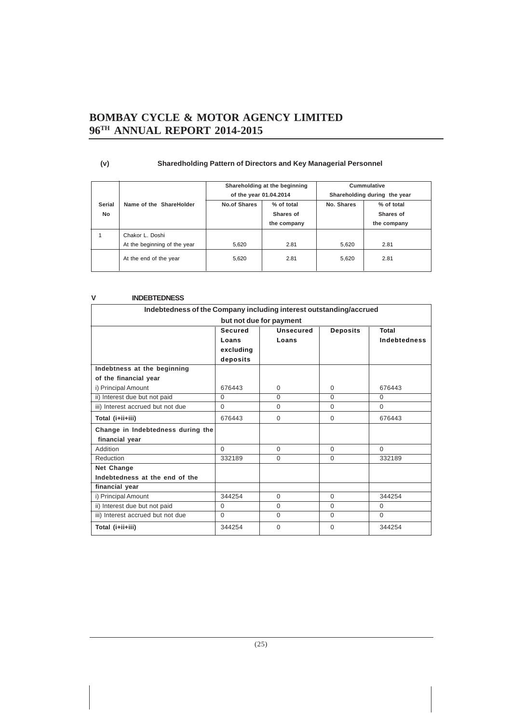| (v) | <b>Sharedholding Pattern of Directors and Key Managerial Personnel</b> |
|-----|------------------------------------------------------------------------|
|-----|------------------------------------------------------------------------|

|                            |                                                 | of the year 01.04.2014 | Shareholding at the beginning          | Cummulative<br>Shareholding during the year |                                        |  |
|----------------------------|-------------------------------------------------|------------------------|----------------------------------------|---------------------------------------------|----------------------------------------|--|
| <b>Serial</b><br><b>No</b> | Name of the ShareHolder                         | <b>No.of Shares</b>    | % of total<br>Shares of<br>the company | No. Shares                                  | % of total<br>Shares of<br>the company |  |
|                            | Chakor L. Doshi<br>At the beginning of the year | 5,620                  | 2.81                                   | 5,620                                       | 2.81                                   |  |
|                            | At the end of the year                          | 5.620                  | 2.81                                   | 5,620                                       | 2.81                                   |  |

### **V INDEBTEDNESS**

| Indebtedness of the Company including interest outstanding/accrued |                                           |                           |                 |                              |  |  |
|--------------------------------------------------------------------|-------------------------------------------|---------------------------|-----------------|------------------------------|--|--|
|                                                                    |                                           | but not due for payment   |                 |                              |  |  |
|                                                                    | Secured<br>Loans<br>excluding<br>deposits | <b>Unsecured</b><br>Loans | <b>Deposits</b> | Total<br><b>Indebtedness</b> |  |  |
| Indebtness at the beginning                                        |                                           |                           |                 |                              |  |  |
| of the financial year                                              |                                           |                           |                 |                              |  |  |
| i) Principal Amount                                                | 676443                                    | 0                         | $\Omega$        | 676443                       |  |  |
| ii) Interest due but not paid                                      | $\Omega$                                  | $\Omega$                  | $\Omega$        | $\Omega$                     |  |  |
| iii) Interest accrued but not due                                  | $\Omega$                                  | 0                         | $\Omega$        | $\Omega$                     |  |  |
| Total (i+ii+iii)                                                   | 676443                                    | $\Omega$                  | $\Omega$        | 676443                       |  |  |
| Change in Indebtedness during the                                  |                                           |                           |                 |                              |  |  |
| financial year                                                     |                                           |                           |                 |                              |  |  |
| Addition                                                           | $\Omega$                                  | $\Omega$                  | $\Omega$        | $\Omega$                     |  |  |
| Reduction                                                          | 332189                                    | $\Omega$                  | $\Omega$        | 332189                       |  |  |
| <b>Net Change</b>                                                  |                                           |                           |                 |                              |  |  |
| Indebtedness at the end of the                                     |                                           |                           |                 |                              |  |  |
| financial year                                                     |                                           |                           |                 |                              |  |  |
| i) Principal Amount                                                | 344254                                    | $\Omega$                  | $\Omega$        | 344254                       |  |  |
| ii) Interest due but not paid                                      | $\Omega$                                  | 0                         | $\Omega$        | $\Omega$                     |  |  |
| iii) Interest accrued but not due                                  | $\Omega$                                  | 0                         | $\Omega$        | $\Omega$                     |  |  |
| Total (i+ii+iii)                                                   | 344254                                    | $\Omega$                  | $\Omega$        | 344254                       |  |  |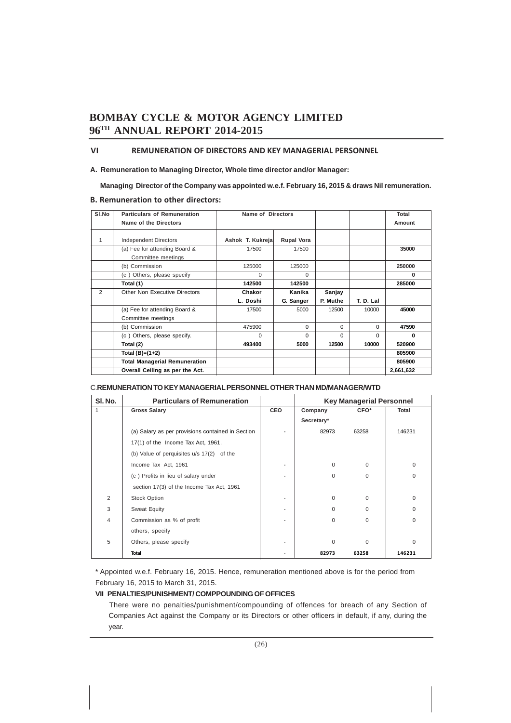### **VI REMUNERATION OF DIRECTORS AND KEY MANAGERIAL PERSONNEL**

### **A. Remuneration to Managing Director, Whole time director and/or Manager:**

 **Managing Director of the Company was appointed w.e.f. February 16, 2015 & draws Nil remuneration.**

### **B. Remuneration to other directors:**

| SI.No | <b>Particulars of Remuneration</b>                  | Name of Directors |                   |          |           | Total     |
|-------|-----------------------------------------------------|-------------------|-------------------|----------|-----------|-----------|
|       | Name of the Directors                               |                   |                   |          | Amount    |           |
| 1     | <b>Independent Directors</b>                        | Ashok T. Kukreja  | <b>Rupal Vora</b> |          |           |           |
|       | (a) Fee for attending Board &<br>Committee meetings | 17500             | 17500             |          |           | 35000     |
|       | (b) Commission                                      | 125000            | 125000            |          |           | 250000    |
|       | (c) Others, please specify                          | $\Omega$          | $\Omega$          |          |           | O         |
|       | Total (1)                                           | 142500            | 142500            |          |           | 285000    |
| 2     | Other Non Executive Directors                       | Chakor            | Kanika            | Sanjay   |           |           |
|       |                                                     | L. Doshi          | G. Sanger         | P. Muthe | T. D. Lal |           |
|       | (a) Fee for attending Board &                       | 17500             | 5000              | 12500    | 10000     | 45000     |
|       | Committee meetings                                  |                   |                   |          |           |           |
|       | (b) Commission                                      | 475900            | 0                 | $\Omega$ | $\Omega$  | 47590     |
|       | (c) Others, please specify.                         | $\Omega$          | $\Omega$          | $\Omega$ | $\Omega$  | 0         |
|       | Total (2)                                           | 493400            | 5000              | 12500    | 10000     | 520900    |
|       | Total $(B)=(1+2)$                                   |                   |                   |          |           | 805900    |
|       | <b>Total Managerial Remuneration</b>                |                   |                   |          |           | 805900    |
|       | Overall Ceiling as per the Act.                     |                   |                   |          |           | 2,661,632 |

### C.**REMUNERATION TO KEY MANAGERIAL PERSONNEL OTHER THAN MD/MANAGER/WTD**

| SI. No. | <b>Particulars of Remuneration</b>                |     | <b>Key Managerial Personnel</b> |          |          |
|---------|---------------------------------------------------|-----|---------------------------------|----------|----------|
| 1       | <b>Gross Salary</b>                               | CEO | Company                         | CFO*     | Total    |
|         |                                                   |     | Secretary*                      |          |          |
|         | (a) Salary as per provisions contained in Section |     | 82973                           | 63258    | 146231   |
|         | $17(1)$ of the Income Tax Act, 1961.              |     |                                 |          |          |
|         | (b) Value of perquisites u/s 17(2) of the         |     |                                 |          |          |
|         | Income Tax Act, 1961                              |     | $\Omega$                        | $\Omega$ | $\Omega$ |
|         | (c) Profits in lieu of salary under               |     | $\Omega$                        | $\Omega$ | $\Omega$ |
|         | section 17(3) of the Income Tax Act, 1961         |     |                                 |          |          |
| 2       | <b>Stock Option</b>                               |     | $\Omega$                        | $\Omega$ | $\Omega$ |
| 3       | <b>Sweat Equity</b>                               |     | $\Omega$                        | $\Omega$ | $\Omega$ |
| 4       | Commission as % of profit                         |     | $\Omega$                        | $\Omega$ | $\Omega$ |
|         | others, specify                                   |     |                                 |          |          |
| 5       | Others, please specify                            |     | $\Omega$                        | $\Omega$ | $\Omega$ |
|         | <b>Total</b>                                      |     | 82973                           | 63258    | 146231   |

\* Appointed w.e.f. February 16, 2015. Hence, remuneration mentioned above is for the period from February 16, 2015 to March 31, 2015.

### **VII PENALTIES/PUNISHMENT/ COMPPOUNDING OF OFFICES**

There were no penalties/punishment/compounding of offences for breach of any Section of Companies Act against the Company or its Directors or other officers in default, if any, during the year.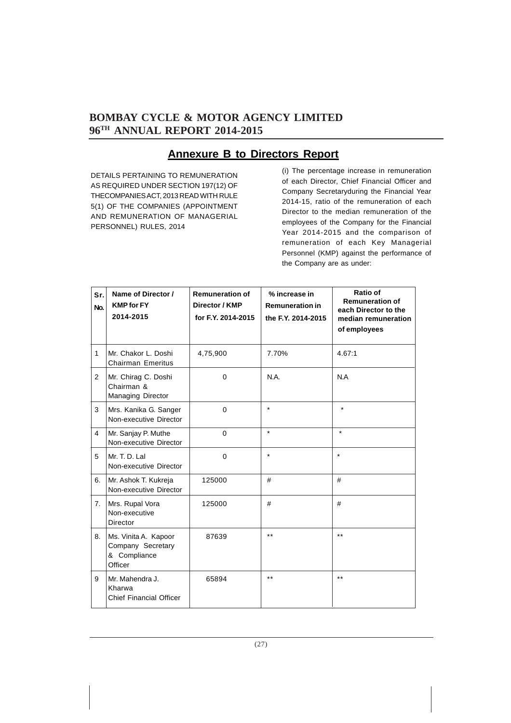### **Annexure B to Directors Report**

DETAILS PERTAINING TO REMUNERATION AS REQUIRED UNDER SECTION 197(12) OF THECOMPANIES ACT, 2013 READ WITH RULE 5(1) OF THE COMPANIES (APPOINTMENT AND REMUNERATION OF MANAGERIAL PERSONNEL) RULES, 2014

(i) The percentage increase in remuneration of each Director, Chief Financial Officer and Company Secretaryduring the Financial Year 2014-15, ratio of the remuneration of each Director to the median remuneration of the employees of the Company for the Financial Year 2014-2015 and the comparison of remuneration of each Key Managerial Personnel (KMP) against the performance of the Company are as under:

| Sr.<br>No.     | Name of Director /<br><b>KMP</b> for FY<br>2014-2015                 | <b>Remuneration of</b><br>Director / KMP<br>for F.Y. 2014-2015 | % increase in<br><b>Remuneration in</b><br>the F.Y. 2014-2015 | Ratio of<br><b>Remuneration of</b><br>each Director to the<br>median remuneration<br>of employees |
|----------------|----------------------------------------------------------------------|----------------------------------------------------------------|---------------------------------------------------------------|---------------------------------------------------------------------------------------------------|
| $\mathbf{1}$   | Mr. Chakor L. Doshi<br><b>Chairman Emeritus</b>                      | 4,75,900                                                       | 7.70%                                                         | 4.67:1                                                                                            |
| 2              | Mr. Chirag C. Doshi<br>Chairman &<br>Managing Director               | $\mathbf 0$                                                    | N.A.                                                          | N.A                                                                                               |
| 3              | Mrs. Kanika G. Sanger<br>Non-executive Director                      | $\Omega$                                                       | $\star$                                                       | $\star$                                                                                           |
| $\overline{4}$ | Mr. Sanjay P. Muthe<br>Non-executive Director                        | $\Omega$                                                       | $\star$                                                       | $\star$                                                                                           |
| 5              | Mr. T. D. Lal<br>Non-executive Director                              | $\mathbf 0$                                                    | $\star$                                                       | $\star$                                                                                           |
| 6.             | Mr. Ashok T. Kukreja<br>Non-executive Director                       | 125000                                                         | #                                                             | #                                                                                                 |
| 7 <sub>1</sub> | Mrs. Rupal Vora<br>Non-executive<br>Director                         | 125000                                                         | #                                                             | #                                                                                                 |
| 8.             | Ms. Vinita A. Kapoor<br>Company Secretary<br>& Compliance<br>Officer | 87639                                                          | $**$                                                          | $***$                                                                                             |
| 9              | Mr. Mahendra J.<br>Kharwa<br><b>Chief Financial Officer</b>          | 65894                                                          | $***$                                                         | $***$                                                                                             |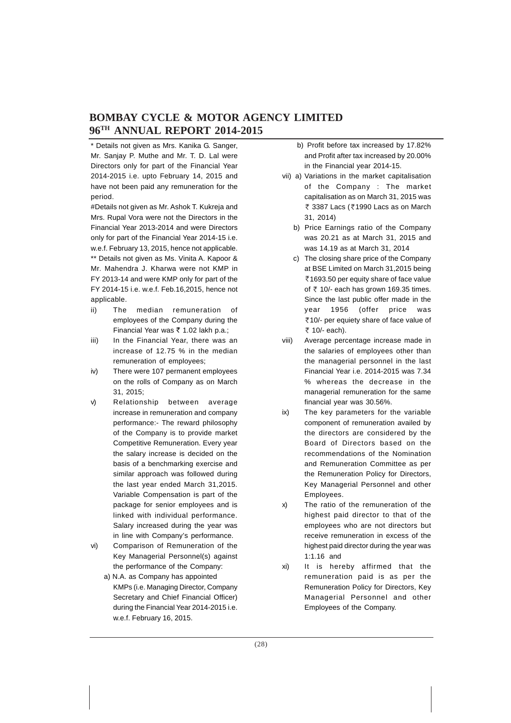\* Details not given as Mrs. Kanika G. Sanger, Mr. Sanjay P. Muthe and Mr. T. D. Lal were Directors only for part of the Financial Year 2014-2015 i.e. upto February 14, 2015 and have not been paid any remuneration for the period.

#Details not given as Mr. Ashok T. Kukreja and Mrs. Rupal Vora were not the Directors in the Financial Year 2013-2014 and were Directors only for part of the Financial Year 2014-15 i.e. w.e.f. February 13, 2015, hence not applicable. \*\* Details not given as Ms. Vinita A. Kapoor & Mr. Mahendra J. Kharwa were not KMP in FY 2013-14 and were KMP only for part of the FY 2014-15 i.e. w.e.f. Feb.16,2015, hence not applicable.

- ii) The median remuneration of employees of the Company during the Financial Year was  $\bar{\tau}$  1.02 lakh p.a.;
- iii) In the Financial Year, there was an increase of 12.75 % in the median remuneration of employees;
- iv) There were 107 permanent employees on the rolls of Company as on March 31, 2015;
- v) Relationship between average increase in remuneration and company performance:- The reward philosophy of the Company is to provide market Competitive Remuneration. Every year the salary increase is decided on the basis of a benchmarking exercise and similar approach was followed during the last year ended March 31,2015. Variable Compensation is part of the package for senior employees and is linked with individual performance. Salary increased during the year was in line with Company's performance.
- vi) Comparison of Remuneration of the Key Managerial Personnel(s) against the performance of the Company:
	- a) N.A. as Company has appointed KMPs (i.e. Managing Director, Company Secretary and Chief Financial Officer) during the Financial Year 2014-2015 i.e. w.e.f. February 16, 2015.
- b) Profit before tax increased by 17.82% and Profit after tax increased by 20.00% in the Financial year 2014-15.
- vii) a) Variations in the market capitalisation of the Company : The market capitalisation as on March 31, 2015 was ₹ 3387 Lacs (₹1990 Lacs as on March 31, 2014)
	- b) Price Earnings ratio of the Company was 20.21 as at March 31, 2015 and was 14.19 as at March 31, 2014
	- c) The closing share price of the Company at BSE Limited on March 31,2015 being ₹1693.50 per equity share of face value of  $\overline{\zeta}$  10/- each has grown 169.35 times. Since the last public offer made in the year 1956 (offer price was `10/- per equiety share of face value of ₹ 10/- each).
- viii) Average percentage increase made in the salaries of employees other than the managerial personnel in the last Financial Year i.e. 2014-2015 was 7.34 % whereas the decrease in the managerial remuneration for the same financial year was 30.56%.
- ix) The key parameters for the variable component of remuneration availed by the directors are considered by the Board of Directors based on the recommendations of the Nomination and Remuneration Committee as per the Remuneration Policy for Directors, Key Managerial Personnel and other Employees.
- x) The ratio of the remuneration of the highest paid director to that of the employees who are not directors but receive remuneration in excess of the highest paid director during the year was 1:1.16 and
- xi) It is hereby affirmed that the remuneration paid is as per the Remuneration Policy for Directors, Key Managerial Personnel and other Employees of the Company.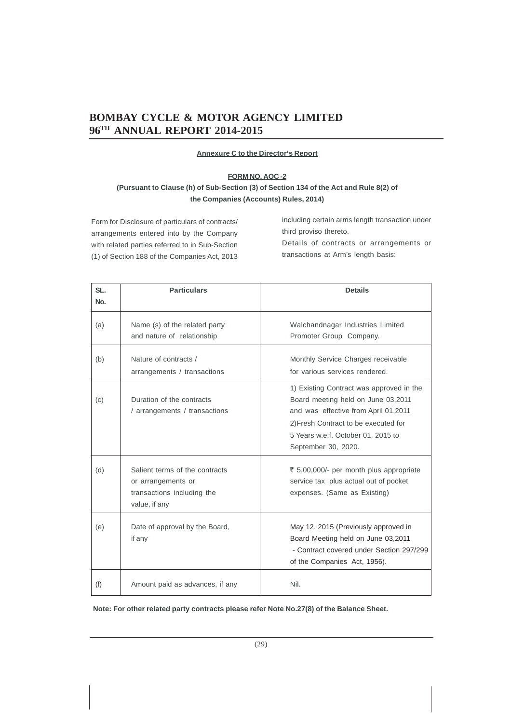### **Annexure C to the Director's Report**

### **FORM NO. AOC -2**

### **(Pursuant to Clause (h) of Sub-Section (3) of Section 134 of the Act and Rule 8(2) of the Companies (Accounts) Rules, 2014)**

Form for Disclosure of particulars of contracts/ arrangements entered into by the Company with related parties referred to in Sub-Section (1) of Section 188 of the Companies Act, 2013 including certain arms length transaction under third proviso thereto. Details of contracts or arrangements or transactions at Arm's length basis:

| SL.<br>No. | <b>Particulars</b>                                                                                  | <b>Details</b>                                                                                                                                                                                                              |
|------------|-----------------------------------------------------------------------------------------------------|-----------------------------------------------------------------------------------------------------------------------------------------------------------------------------------------------------------------------------|
| (a)        | Name (s) of the related party<br>and nature of relationship                                         | Walchandnagar Industries Limited<br>Promoter Group Company.                                                                                                                                                                 |
| (b)        | Nature of contracts /<br>arrangements / transactions                                                | Monthly Service Charges receivable<br>for various services rendered.                                                                                                                                                        |
| (c)        | Duration of the contracts<br>/ arrangements / transactions                                          | 1) Existing Contract was approved in the<br>Board meeting held on June 03,2011<br>and was effective from April 01,2011<br>2) Fresh Contract to be executed for<br>5 Years w.e.f. October 01, 2015 to<br>September 30, 2020. |
| (d)        | Salient terms of the contracts<br>or arrangements or<br>transactions including the<br>value, if any | ₹ 5,00,000/- per month plus appropriate<br>service tax plus actual out of pocket<br>expenses. (Same as Existing)                                                                                                            |
| (e)        | Date of approval by the Board,<br>if any                                                            | May 12, 2015 (Previously approved in<br>Board Meeting held on June 03,2011<br>- Contract covered under Section 297/299<br>of the Companies Act, 1956).                                                                      |
| (f)        | Amount paid as advances, if any                                                                     | Nil.                                                                                                                                                                                                                        |

**Note: For other related party contracts please refer Note No.27(8) of the Balance Sheet.**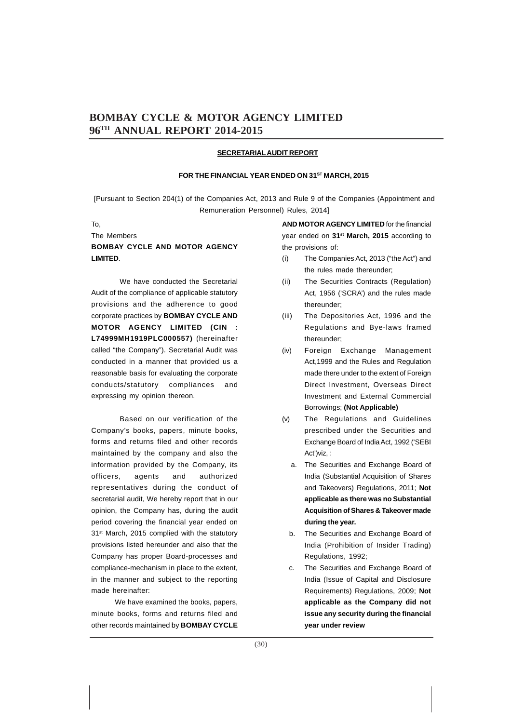### **SECRETARIALAUDIT REPORT**

### FOR THE FINANCIAL YEAR ENDED ON 31<sup>ST</sup> MARCH, 2015

[Pursuant to Section 204(1) of the Companies Act, 2013 and Rule 9 of the Companies (Appointment and Remuneration Personnel) Rules, 2014]

### To,

### The Members **BOMBAY CYCLE AND MOTOR AGENCY LIMITED**.

We have conducted the Secretarial Audit of the compliance of applicable statutory provisions and the adherence to good corporate practices by **BOMBAY CYCLE AND MOTOR AGENCY LIMITED (CIN : L74999MH1919PLC000557)** (hereinafter called "the Company"). Secretarial Audit was conducted in a manner that provided us a reasonable basis for evaluating the corporate conducts/statutory compliances and expressing my opinion thereon.

Based on our verification of the Company's books, papers, minute books, forms and returns filed and other records maintained by the company and also the information provided by the Company, its officers, agents and authorized representatives during the conduct of secretarial audit, We hereby report that in our opinion, the Company has, during the audit period covering the financial year ended on 31<sup>st</sup> March, 2015 complied with the statutory provisions listed hereunder and also that the Company has proper Board-processes and compliance-mechanism in place to the extent, in the manner and subject to the reporting made hereinafter:

 We have examined the books, papers, minute books, forms and returns filed and other records maintained by **BOMBAY CYCLE** **AND MOTOR AGENCY LIMITED** for the financial year ended on **31st March, 2015** according to the provisions of:

- (i) The Companies Act, 2013 ("the Act") and the rules made thereunder;
- (ii) The Securities Contracts (Regulation) Act, 1956 ('SCRA') and the rules made thereunder;
- (iii) The Depositories Act, 1996 and the Regulations and Bye-laws framed thereunder;
- (iv) Foreign Exchange Management Act,1999 and the Rules and Regulation made there under to the extent of Foreign Direct Investment, Overseas Direct Investment and External Commercial Borrowings; **(Not Applicable)**
- (v) The Regulations and Guidelines prescribed under the Securities and Exchange Board of India Act, 1992 ('SEBI Act')viz, :
	- a. The Securities and Exchange Board of India (Substantial Acquisition of Shares and Takeovers) Regulations, 2011; **Not applicable as there was no Substantial Acquisition of Shares & Takeover made during the year.**
	- b. The Securities and Exchange Board of India (Prohibition of Insider Trading) Regulations, 1992;
	- c. The Securities and Exchange Board of India (Issue of Capital and Disclosure Requirements) Regulations, 2009; **Not applicable as the Company did not issue any security during the financial year under review**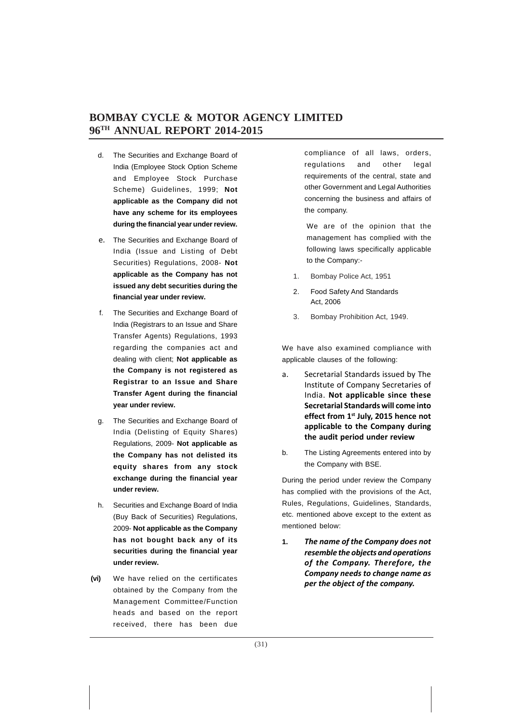- d. The Securities and Exchange Board of India (Employee Stock Option Scheme and Employee Stock Purchase Scheme) Guidelines, 1999; **Not applicable as the Company did not have any scheme for its employees during the financial year under review.**
- e. The Securities and Exchange Board of India (Issue and Listing of Debt Securities) Regulations, 2008- **Not applicable as the Company has not issued any debt securities during the financial year under review.**
- f. The Securities and Exchange Board of India (Registrars to an Issue and Share Transfer Agents) Regulations, 1993 regarding the companies act and dealing with client; **Not applicable as the Company is not registered as Registrar to an Issue and Share Transfer Agent during the financial year under review.**
- g. The Securities and Exchange Board of India (Delisting of Equity Shares) Regulations, 2009- **Not applicable as the Company has not delisted its equity shares from any stock exchange during the financial year under review.**
- h. Securities and Exchange Board of India (Buy Back of Securities) Regulations, 2009- **Not applicable as the Company has not bought back any of its securities during the financial year under review.**
- **(vi)** We have relied on the certificates obtained by the Company from the Management Committee/Function heads and based on the report received, there has been due

compliance of all laws, orders, regulations and other legal requirements of the central, state and other Government and Legal Authorities concerning the business and affairs of the company.

We are of the opinion that the management has complied with the following laws specifically applicable to the Company:-

- 1. Bombay Police Act, 1951
- 2. Food Safety And Standards Act, 2006
- 3. Bombay Prohibition Act, 1949.

We have also examined compliance with applicable clauses of the following:

- a. Secretarial Standards issued by The Institute of Company Secretaries of India. **Not applicable since these Secretarial Standards will come into effect from 1st July, 2015 hence not applicable to the Company during the audit period under review**
- b. The Listing Agreements entered into by the Company with BSE.

During the period under review the Company has complied with the provisions of the Act, Rules, Regulations, Guidelines, Standards, etc. mentioned above except to the extent as mentioned below:

**1.** *The name of the Company does not resemble the objects and operations of the Company. Therefore, the Company needs to change name as per the object of the company.*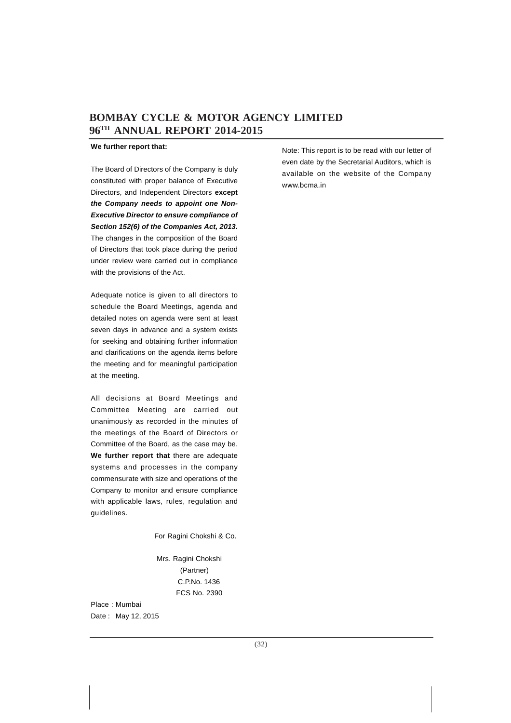### **We further report that:**

The Board of Directors of the Company is duly constituted with proper balance of Executive Directors, and Independent Directors **except** *the Company needs to appoint one Non-Executive Director to ensure compliance of Section 152(6) of the Companies Act, 2013.* The changes in the composition of the Board of Directors that took place during the period under review were carried out in compliance with the provisions of the Act.

Adequate notice is given to all directors to schedule the Board Meetings, agenda and detailed notes on agenda were sent at least seven days in advance and a system exists for seeking and obtaining further information and clarifications on the agenda items before the meeting and for meaningful participation at the meeting.

All decisions at Board Meetings and Committee Meeting are carried out unanimously as recorded in the minutes of the meetings of the Board of Directors or Committee of the Board, as the case may be. **We further report that** there are adequate systems and processes in the company commensurate with size and operations of the Company to monitor and ensure compliance with applicable laws, rules, regulation and guidelines.

For Ragini Chokshi & Co.

 Mrs. Ragini Chokshi (Partner) C.P.No. 1436 FCS No. 2390

Place : Mumbai Date : May 12, 2015 Note: This report is to be read with our letter of even date by the Secretarial Auditors, which is available on the website of the Company www.bcma.in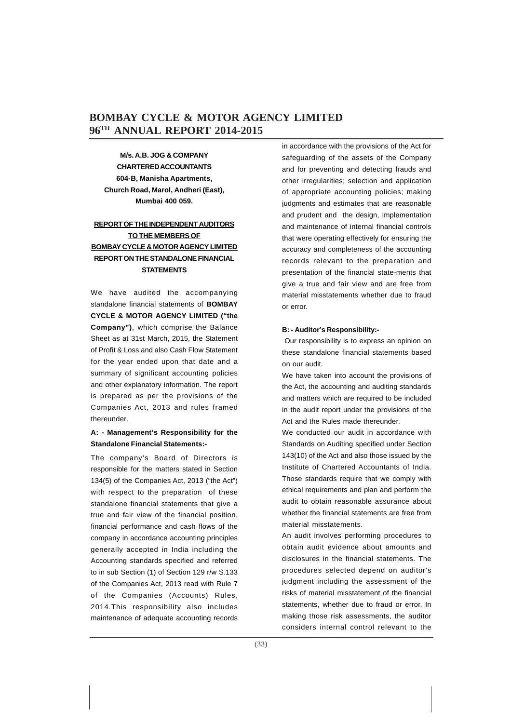**M/s. A.B. JOG & COMPANY CHARTERED ACCOUNTANTS 604-B, Manisha Apartments, Church Road, Marol, Andheri (East), Mumbai 400 059.**

### **REPORT OF THE INDEPENDENT AUDITORS TO THE MEMBERS OF BOMBAY CYCLE & MOTOR AGENCY LIMITED REPORT ON THE STANDALONE FINANCIAL STATEMENTS**

We have audited the accompanying standalone financial statements of **BOMBAY CYCLE & MOTOR AGENCY LIMITED ("the Company")**, which comprise the Balance Sheet as at 31st March, 2015, the Statement of Profit & Loss and also Cash Flow Statement for the year ended upon that date and a summary of significant accounting policies and other explanatory information. The report is prepared as per the provisions of the Companies Act, 2013 and rules framed thereunder.

### **A: - Management's Responsibility for the Standalone Financial Statements:-**

The company's Board of Directors is responsible for the matters stated in Section 134(5) of the Companies Act, 2013 ("the Act") with respect to the preparation of these standalone financial statements that give a true and fair view of the financial position, financial performance and cash flows of the company in accordance accounting principles generally accepted in India including the Accounting standards specified and referred to in sub Section (1) of Section 129 r/w S.133 of the Companies Act, 2013 read with Rule 7 of the Companies (Accounts) Rules, 2014.This responsibility also includes maintenance of adequate accounting records in accordance with the provisions of the Act for safeguarding of the assets of the Company and for preventing and detecting frauds and other irregularities; selection and application of appropriate accounting policies; making judgments and estimates that are reasonable and prudent and the design, implementation and maintenance of internal financial controls that were operating effectively for ensuring the accuracy and completeness of the accounting records relevant to the preparation and presentation of the financial state-ments that give a true and fair view and are free from material misstatements whether due to fraud or error.

### **B: - Auditor's Responsibility:-**

 Our responsibility is to express an opinion on these standalone financial statements based on our audit.

We have taken into account the provisions of the Act, the accounting and auditing standards and matters which are required to be included in the audit report under the provisions of the Act and the Rules made thereunder.

We conducted our audit in accordance with Standards on Auditing specified under Section 143(10) of the Act and also those issued by the Institute of Chartered Accountants of India. Those standards require that we comply with ethical requirements and plan and perform the audit to obtain reasonable assurance about whether the financial statements are free from material misstatements.

An audit involves performing procedures to obtain audit evidence about amounts and disclosures in the financial statements. The procedures selected depend on auditor's judgment including the assessment of the risks of material misstatement of the financial statements, whether due to fraud or error. In making those risk assessments, the auditor considers internal control relevant to the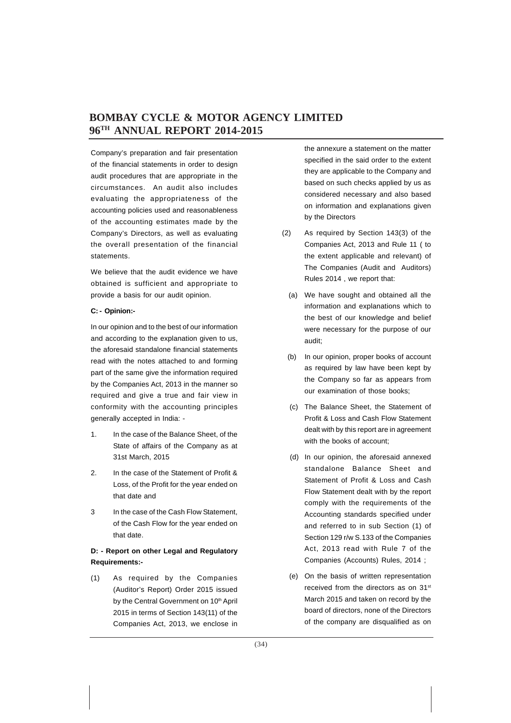Company's preparation and fair presentation of the financial statements in order to design audit procedures that are appropriate in the circumstances. An audit also includes evaluating the appropriateness of the accounting policies used and reasonableness of the accounting estimates made by the Company's Directors, as well as evaluating the overall presentation of the financial statements.

We believe that the audit evidence we have obtained is sufficient and appropriate to provide a basis for our audit opinion.

### **C: - Opinion:-**

In our opinion and to the best of our information and according to the explanation given to us, the aforesaid standalone financial statements read with the notes attached to and forming part of the same give the information required by the Companies Act, 2013 in the manner so required and give a true and fair view in conformity with the accounting principles generally accepted in India: -

- 1. In the case of the Balance Sheet, of the State of affairs of the Company as at 31st March, 2015
- 2. In the case of the Statement of Profit & Loss, of the Profit for the year ended on that date and
- 3 In the case of the Cash Flow Statement, of the Cash Flow for the year ended on that date.

### **D: - Report on other Legal and Regulatory Requirements:-**

(1) As required by the Companies (Auditor's Report) Order 2015 issued by the Central Government on 10<sup>th</sup> April 2015 in terms of Section 143(11) of the Companies Act, 2013, we enclose in

the annexure a statement on the matter specified in the said order to the extent they are applicable to the Company and based on such checks applied by us as considered necessary and also based on information and explanations given by the Directors

- (2) As required by Section 143(3) of the Companies Act, 2013 and Rule 11 ( to the extent applicable and relevant) of The Companies (Audit and Auditors) Rules 2014 , we report that:
	- (a) We have sought and obtained all the information and explanations which to the best of our knowledge and belief were necessary for the purpose of our audit;
	- (b) In our opinion, proper books of account as required by law have been kept by the Company so far as appears from our examination of those books;
	- (c) The Balance Sheet, the Statement of Profit & Loss and Cash Flow Statement dealt with by this report are in agreement with the books of account;
	- (d) In our opinion, the aforesaid annexed standalone Balance Sheet and Statement of Profit & Loss and Cash Flow Statement dealt with by the report comply with the requirements of the Accounting standards specified under and referred to in sub Section (1) of Section 129 r/w S.133 of the Companies Act, 2013 read with Rule 7 of the Companies (Accounts) Rules, 2014 ;
	- (e) On the basis of written representation received from the directors as on 31<sup>st</sup> March 2015 and taken on record by the board of directors, none of the Directors of the company are disqualified as on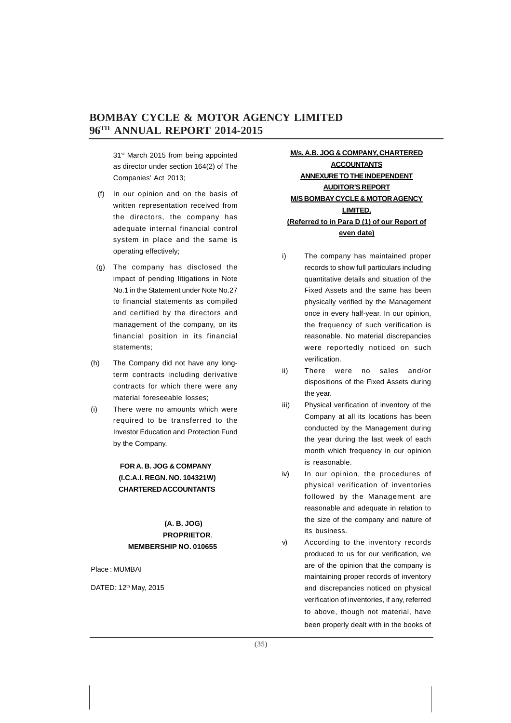31<sup>st</sup> March 2015 from being appointed as director under section 164(2) of The Companies' Act 2013;

- (f) In our opinion and on the basis of written representation received from the directors, the company has adequate internal financial control system in place and the same is operating effectively;
- (g) The company has disclosed the impact of pending litigations in Note No.1 in the Statement under Note No.27 to financial statements as compiled and certified by the directors and management of the company, on its financial position in its financial statements;
- (h) The Company did not have any longterm contracts including derivative contracts for which there were any material foreseeable losses;
- (i) There were no amounts which were required to be transferred to the Investor Education and Protection Fund by the Company.

### **FOR A. B. JOG & COMPANY (I.C.A.I. REGN. NO. 104321W) CHARTERED ACCOUNTANTS**

### **(A. B. JOG) PROPRIETOR**. **MEMBERSHIP NO. 010655**

Place : MUMBAI

DATED: 12th May, 2015

### **M/s. A.B. JOG & COMPANY, CHARTERED ACCOUNTANTS ANNEXURE TO THE INDEPENDENT AUDITOR'S REPORT M/S BOMBAY CYCLE & MOTOR AGENCY LIMITED, (Referred to in Para D (1) of our Report of even date)**

- i) The company has maintained proper records to show full particulars including quantitative details and situation of the Fixed Assets and the same has been physically verified by the Management once in every half-year. In our opinion, the frequency of such verification is reasonable. No material discrepancies were reportedly noticed on such verification.
- ii) There were no sales and/or dispositions of the Fixed Assets during the year.
- iii) Physical verification of inventory of the Company at all its locations has been conducted by the Management during the year during the last week of each month which frequency in our opinion is reasonable.
- iv) In our opinion, the procedures of physical verification of inventories followed by the Management are reasonable and adequate in relation to the size of the company and nature of its business.
- v) According to the inventory records produced to us for our verification, we are of the opinion that the company is maintaining proper records of inventory and discrepancies noticed on physical verification of inventories, if any, referred to above, though not material, have been properly dealt with in the books of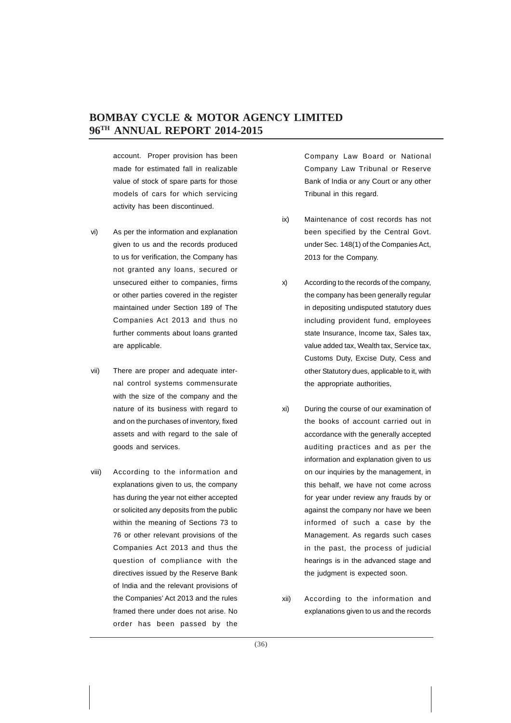account. Proper provision has been made for estimated fall in realizable value of stock of spare parts for those models of cars for which servicing activity has been discontinued.

- vi) As per the information and explanation given to us and the records produced to us for verification, the Company has not granted any loans, secured or unsecured either to companies, firms or other parties covered in the register maintained under Section 189 of The Companies Act 2013 and thus no further comments about loans granted are applicable.
- vii) There are proper and adequate internal control systems commensurate with the size of the company and the nature of its business with regard to and on the purchases of inventory, fixed assets and with regard to the sale of goods and services.
- viii) According to the information and explanations given to us, the company has during the year not either accepted or solicited any deposits from the public within the meaning of Sections 73 to 76 or other relevant provisions of the Companies Act 2013 and thus the question of compliance with the directives issued by the Reserve Bank of India and the relevant provisions of the Companies' Act 2013 and the rules framed there under does not arise. No order has been passed by the

Company Law Board or National Company Law Tribunal or Reserve Bank of India or any Court or any other Tribunal in this regard.

- ix) Maintenance of cost records has not been specified by the Central Govt. under Sec. 148(1) of the Companies Act, 2013 for the Company.
- x) According to the records of the company, the company has been generally regular in depositing undisputed statutory dues including provident fund, employees state Insurance, Income tax, Sales tax, value added tax, Wealth tax, Service tax, Customs Duty, Excise Duty, Cess and other Statutory dues, applicable to it, with the appropriate authorities,
- xi) During the course of our examination of the books of account carried out in accordance with the generally accepted auditing practices and as per the information and explanation given to us on our inquiries by the management, in this behalf, we have not come across for year under review any frauds by or against the company nor have we been informed of such a case by the Management. As regards such cases in the past, the process of judicial hearings is in the advanced stage and the judgment is expected soon.
- xii) According to the information and explanations given to us and the records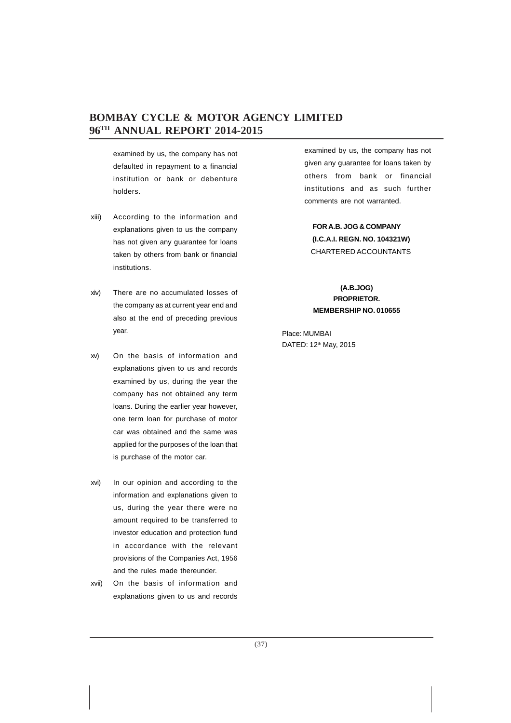examined by us, the company has not defaulted in repayment to a financial institution or bank or debenture holders.

- xiii) According to the information and explanations given to us the company has not given any guarantee for loans taken by others from bank or financial institutions.
- xiv) There are no accumulated losses of the company as at current year end and also at the end of preceding previous year.
- xv) On the basis of information and explanations given to us and records examined by us, during the year the company has not obtained any term loans. During the earlier year however, one term loan for purchase of motor car was obtained and the same was applied for the purposes of the loan that is purchase of the motor car.
- xvi) In our opinion and according to the information and explanations given to us, during the year there were no amount required to be transferred to investor education and protection fund in accordance with the relevant provisions of the Companies Act, 1956 and the rules made thereunder.
- xvii) On the basis of information and explanations given to us and records

examined by us, the company has not given any guarantee for loans taken by others from bank or financial institutions and as such further comments are not warranted.

**FOR A.B. JOG & COMPANY (I.C.A.I. REGN. NO. 104321W)** CHARTERED ACCOUNTANTS

**(A.B.JOG) PROPRIETOR. MEMBERSHIP NO. 010655**

Place: MUMBAI DATED: 12th May, 2015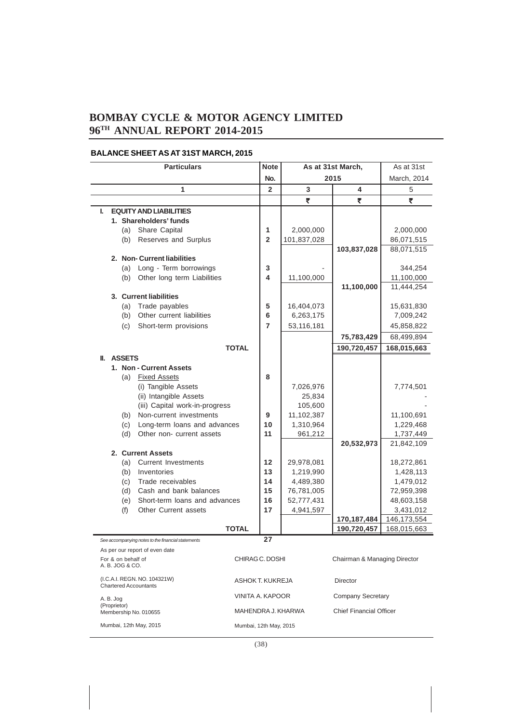### **BALANCE SHEET AS AT 31ST MARCH, 2015**

|    | <b>Particulars</b>                               |                    | <b>Note</b>                                                  | As at 31st March, |                  | As at 31st         |                                |                            |  |
|----|--------------------------------------------------|--------------------|--------------------------------------------------------------|-------------------|------------------|--------------------|--------------------------------|----------------------------|--|
|    |                                                  |                    |                                                              |                   | No.              |                    | 2015                           | March, 2014                |  |
|    |                                                  |                    | 1                                                            |                   | $\overline{2}$   | 3                  | 4                              | 5                          |  |
|    |                                                  |                    |                                                              |                   |                  | ₹                  | ₹                              | ₹                          |  |
| L. |                                                  |                    | <b>EQUITY AND LIABILITIES</b>                                |                   |                  |                    |                                |                            |  |
|    |                                                  |                    | 1. Shareholders' funds                                       |                   |                  |                    |                                |                            |  |
|    |                                                  | (a)                | Share Capital                                                |                   | 1                | 2,000,000          |                                | 2,000,000                  |  |
|    |                                                  | (b)                | Reserves and Surplus                                         |                   | $\overline{2}$   | 101,837,028        |                                | 86,071,515                 |  |
|    |                                                  |                    |                                                              |                   |                  |                    | 103,837,028                    | 88,071,515                 |  |
|    |                                                  |                    | 2. Non- Current liabilities                                  |                   |                  |                    |                                |                            |  |
|    |                                                  |                    | (a) Long - Term borrowings                                   |                   | 3                |                    |                                | 344,254                    |  |
|    |                                                  | (b)                | Other long term Liabilities                                  |                   | 4                | 11,100,000         |                                | 11,100,000                 |  |
|    |                                                  |                    | 3. Current liabilities                                       |                   |                  |                    | 11,100,000                     | 11,444,254                 |  |
|    |                                                  | (a)                | Trade payables                                               |                   | 5                | 16,404,073         |                                | 15,631,830                 |  |
|    |                                                  | (b)                | Other current liabilities                                    |                   | 6                | 6,263,175          |                                | 7,009,242                  |  |
|    |                                                  | (c)                | Short-term provisions                                        |                   | $\overline{7}$   | 53,116,181         |                                | 45,858,822                 |  |
|    |                                                  |                    |                                                              |                   |                  |                    | 75,783,429                     | 68,499,894                 |  |
|    |                                                  |                    | <b>TOTAL</b>                                                 |                   |                  |                    | 190,720,457                    |                            |  |
|    |                                                  | <b>II. ASSETS</b>  |                                                              |                   |                  |                    |                                | 168,015,663                |  |
|    |                                                  |                    | 1. Non - Current Assets                                      |                   |                  |                    |                                |                            |  |
|    |                                                  | (a)                | <b>Fixed Assets</b>                                          |                   | 8                |                    |                                |                            |  |
|    |                                                  |                    | (i) Tangible Assets                                          |                   |                  | 7,026,976          |                                | 7,774,501                  |  |
|    |                                                  |                    | (ii) Intangible Assets                                       |                   |                  | 25,834             |                                |                            |  |
|    |                                                  |                    | (iii) Capital work-in-progress                               |                   |                  | 105,600            |                                |                            |  |
|    |                                                  | (b)                | Non-current investments                                      |                   | 9                | 11,102,387         |                                | 11,100,691                 |  |
|    |                                                  | (c)                | Long-term loans and advances                                 |                   | 10               | 1,310,964          |                                | 1,229,468                  |  |
|    |                                                  | (d)                | Other non- current assets                                    |                   | 11               | 961,212            |                                | 1,737,449                  |  |
|    |                                                  |                    |                                                              |                   |                  |                    | 20,532,973                     | 21,842,109                 |  |
|    |                                                  |                    | 2. Current Assets                                            |                   |                  |                    |                                |                            |  |
|    |                                                  | (a)                | <b>Current Investments</b>                                   |                   | 12               | 29,978,081         |                                | 18,272,861                 |  |
|    |                                                  | (b)                | Inventories                                                  |                   | 13               | 1,219,990          |                                | 1,428,113                  |  |
|    |                                                  | (c)                | Trade receivables                                            |                   | 14               | 4,489,380          |                                | 1,479,012                  |  |
|    |                                                  |                    | (d) Cash and bank balances                                   |                   | 15               | 76,781,005         |                                | 72,959,398                 |  |
|    |                                                  | (e)                | Short-term loans and advances                                |                   | 16<br>17         | 52,777,431         |                                | 48,603,158                 |  |
|    |                                                  | (f)                | Other Current assets                                         |                   |                  | 4,941,597          | 170,187,484                    | 3,431,012<br>146, 173, 554 |  |
|    |                                                  |                    | <b>TOTAL</b>                                                 |                   |                  |                    | 190,720,457                    | 168,015,663                |  |
|    |                                                  |                    | See accompanying notes to the financial statements           |                   | 27               |                    |                                |                            |  |
|    |                                                  |                    | As per our report of even date                               |                   |                  |                    |                                |                            |  |
|    |                                                  | For & on behalf of |                                                              |                   | CHIRAG C. DOSHI  |                    | Chairman & Managing Director   |                            |  |
|    |                                                  | A. B. JOG & CO.    |                                                              |                   |                  |                    |                                |                            |  |
|    |                                                  |                    | (I.C.A.I. REGN. NO. 104321W)<br><b>Chartered Accountants</b> |                   | ASHOK T. KUKREJA |                    | Director                       |                            |  |
|    |                                                  |                    |                                                              |                   | VINITA A. KAPOOR |                    | Company Secretary              |                            |  |
|    | A. B. Jog<br>(Proprietor)                        |                    |                                                              |                   |                  |                    |                                |                            |  |
|    |                                                  |                    | Membership No. 010655                                        |                   |                  | MAHENDRA J. KHARWA | <b>Chief Financial Officer</b> |                            |  |
|    | Mumbai, 12th May, 2015<br>Mumbai, 12th May, 2015 |                    |                                                              |                   |                  |                    |                                |                            |  |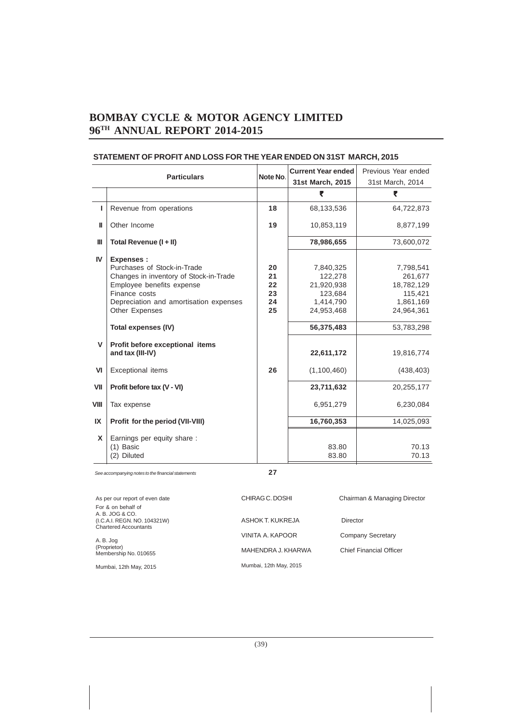| <b>Particulars</b> |                                                                                                                                                                                                                                   | Note No.                         | <b>Current Year ended</b>                                                              | Previous Year ended<br>31st March, 2014                                                |  |
|--------------------|-----------------------------------------------------------------------------------------------------------------------------------------------------------------------------------------------------------------------------------|----------------------------------|----------------------------------------------------------------------------------------|----------------------------------------------------------------------------------------|--|
|                    |                                                                                                                                                                                                                                   |                                  | 31st March, 2015                                                                       |                                                                                        |  |
|                    |                                                                                                                                                                                                                                   |                                  | ₹                                                                                      | ₹                                                                                      |  |
| I.                 | Revenue from operations                                                                                                                                                                                                           | 18                               | 68,133,536                                                                             | 64,722,873                                                                             |  |
| ш                  | Other Income                                                                                                                                                                                                                      | 19                               | 10,853,119                                                                             | 8,877,199                                                                              |  |
| Ш                  | Total Revenue (I + II)                                                                                                                                                                                                            |                                  | 78,986,655                                                                             | 73,600,072                                                                             |  |
| IV                 | <b>Expenses:</b><br>Purchases of Stock-in-Trade<br>Changes in inventory of Stock-in-Trade<br>Employee benefits expense<br>Finance costs<br>Depreciation and amortisation expenses<br>Other Expenses<br><b>Total expenses (IV)</b> | 20<br>21<br>22<br>23<br>24<br>25 | 7,840,325<br>122,278<br>21,920,938<br>123,684<br>1,414,790<br>24,953,468<br>56,375,483 | 7,798,541<br>261,677<br>18,782,129<br>115,421<br>1,861,169<br>24,964,361<br>53,783,298 |  |
| V                  | Profit before exceptional items<br>and tax (III-IV)                                                                                                                                                                               |                                  | 22,611,172                                                                             | 19,816,774                                                                             |  |
| VI                 | <b>Exceptional items</b>                                                                                                                                                                                                          | 26                               | (1,100,460)                                                                            | (438, 403)                                                                             |  |
| VII                | Profit before tax (V - VI)                                                                                                                                                                                                        |                                  | 23,711,632                                                                             | 20,255,177                                                                             |  |
| VIII               | Tax expense                                                                                                                                                                                                                       |                                  | 6,951,279                                                                              | 6,230,084                                                                              |  |
| IX                 | Profit for the period (VII-VIII)                                                                                                                                                                                                  |                                  | 16,760,353                                                                             | 14,025,093                                                                             |  |
| X                  | Earnings per equity share:<br>$(1)$ Basic<br>(2) Diluted                                                                                                                                                                          |                                  | 83.80<br>83.80                                                                         | 70.13<br>70.13                                                                         |  |

### **STATEMENT OF PROFIT AND LOSS FOR THE YEAR ENDED ON 31ST MARCH, 2015**

*See accompanying notes to the financial statements* **27**

| As per our report of even date        | CHIRAG C. DOSHI        | Chairman & Managing Director |
|---------------------------------------|------------------------|------------------------------|
| For & on behalf of<br>A. B. JOG & CO. |                        |                              |
| (I.C.A.I. REGN. NO. 104321W)          | ASHOK T. KUKREJA       | Director                     |
| <b>Chartered Accountants</b>          |                        |                              |
| A. B. Jog                             | VINITA A. KAPOOR       | Company Secretary            |
| (Proprietor)<br>Membership No. 010655 | MAHENDRA J. KHARWA     | Chief Financial Officer      |
| Mumbai, 12th May, 2015                | Mumbai, 12th May, 2015 |                              |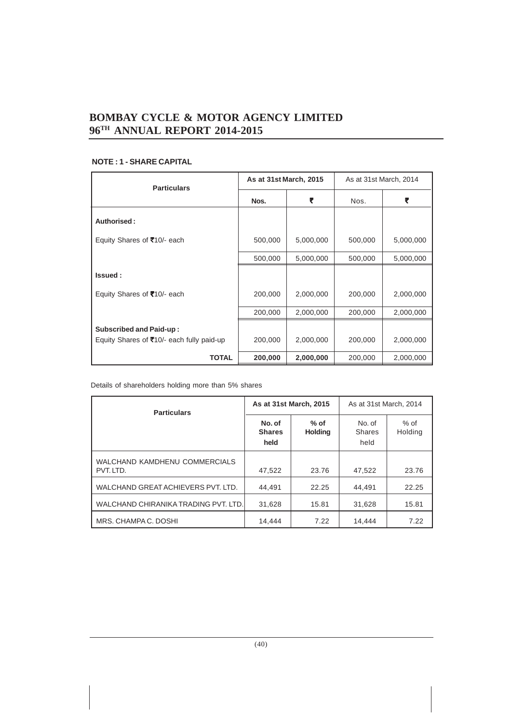| <b>Particulars</b>                                                          | As at 31st March, 2015 |           | As at 31st March, 2014 |           |
|-----------------------------------------------------------------------------|------------------------|-----------|------------------------|-----------|
|                                                                             | Nos.                   | ₹         | Nos.                   | ₹         |
| Authorised:                                                                 |                        |           |                        |           |
| Equity Shares of ₹10/- each                                                 | 500,000                | 5,000,000 | 500,000                | 5,000,000 |
|                                                                             | 500,000                | 5,000,000 | 500,000                | 5,000,000 |
| Issued:                                                                     |                        |           |                        |           |
| Equity Shares of ₹10/- each                                                 | 200,000                | 2,000,000 | 200,000                | 2,000,000 |
|                                                                             | 200,000                | 2,000,000 | 200,000                | 2,000,000 |
| <b>Subscribed and Paid-up:</b><br>Equity Shares of ₹10/- each fully paid-up | 200,000                | 2,000,000 | 200,000                | 2,000,000 |
| <b>TOTAL</b>                                                                | 200,000                | 2,000,000 | 200,000                | 2,000,000 |

### **NOTE : 1 - SHARE CAPITAL**

Details of shareholders holding more than 5% shares

| <b>Particulars</b>                         |                                 | As at 31st March, 2015   | As at 31st March, 2014          |                   |
|--------------------------------------------|---------------------------------|--------------------------|---------------------------------|-------------------|
|                                            | No. of<br><b>Shares</b><br>held | $%$ of<br><b>Holding</b> | No. of<br><b>Shares</b><br>held | $%$ of<br>Holding |
| WALCHAND KAMDHENU COMMERCIALS<br>PVT. LTD. | 47.522                          | 23.76                    | 47.522                          | 23.76             |
| WALCHAND GREAT ACHIEVERS PVT. LTD.         | 44.491                          | 22.25                    | 44.491                          | 22.25             |
| WALCHAND CHIRANIKA TRADING PVT. LTD.       | 31.628                          | 15.81                    | 31.628                          | 15.81             |
| MRS. CHAMPA C. DOSHI                       | 14.444                          | 7.22                     | 14.444                          | 7.22              |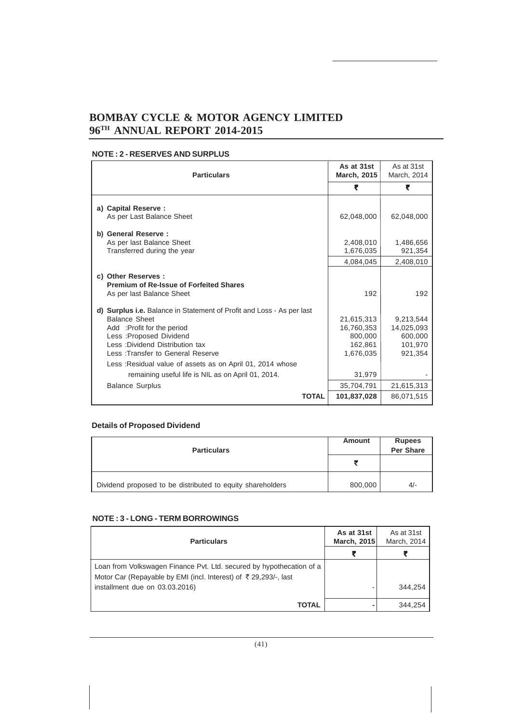### **NOTE : 2 - RESERVES AND SURPLUS**

| <b>Particulars</b>                                                                                                                                                                                                              | As at 31st<br>March, 2015                                   | As at 31st<br>March, 2014                                |
|---------------------------------------------------------------------------------------------------------------------------------------------------------------------------------------------------------------------------------|-------------------------------------------------------------|----------------------------------------------------------|
|                                                                                                                                                                                                                                 | ₹                                                           | ₹                                                        |
| a) Capital Reserve :<br>As per Last Balance Sheet                                                                                                                                                                               | 62,048,000                                                  | 62,048,000                                               |
| b) General Reserve:<br>As per last Balance Sheet<br>Transferred during the year                                                                                                                                                 | 2,408,010<br>1,676,035                                      | 1,486,656<br>921,354                                     |
|                                                                                                                                                                                                                                 | 4,084,045                                                   | 2,408,010                                                |
| c) Other Reserves :<br><b>Premium of Re-Issue of Forfeited Shares</b><br>As per last Balance Sheet                                                                                                                              | 192                                                         | 192                                                      |
| d) Surplus i.e. Balance in Statement of Profit and Loss - As per last<br><b>Balance Sheet</b><br>Add :Profit for the period<br>Less : Proposed Dividend<br>Less: Dividend Distribution tax<br>Less: Transfer to General Reserve | 21.615.313<br>16.760.353<br>800,000<br>162.861<br>1,676,035 | 9,213,544<br>14,025,093<br>600,000<br>101,970<br>921.354 |
| Less : Residual value of assets as on April 01, 2014 whose<br>remaining useful life is NIL as on April 01, 2014.                                                                                                                | 31,979                                                      |                                                          |
| <b>Balance Surplus</b>                                                                                                                                                                                                          | 35,704,791                                                  | 21,615,313                                               |
| <b>TOTAL</b>                                                                                                                                                                                                                    | 101,837,028                                                 | 86,071,515                                               |

### **Details of Proposed Dividend**

| <b>Particulars</b>                                         | Amount  | <b>Rupees</b><br>Per Share |
|------------------------------------------------------------|---------|----------------------------|
|                                                            |         |                            |
| Dividend proposed to be distributed to equity shareholders | 800,000 | $4/-$                      |

### **NOTE : 3 - LONG - TERM BORROWINGS**

| <b>Particulars</b>                                                                                                                      | As at 31st<br><b>March, 2015</b> | As at 31st<br>March, 2014 |
|-----------------------------------------------------------------------------------------------------------------------------------------|----------------------------------|---------------------------|
|                                                                                                                                         | ₹                                |                           |
| Loan from Volkswagen Finance Pvt. Ltd. secured by hypothecation of a<br>Motor Car (Repayable by EMI (incl. Interest) of ₹29,293/-, last |                                  |                           |
| installment due on 03.03.2016)                                                                                                          |                                  | 344.254                   |
| <b>TOTAL</b>                                                                                                                            |                                  | 344.254                   |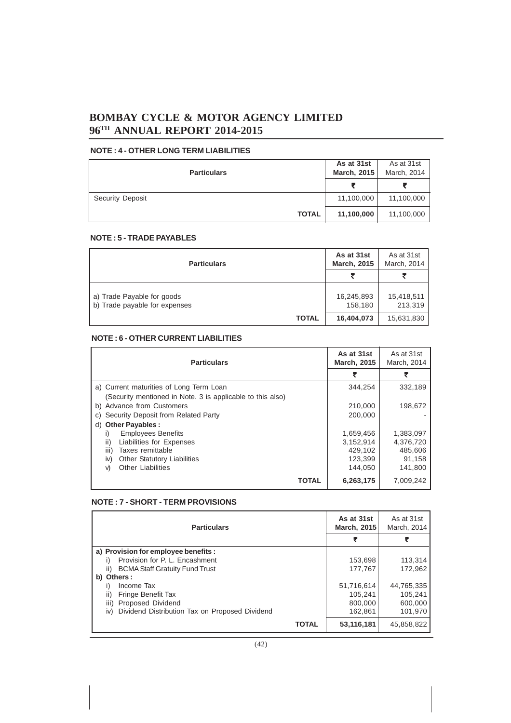### **NOTE : 4 - OTHER LONG TERM LIABILITIES**

| <b>Particulars</b> | As at 31st<br><b>March, 2015</b> | As at 31st<br>March, 2014 |
|--------------------|----------------------------------|---------------------------|
|                    |                                  |                           |
| Security Deposit   | 11,100,000                       | 11,100,000                |
| <b>TOTAL</b>       | 11,100,000                       | 11,100,000                |

### **NOTE : 5 - TRADE PAYABLES**

| <b>Particulars</b>                                          | As at 31st<br><b>March, 2015</b> | As at 31st<br>March, 2014 |
|-------------------------------------------------------------|----------------------------------|---------------------------|
|                                                             |                                  |                           |
| a) Trade Payable for goods<br>b) Trade payable for expenses | 16,245,893<br>158,180            | 15,418,511<br>213,319     |
| <b>TOTAL</b>                                                | 16,404,073                       | 15,631,830                |

### **NOTE : 6 - OTHER CURRENT LIABILITIES**

| <b>Particulars</b>                                         | As at 31st<br><b>March, 2015</b> | As at 31st<br>March, 2014 |
|------------------------------------------------------------|----------------------------------|---------------------------|
|                                                            |                                  |                           |
| a) Current maturities of Long Term Loan                    | 344.254                          | 332.189                   |
| (Security mentioned in Note. 3 is applicable to this also) |                                  |                           |
| b) Advance from Customers                                  | 210,000                          | 198.672                   |
| c) Security Deposit from Related Party                     | 200.000                          |                           |
| d) Other Payables :                                        |                                  |                           |
| <b>Employees Benefits</b><br>I)                            | 1,659,456                        | 1,383,097                 |
| ii)<br>Liabilities for Expenses                            | 3.152.914                        | 4,376,720                 |
| iii)<br>Taxes remittable                                   | 429.102                          | 485.606                   |
| <b>Other Statutory Liabilities</b><br>iv)                  | 123,399                          | 91,158                    |
| <b>Other Liabilities</b><br>V)                             | 144.050                          | 141.800                   |
| <b>TOTAL</b>                                               | 6,263,175                        | 7.009.242                 |

### **NOTE : 7 - SHORT - TERM PROVISIONS**

| <b>Particulars</b>                                    | As at 31st<br><b>March, 2015</b> | As at 31st<br>March, 2014 |
|-------------------------------------------------------|----------------------------------|---------------------------|
|                                                       |                                  |                           |
| a) Provision for employee benefits :                  |                                  |                           |
| Provision for P. L. Encashment                        | 153,698                          | 113,314                   |
| <b>BCMA Staff Gratuity Fund Trust</b><br>ii)          | 177,767                          | 172.962                   |
| b) Others:                                            |                                  |                           |
| Income Tax                                            | 51,716,614                       | 44,765,335                |
| Fringe Benefit Tax<br>II)                             | 105.241                          | 105.241                   |
| Proposed Dividend<br>iii)                             | 800,000                          | 600,000                   |
| Dividend Distribution Tax on Proposed Dividend<br>iv) | 162.861                          | 101.970                   |
| <b>TOTAL</b>                                          | 53,116,181                       | 45,858,822                |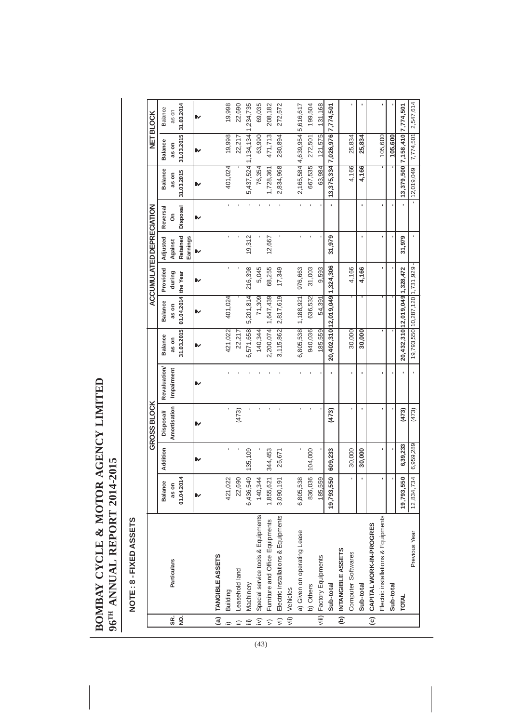# **BOMBAY CYCLE & MOTOR AGENCY LIMITED<br>96TH ANNUAL REPORT 2014-2015 BOMBAY CYCLE & MOTOR AGENCY LIMITED 96TH ANNUAL REPORT 2014-2015**

### NOTE: 8 - FIXED ASSETS **NOTE : 8 - FIXED ASSETS**

|             |                                     |                                  |                | GROSS BLOCK      |                    |                                 |                                 | <b>ACCUMULATED DEPRECIATION</b> |                      |          |                                      |                | <b>NET BLOCK</b>    |  |
|-------------|-------------------------------------|----------------------------------|----------------|------------------|--------------------|---------------------------------|---------------------------------|---------------------------------|----------------------|----------|--------------------------------------|----------------|---------------------|--|
|             |                                     | Balance                          | Addition       | <b>Disposal/</b> | <b>Revaluation</b> | <b>Balance</b>                  | <b>Balance</b>                  | Provided                        | Adjusted             | Reversal | Balance                              | <b>Balance</b> | <b>Balance</b>      |  |
| SR.         | Particulars                         | as on                            |                | Amortisation     | Impairment         | as on                           | as on                           | during                          | Against              | င်္      | as on                                | as on          | as on               |  |
| 9.          |                                     | 4<br>01.04.201                   |                |                  |                    | 31.03.2015                      | 01.04.2014 the Year             |                                 | Retained<br>Earnings | Disposal | 31.03.2015                           | 31.03.2015     | 31.03.2014          |  |
|             |                                     | ⋫                                | ⋫              | ⋫                | ⋫                  | ⋫                               | ⋫                               | ⋫                               | ⋫                    | ⋫        | ⋫                                    | ⋫              | ⋫                   |  |
|             | (a)   TANGIBLE ASSETS               |                                  |                |                  |                    |                                 |                                 |                                 |                      |          |                                      |                |                     |  |
|             | Building                            | $\tilde{\mathbf{C}}$<br>421,02   | $\blacksquare$ | ı                |                    | 421,022                         | 401,024                         |                                 | $\blacksquare$       |          | 401,024                              | 19,998         | 19,998              |  |
|             | Leasehold land                      | $\circ$<br>22,69                 |                | (473)            |                    | 22,217                          |                                 |                                 |                      |          |                                      | 22,217         | 22,690              |  |
|             | Machinery                           | 6,436,549                        | 135,109        |                  |                    | 6,571,658                       | 5,201,814                       | 216,398                         | 19,312               |          | 5,437,524 1,134,134                  |                | 1,234,735           |  |
| $\hat{\ge}$ | Special service tools & Equipments  | 140,344                          |                | ï                |                    | 140,344                         | 71,309                          | 5,045                           |                      |          | 76,354                               | 63,990         | 69,035              |  |
| $\sqrt{ }$  | Furniture and Office Equipments     | 1,855,621                        | 344,453        | ï                |                    | 2,200,074                       | 1,647,439                       | 68,255                          | 12,667               |          | 1,728,361                            | 471,713        | 208,182             |  |
| $\sqrt{v}$  | Electric installations & Equipments | 3,090,191                        | 25,671         | ï                |                    | 3, 115, 862                     | 2,817,619                       | 17,349                          | ï                    |          | 2,834,968                            | 280,894        | 272,572             |  |
|             | vii) Vehicles                       |                                  |                |                  |                    |                                 |                                 |                                 |                      |          |                                      |                |                     |  |
|             | a) Given on operating Lease         | $\infty$<br>6,805,53             |                | ï                |                    | 6,805,538                       | 1,188,921                       | 976,663                         | ï                    |          | 2,165,584 4,639,954 5,616,617        |                |                     |  |
|             | b) Others                           | 836,036                          | 104,000        |                  |                    | 940,036                         | 636,532                         | 31,003                          |                      |          | 667,535                              | 272,501        | 199,504             |  |
|             | viii) Factory Equipments            | $\overline{O}$<br>185,55         |                |                  |                    | 185,559                         | 54,391                          | 9,593                           |                      |          | 63,984                               | 121,575        | 131,168             |  |
|             | Sub-total                           | $\ddot{\mathbf{e}}$<br>19,793,55 | 609,233        | (473)            |                    | 20,402,310 12,019,049 1,324,306 |                                 |                                 | 31,979               |          | 13, 375, 334 7, 026, 976 7, 774, 501 |                |                     |  |
|             | (b)   INTANGIBLE ASSETS             |                                  |                |                  |                    |                                 |                                 |                                 |                      |          |                                      |                |                     |  |
|             | Computer Softwares                  | $\blacksquare$                   | 30,000         |                  |                    | 30,000                          |                                 | 4,166                           |                      |          | 4,166                                | 25,834         |                     |  |
|             | Sub-total                           | $\blacksquare$                   | 30,000         |                  |                    | 30,000                          |                                 | 4,166                           | ٠                    |          | 4,166                                | 25,834         |                     |  |
|             | (c) CAPITAL WORK-IN-PROGRES         |                                  |                |                  |                    |                                 |                                 |                                 |                      |          |                                      |                |                     |  |
|             | Electric installations & Equipments | ï                                |                |                  |                    |                                 |                                 |                                 |                      |          |                                      | 105,600        |                     |  |
|             | Sub-total                           | $\mathbf{r}$                     |                |                  |                    |                                 |                                 |                                 |                      |          |                                      | 105,600        |                     |  |
|             | <b>TOTAL</b>                        | 19,793,550                       | 6,39,233       | (473)            |                    |                                 | 20,432,310 12,019,049 1,328,472 |                                 | 31,979               |          | 13, 379, 500 7, 158, 410 7, 774, 501 |                |                     |  |
|             | Previous Year                       | 12,834,734                       | 6,959,289      | (473)            |                    |                                 | 19,793,550 10,287,120 1,731,929 |                                 |                      |          | $- 12,019,049 $                      |                | 7,774,501 2,547,614 |  |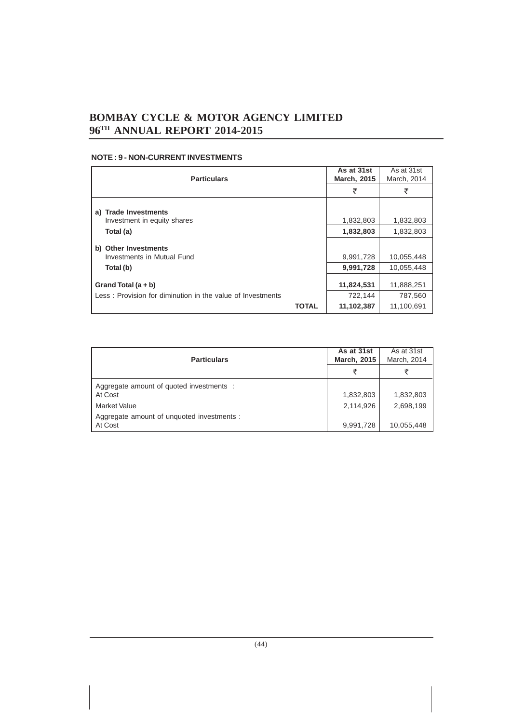### **NOTE : 9 - NON-CURRENT INVESTMENTS**

| <b>Particulars</b>                                                                  | As at 31st<br><b>March, 2015</b> | As at 31st<br>March, 2014 |
|-------------------------------------------------------------------------------------|----------------------------------|---------------------------|
|                                                                                     | ₹                                | ₹                         |
| <b>Trade Investments</b><br>a)                                                      |                                  |                           |
| Investment in equity shares                                                         | 1,832,803                        | 1,832,803                 |
| Total (a)                                                                           | 1,832,803                        | 1,832,803                 |
| <b>Other Investments</b><br>b)<br>Investments in Mutual Fund                        | 9,991,728                        | 10,055,448                |
| Total (b)                                                                           | 9,991,728                        | 10,055,448                |
| Grand Total $(a + b)$<br>Less: Provision for diminution in the value of Investments | 11,824,531<br>722,144            | 11,888,251<br>787,560     |
| TOTAL                                                                               | 11,102,387                       | 11,100,691                |

| <b>Particulars</b>                                    | As at 31st<br><b>March, 2015</b> | As at 31st<br>March, 2014 |
|-------------------------------------------------------|----------------------------------|---------------------------|
|                                                       | ₹                                |                           |
| Aggregate amount of quoted investments :<br>At Cost   | 1,832,803                        | 1,832,803                 |
| <b>Market Value</b>                                   | 2,114,926                        | 2,698,199                 |
| Aggregate amount of unquoted investments :<br>At Cost | 9,991,728                        | 10,055,448                |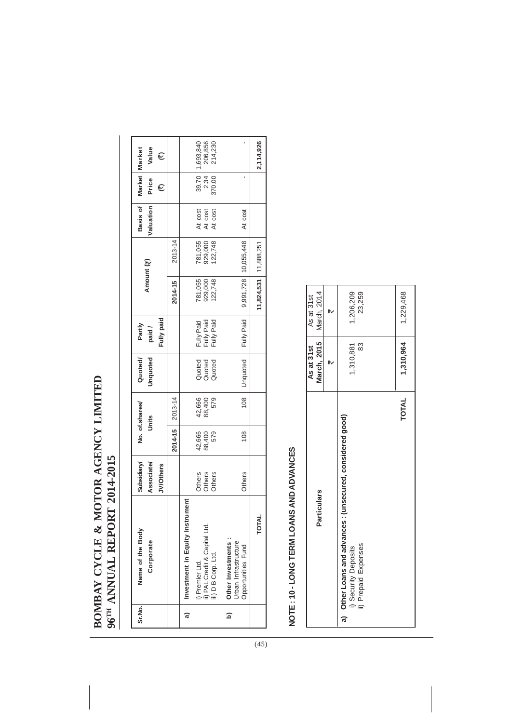## BOMBAY CYCLE & MOTOR AGENCY LIMITED **BOMBAY CYCLE & MOTOR AGENCY LIMITED** 96TH ANNUAL REPORT 2014-2015 **96TH ANNUAL REPORT 2014-2015**

| Sr.No.                 | Name of the Body<br>Corporate                                     | Subsidiary/<br><b>Associate/</b> |               | No. of.shares/<br>Units | Unquoted<br>Quoted/        | Partly<br>paid /                       |                               | Amount (₹)                | Valuation<br>Basis of         | Market<br>Price | Value<br>Market                                         |
|------------------------|-------------------------------------------------------------------|----------------------------------|---------------|-------------------------|----------------------------|----------------------------------------|-------------------------------|---------------------------|-------------------------------|-----------------|---------------------------------------------------------|
|                        |                                                                   | <b>JV/Others</b>                 | 2014-15       | 2013-14                 |                            | Fully paid                             | 2014-15                       | 2013-14                   |                               | 厄               | 它                                                       |
| බ                      | Investment in Equity Instrument                                   |                                  |               |                         |                            |                                        |                               |                           |                               |                 |                                                         |
|                        | ii) PAL Credit & Capital Ltd.<br>i) Premier Ltd.                  | Others<br>Others<br>Others       | 42,666        | 42,666<br>88,400<br>579 | Quoted<br>Quoted<br>Quoted | Fully Paid<br>Fully Paid<br>Fully Paid | 781,055<br>929,000<br>122,748 | 781,055<br>929,000        | At cost<br>At cost<br>At cost |                 | 39.70   1,693,840<br>2.34   206,856<br>370.00   214,230 |
|                        | iii) D B Corp. Ltd.                                               |                                  | 88,400<br>579 |                         |                            |                                        |                               | 122,748                   |                               |                 |                                                         |
| $\widehat{\mathbf{d}}$ | Other Investments :<br>Urban Infrastructure<br>Opportunities Fund | <b>Others</b>                    | 108           | 108                     | Unquoted                   | Fully Paid                             |                               | 9,991,728 10,055,448      | At cost                       |                 |                                                         |
|                        | <b>TOTAL</b>                                                      |                                  |               |                         |                            |                                        |                               | $11,824,531$   11,888,251 |                               |                 | 2,114,926                                               |

# NOTE: 10-LONG TERM LOANS AND ADVANCES **NOTE : 10 - LONG TERM LOANS AND ADVANCES**

| <b>Particulars</b>                                                                                         | March, 2015<br>As at 31 st | March, 2014<br>As at 31 st |
|------------------------------------------------------------------------------------------------------------|----------------------------|----------------------------|
|                                                                                                            |                            |                            |
| a) Other Loans and advances : (unsecured, considered good)<br>ii) Prepaid Expenses<br>i) Security Deposits | 83<br>1,310,881            | 1,206,209<br>23,259        |
|                                                                                                            |                            |                            |
| <b>TOTAL</b>                                                                                               | 1,310,964                  | 1,229,468                  |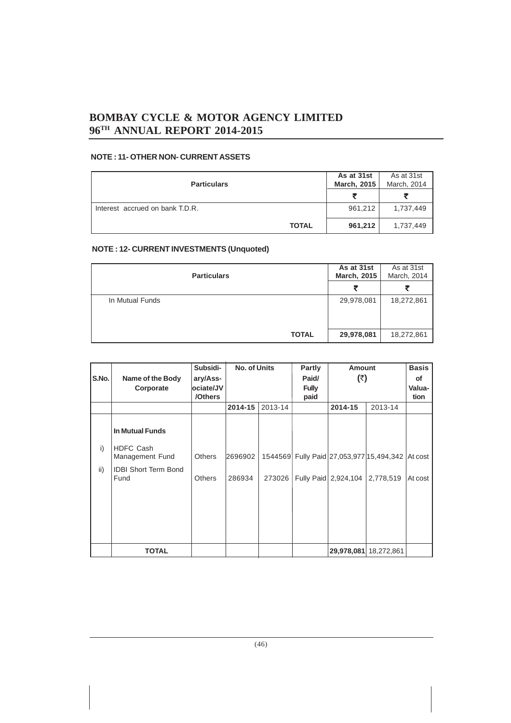### **NOTE : 11- OTHER NON- CURRENT ASSETS**

| <b>Particulars</b>              | As at 31st<br><b>March, 2015</b> | As at 31st<br>March, 2014 |
|---------------------------------|----------------------------------|---------------------------|
|                                 | ₹                                |                           |
| Interest accrued on bank T.D.R. | 961,212                          | 1,737,449                 |
| <b>TOTAL</b>                    | 961,212                          | 1,737,449                 |

### **NOTE : 12- CURRENT INVESTMENTS (Unquoted)**

| <b>Particulars</b> | As at 31st<br><b>March, 2015</b> | As at 31st<br>March, 2014 |
|--------------------|----------------------------------|---------------------------|
|                    |                                  |                           |
| In Mutual Funds    | 29,978,081                       | 18,272,861                |
| <b>TOTAL</b>       | 29,978,081                       | 18,272,861                |

|       |                                     | Subsidi-      | <b>No. of Units</b> |         | Partly       | <b>Amount</b>        |                                          | <b>Basis</b> |
|-------|-------------------------------------|---------------|---------------------|---------|--------------|----------------------|------------------------------------------|--------------|
| S.No. | Name of the Body                    | ary/Ass-      |                     |         | Paid/        | (₹)                  |                                          | of           |
|       | Corporate                           | ociate/JV     |                     |         | <b>Fully</b> |                      |                                          | Valua-       |
|       |                                     | /Others       |                     |         | paid         |                      |                                          | tion         |
|       |                                     |               | 2014-15             | 2013-14 |              | 2014-15              | 2013-14                                  |              |
|       |                                     |               |                     |         |              |                      |                                          |              |
|       | <b>In Mutual Funds</b>              |               |                     |         |              |                      |                                          |              |
| i)    | <b>HDFC Cash</b><br>Management Fund | <b>Others</b> | 2696902             | 1544569 |              |                      | Fully Paid 27,053,977 15,494,342 At cost |              |
| ii)   | <b>IDBI Short Term Bond</b><br>Fund | <b>Others</b> | 286934              | 273026  |              | Fully Paid 2,924,104 | 2,778,519                                | At cost      |
|       |                                     |               |                     |         |              |                      |                                          |              |
|       |                                     |               |                     |         |              |                      |                                          |              |
|       |                                     |               |                     |         |              |                      |                                          |              |
|       |                                     |               |                     |         |              |                      |                                          |              |
|       | <b>TOTAL</b>                        |               |                     |         |              | 29,978,081           | 18,272,861                               |              |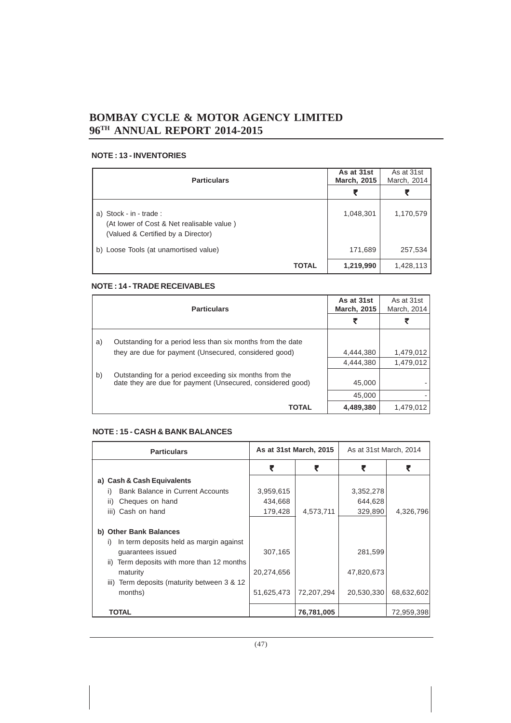### **NOTE : 13 - INVENTORIES**

| <b>Particulars</b>                                                                                         | As at 31st<br><b>March, 2015</b> | As at 31st<br>March, 2014 |
|------------------------------------------------------------------------------------------------------------|----------------------------------|---------------------------|
|                                                                                                            | ₹                                |                           |
| a) Stock - in - trade :<br>(At lower of Cost & Net realisable value)<br>(Valued & Certified by a Director) | 1,048,301                        | 1,170,579                 |
| b) Loose Tools (at unamortised value)                                                                      | 171,689                          | 257,534                   |
| TOTAL                                                                                                      | 1,219,990                        | 1,428,113                 |

### **NOTE : 14 - TRADE RECEIVABLES**

|    | <b>Particulars</b>                                          |           | As at 31st<br>March, 2014 |
|----|-------------------------------------------------------------|-----------|---------------------------|
|    |                                                             |           |                           |
| a) | Outstanding for a period less than six months from the date |           |                           |
|    | they are due for payment (Unsecured, considered good)       | 4.444.380 | 1,479,012                 |
|    |                                                             | 4,444,380 | 1,479,012                 |
| b) | Outstanding for a period exceeding six months from the      |           |                           |
|    | date they are due for payment (Unsecured, considered good)  | 45,000    |                           |
|    |                                                             | 45,000    |                           |
|    | <b>TOTAL</b>                                                | 4,489,380 | 1,479,012                 |

### **NOTE : 15 - CASH & BANK BALANCES**

| <b>Particulars</b>                                                           | As at 31st March, 2015 |            | As at 31st March, 2014 |            |
|------------------------------------------------------------------------------|------------------------|------------|------------------------|------------|
|                                                                              | ₹                      | ₹          | ₹                      | ₹          |
| a) Cash & Cash Equivalents                                                   |                        |            |                        |            |
| <b>Bank Balance in Current Accounts</b><br>I)                                | 3,959,615              |            | 3,352,278              |            |
| Cheques on hand<br>ii)                                                       | 434,668                |            | 644,628                |            |
| iii) Cash on hand                                                            | 179,428                | 4,573,711  | 329,890                | 4,326,796  |
| b) Other Bank Balances<br>In term deposits held as margin against<br>I)      |                        |            |                        |            |
| quarantees issued<br>Term deposits with more than 12 months<br>$\mathbf{ii}$ | 307,165                |            | 281,599                |            |
| maturity<br>Term deposits (maturity between 3 & 12<br>iii)                   | 20,274,656             |            | 47,820,673             |            |
| months)                                                                      | 51,625,473             | 72,207,294 | 20,530,330             | 68,632,602 |
| TOTAL                                                                        |                        | 76,781,005 |                        | 72,959,398 |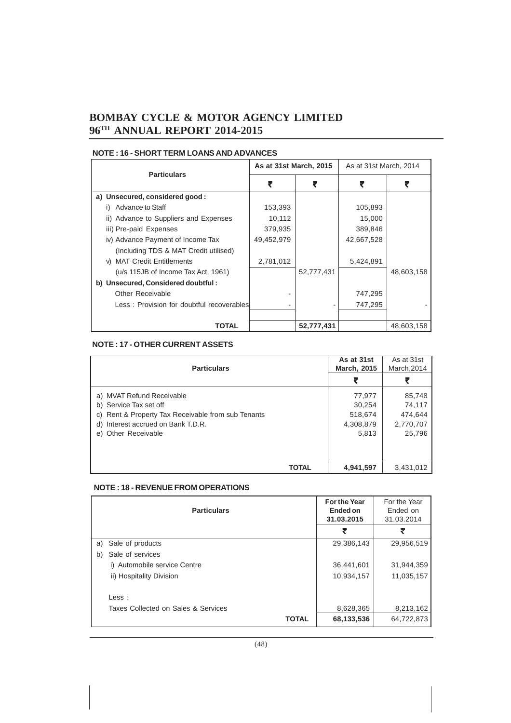### **NOTE : 16 - SHORT TERM LOANS AND ADVANCES**

| <b>Particulars</b>                        | As at 31st March, 2015 |            | As at 31st March, 2014 |            |
|-------------------------------------------|------------------------|------------|------------------------|------------|
|                                           |                        |            |                        |            |
| a) Unsecured, considered good:            |                        |            |                        |            |
| Advance to Staff                          | 153,393                |            | 105,893                |            |
| ii) Advance to Suppliers and Expenses     | 10,112                 |            | 15,000                 |            |
| iii) Pre-paid Expenses                    | 379,935                |            | 389,846                |            |
| iv) Advance Payment of Income Tax         | 49,452,979             |            | 42,667,528             |            |
| (Including TDS & MAT Credit utilised)     |                        |            |                        |            |
| v) MAT Credit Entitlements                | 2,781,012              |            | 5,424,891              |            |
| (u/s 115JB of Income Tax Act, 1961)       |                        | 52,777,431 |                        | 48,603,158 |
| b) Unsecured, Considered doubtful:        |                        |            |                        |            |
| Other Receivable                          |                        |            | 747,295                |            |
| Less: Provision for doubtful recoverables |                        |            | 747,295                |            |
|                                           |                        |            |                        |            |
| TOTAL                                     |                        | 52,777,431 |                        | 48,603,158 |

### **NOTE : 17 - OTHER CURRENT ASSETS**

| <b>Particulars</b>                              | As at 31st<br><b>March, 2015</b> | As at 31st<br>March, 2014 |
|-------------------------------------------------|----------------------------------|---------------------------|
|                                                 | ₹                                |                           |
| a) MVAT Refund Receivable                       | 77,977                           | 85,748                    |
| b) Service Tax set off                          | 30,254                           | 74,117                    |
| Rent & Property Tax Receivable from sub Tenants | 518,674                          | 474,644                   |
| d) Interest accrued on Bank T.D.R.              | 4,308,879                        | 2,770,707                 |
| e) Other Receivable                             | 5,813                            | 25,796                    |
|                                                 |                                  |                           |
| <b>TOTAL</b>                                    | 4,941,597                        | 3,431,012                 |

### **NOTE : 18 - REVENUE FROM OPERATIONS**

|    | <b>Particulars</b>                  | For the Year<br>Ended on<br>31.03.2015 | For the Year<br>Ended on<br>31.03.2014 |            |
|----|-------------------------------------|----------------------------------------|----------------------------------------|------------|
|    |                                     |                                        | ₹                                      | ₹          |
| a) | Sale of products                    |                                        | 29,386,143                             | 29,956,519 |
| b) | Sale of services                    |                                        |                                        |            |
|    | i) Automobile service Centre        |                                        | 36,441,601                             | 31,944,359 |
|    | ii) Hospitality Division            |                                        | 10,934,157                             | 11,035,157 |
|    | $\textsf{Less}:$                    |                                        |                                        |            |
|    | Taxes Collected on Sales & Services |                                        | 8,628,365                              | 8,213,162  |
|    |                                     | <b>TOTAL</b>                           | 68,133,536                             | 64,722,873 |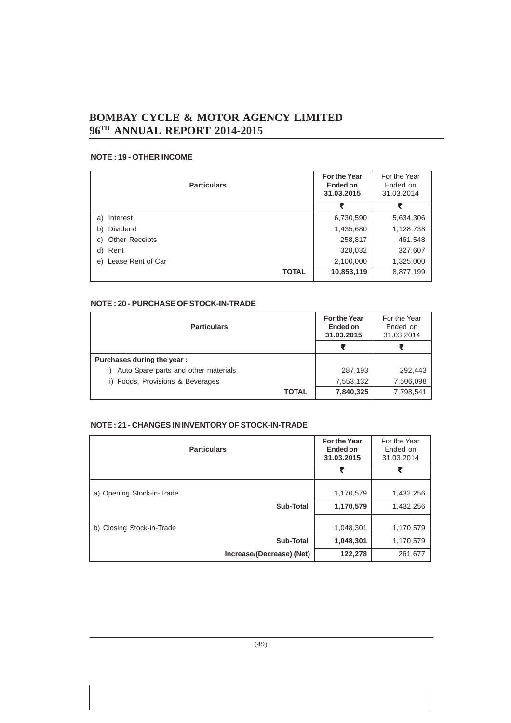### **NOTE : 19 - OTHER INCOME**

| <b>Particulars</b>      | For the Year<br>Ended on<br>31.03.2015 | For the Year<br>Ended on<br>31.03.2014 |
|-------------------------|----------------------------------------|----------------------------------------|
|                         | ₹                                      | ₹                                      |
| Interest<br>a)          | 6,730,590                              | 5,634,306                              |
| Dividend<br>b)          | 1,435,680                              | 1,128,738                              |
| Other Receipts<br>C)    | 258,817                                | 461,548                                |
| Rent<br>d)              | 328,032                                | 327,607                                |
| Lease Rent of Car<br>e) | 2,100,000                              | 1,325,000                              |
| <b>TOTAL</b>            | 10,853,119                             | 8,877,199                              |

### **NOTE : 20 - PURCHASE OF STOCK-IN-TRADE**

| <b>Particulars</b>                         | <b>For the Year</b><br>Ended on<br>31.03.2015 | For the Year<br>Ended on<br>31.03.2014 |
|--------------------------------------------|-----------------------------------------------|----------------------------------------|
|                                            |                                               |                                        |
| Purchases during the year:                 |                                               |                                        |
| Auto Spare parts and other materials<br>i) | 287,193                                       | 292,443                                |
| ii) Foods, Provisions & Beverages          | 7,553,132                                     | 7,506,098                              |
| <b>TOTAL</b>                               | 7,840,325                                     | 7,798,541                              |

### **NOTE : 21 - CHANGES IN INVENTORY OF STOCK-IN-TRADE**

| <b>Particulars</b>        | <b>For the Year</b><br>Ended on<br>31.03.2015 | For the Year<br>Ended on<br>31.03.2014 |
|---------------------------|-----------------------------------------------|----------------------------------------|
|                           | ₹                                             | ₹                                      |
| a) Opening Stock-in-Trade | 1,170,579                                     | 1,432,256                              |
| Sub-Total                 | 1,170,579                                     | 1,432,256                              |
| b) Closing Stock-in-Trade | 1,048,301                                     | 1,170,579                              |
| Sub-Total                 | 1,048,301                                     | 1,170,579                              |
| Increase/(Decrease) (Net) | 122,278                                       | 261,677                                |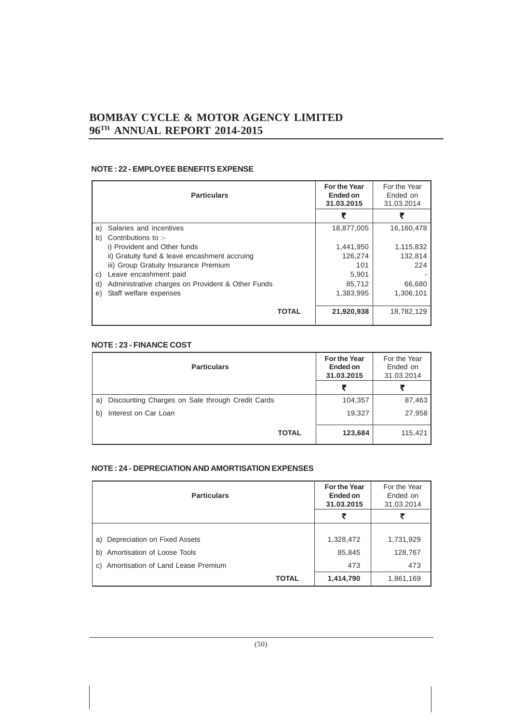### **NOTE : 22 - EMPLOYEE BENEFITS EXPENSE**

| <b>Particulars</b>                                      | For the Year<br>Ended on<br>31.03.2015 | For the Year<br>Ended on<br>31.03.2014 |
|---------------------------------------------------------|----------------------------------------|----------------------------------------|
|                                                         |                                        |                                        |
| Salaries and incentives<br>a)                           | 18,877,005                             | 16,160,478                             |
| Contributions to :-<br>b)                               |                                        |                                        |
| i) Provident and Other funds                            | 1,441,950                              | 1,115,832                              |
| ii) Gratuity fund & leave encashment accruing           | 126,274                                | 132,814                                |
| iii) Group Gratuity Insurance Premium                   | 101                                    | 224                                    |
| Leave encashment paid<br>C)                             | 5,901                                  |                                        |
| Administrative charges on Provident & Other Funds<br>d) | 85,712                                 | 66,680                                 |
| Staff welfare expenses<br>e)                            | 1,383,995                              | 1,306,101                              |
|                                                         |                                        |                                        |
| <b>TOTAL</b>                                            | 21,920,938                             | 18,782,129                             |

### **NOTE : 23 - FINANCE COST**

| <b>Particulars</b>                                     | <b>For the Year</b><br>Ended on<br>31.03.2015 | For the Year<br>Ended on<br>31.03.2014 |
|--------------------------------------------------------|-----------------------------------------------|----------------------------------------|
|                                                        | ₹                                             |                                        |
| Discounting Charges on Sale through Credit Cards<br>a) | 104,357                                       | 87,463                                 |
| Interest on Car Loan<br>b)                             | 19,327                                        | 27,958                                 |
| <b>TOTAL</b>                                           | 123,684                                       | 115,421                                |

### **NOTE : 24 - DEPRECIATION AND AMORTISATION EXPENSES**

| <b>Particulars</b>                       | For the Year<br>Ended on<br>31.03.2015 | For the Year<br>Ended on<br>31.03.2014 |
|------------------------------------------|----------------------------------------|----------------------------------------|
|                                          | ₹                                      | ₹                                      |
|                                          |                                        |                                        |
| Depreciation on Fixed Assets<br>a)       | 1,328,472                              | 1,731,929                              |
| Amortisation of Loose Tools<br>b)        | 85,845                                 | 128,767                                |
| Amortisation of Land Lease Premium<br>C) | 473                                    | 473                                    |
| <b>TOTAL</b>                             | 1,414,790                              | 1,861,169                              |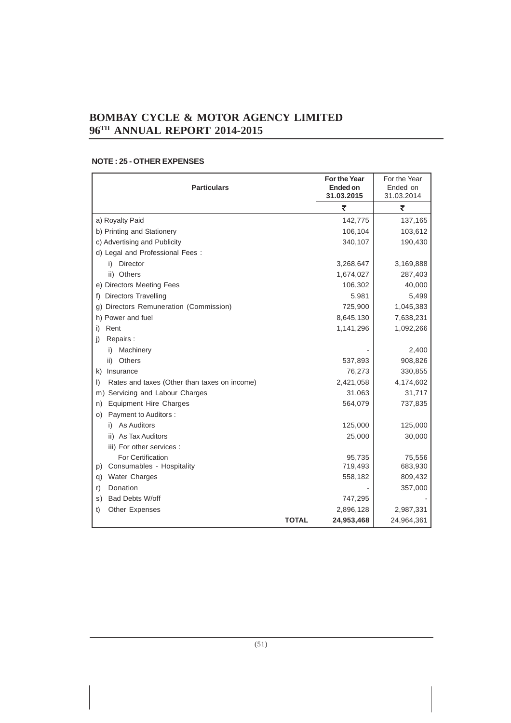| <b>Particulars</b>                                      | <b>For the Year</b><br>Ended on<br>31.03.2015 | For the Year<br>Ended on<br>31.03.2014 |
|---------------------------------------------------------|-----------------------------------------------|----------------------------------------|
|                                                         | ₹                                             | ₹                                      |
| a) Royalty Paid                                         | 142,775                                       | 137,165                                |
| b) Printing and Stationery                              | 106,104                                       | 103,612                                |
| c) Advertising and Publicity                            | 340,107                                       | 190,430                                |
| d) Legal and Professional Fees:                         |                                               |                                        |
| i) Director                                             | 3,268,647                                     | 3,169,888                              |
| ii) Others                                              | 1,674,027                                     | 287,403                                |
| e) Directors Meeting Fees                               | 106,302                                       | 40,000                                 |
| Directors Travelling<br>f)                              | 5,981                                         | 5,499                                  |
| Directors Remuneration (Commission)<br>g)               | 725,900                                       | 1,045,383                              |
| h) Power and fuel                                       | 8,645,130                                     | 7,638,231                              |
| Rent<br>i)                                              | 1,141,296                                     | 1,092,266                              |
| Repairs:<br>j)                                          |                                               |                                        |
| i) Machinery                                            |                                               | 2,400                                  |
| Others<br>ii)                                           | 537,893                                       | 908,826                                |
| Insurance<br>k)                                         | 76,273                                        | 330,855                                |
| Rates and taxes (Other than taxes on income)<br>$\vert$ | 2,421,058                                     | 4,174,602                              |
| Servicing and Labour Charges<br>m)                      | 31,063                                        | 31,717                                 |
| <b>Equipment Hire Charges</b><br>n)                     | 564,079                                       | 737,835                                |
| Payment to Auditors :<br>O)                             |                                               |                                        |
| i) As Auditors                                          | 125,000                                       | 125,000                                |
| ii) As Tax Auditors                                     | 25,000                                        | 30,000                                 |
| iii) For other services :                               |                                               |                                        |
| For Certification                                       | 95,735                                        | 75,556                                 |
| Consumables - Hospitality<br>p)                         | 719,493                                       | 683,930                                |
| <b>Water Charges</b><br>q)                              | 558,182                                       | 809,432                                |
| Donation<br>r)                                          |                                               | 357,000                                |
| Bad Debts W/off<br>s)                                   | 747,295                                       |                                        |
| Other Expenses<br>t)                                    | 2,896,128                                     | 2,987,331                              |
| <b>TOTAL</b>                                            | 24,953,468                                    | 24,964,361                             |

### **NOTE : 25 - OTHER EXPENSES**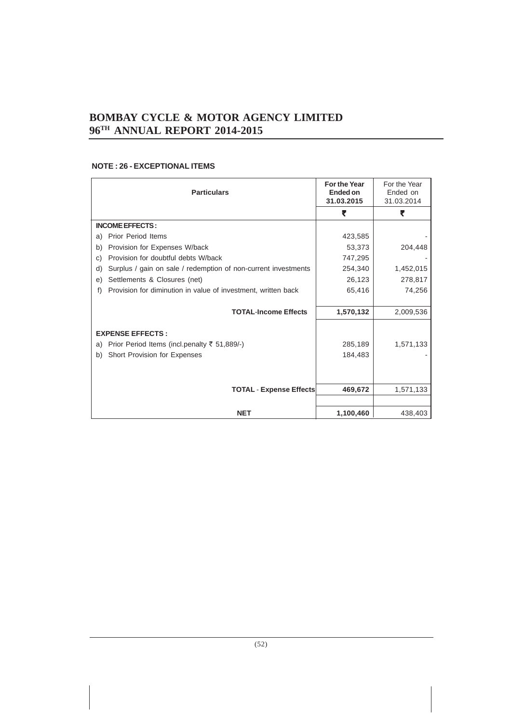### **NOTE : 26 - EXCEPTIONAL ITEMS**

| <b>Particulars</b>                                                   | <b>For the Year</b><br>Ended on<br>31.03.2015 | For the Year<br>Ended on<br>31.03.2014 |
|----------------------------------------------------------------------|-----------------------------------------------|----------------------------------------|
|                                                                      | ₹                                             | ₹                                      |
| <b>INCOME EFFECTS:</b>                                               |                                               |                                        |
| Prior Period Items<br>a)                                             | 423,585                                       |                                        |
| Provision for Expenses W/back<br>b)                                  | 53,373                                        | 204,448                                |
| Provision for doubtful debts W/back<br>C)                            | 747,295                                       |                                        |
| Surplus / gain on sale / redemption of non-current investments<br>d) | 254,340                                       | 1,452,015                              |
| Settlements & Closures (net)<br>e)                                   | 26,123                                        | 278,817                                |
| Provision for diminution in value of investment, written back<br>f)  | 65,416                                        | 74,256                                 |
|                                                                      |                                               |                                        |
| <b>TOTAL-Income Effects</b>                                          | 1,570,132                                     | 2,009,536                              |
| <b>EXPENSE EFFECTS:</b>                                              |                                               |                                        |
| Prior Period Items (incl.penalty ₹ 51,889/-)<br>a)                   | 285,189                                       | 1,571,133                              |
| Short Provision for Expenses<br>b)                                   | 184,483                                       |                                        |
|                                                                      |                                               |                                        |
| <b>TOTAL - Expense Effects</b>                                       | 469,672                                       | 1,571,133                              |
|                                                                      |                                               |                                        |
| <b>NET</b>                                                           | 1,100,460                                     | 438,403                                |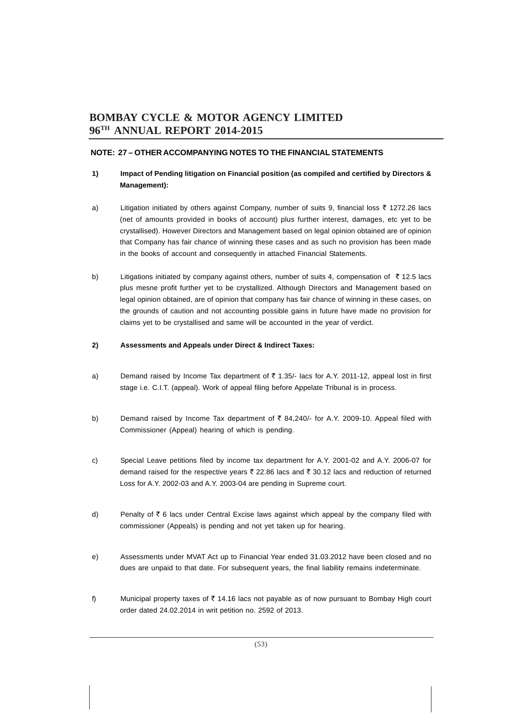### **NOTE: 27 – OTHER ACCOMPANYING NOTES TO THE FINANCIAL STATEMENTS**

### **1) Impact of Pending litigation on Financial position (as compiled and certified by Directors & Management):**

- a) Litigation initiated by others against Company, number of suits 9, financial loss ₹ 1272.26 lacs (net of amounts provided in books of account) plus further interest, damages, etc yet to be crystallised). However Directors and Management based on legal opinion obtained are of opinion that Company has fair chance of winning these cases and as such no provision has been made in the books of account and consequently in attached Financial Statements.
- b) Litigations initiated by company against others, number of suits 4, compensation of  $\bar{\tau}$  12.5 lacs plus mesne profit further yet to be crystallized. Although Directors and Management based on legal opinion obtained, are of opinion that company has fair chance of winning in these cases, on the grounds of caution and not accounting possible gains in future have made no provision for claims yet to be crystallised and same will be accounted in the year of verdict.

### **2) Assessments and Appeals under Direct & Indirect Taxes:**

- a) Demand raised by Income Tax department of  $\bar{\tau}$  1.35/- lacs for A.Y. 2011-12, appeal lost in first stage i.e. C.I.T. (appeal). Work of appeal filing before Appelate Tribunal is in process.
- b) Demand raised by Income Tax department of  $\bar{\tau}$  84,240/- for A.Y. 2009-10. Appeal filed with Commissioner (Appeal) hearing of which is pending.
- c) Special Leave petitions filed by income tax department for A.Y. 2001-02 and A.Y. 2006-07 for demand raised for the respective years  $\bar{\tau}$  22.86 lacs and  $\bar{\tau}$  30.12 lacs and reduction of returned Loss for A.Y. 2002-03 and A.Y. 2003-04 are pending in Supreme court.
- d) Penalty of  $\bar{\tau}$  6 lacs under Central Excise laws against which appeal by the company filed with commissioner (Appeals) is pending and not yet taken up for hearing.
- e) Assessments under MVAT Act up to Financial Year ended 31.03.2012 have been closed and no dues are unpaid to that date. For subsequent years, the final liability remains indeterminate.
- f) Municipal property taxes of  $\bar{\tau}$  14.16 lacs not payable as of now pursuant to Bombay High court order dated 24.02.2014 in writ petition no. 2592 of 2013.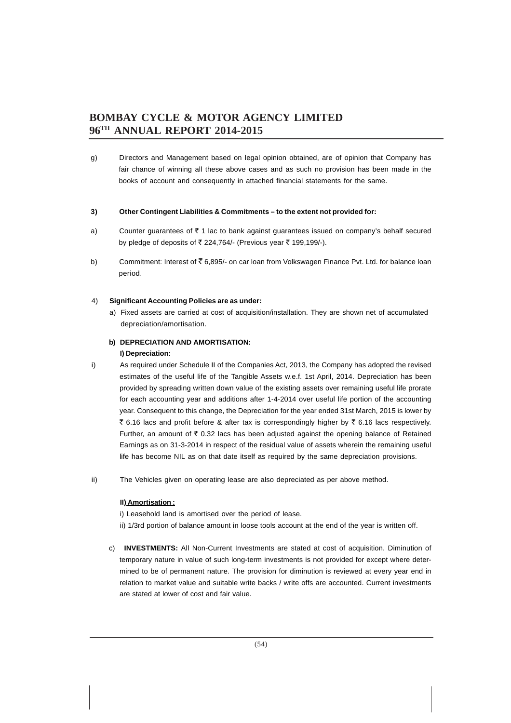g) Directors and Management based on legal opinion obtained, are of opinion that Company has fair chance of winning all these above cases and as such no provision has been made in the books of account and consequently in attached financial statements for the same.

### **3) Other Contingent Liabilities & Commitments – to the extent not provided for:**

- a) Counter guarantees of  $\bar{\tau}$  1 lac to bank against guarantees issued on company's behalf secured by pledge of deposits of  $\overline{\zeta}$  224,764/- (Previous year  $\overline{\zeta}$  199,199/-).
- b) Commitment: Interest of ₹6,895/- on car loan from Volkswagen Finance Pvt. Ltd. for balance loan period.

### 4) **Significant Accounting Policies are as under:**

a) Fixed assets are carried at cost of acquisition/installation. They are shown net of accumulated depreciation/amortisation.

### **b) DEPRECIATION AND AMORTISATION:**

### **I) Depreciation:**

- i) As required under Schedule II of the Companies Act, 2013, the Company has adopted the revised estimates of the useful life of the Tangible Assets w.e.f. 1st April, 2014. Depreciation has been provided by spreading written down value of the existing assets over remaining useful life prorate for each accounting year and additions after 1-4-2014 over useful life portion of the accounting year. Consequent to this change, the Depreciation for the year ended 31st March, 2015 is lower by ₹ 6.16 lacs and profit before & after tax is correspondingly higher by ₹ 6.16 lacs respectively. Further, an amount of  $\bar{\tau}$  0.32 lacs has been adjusted against the opening balance of Retained Earnings as on 31-3-2014 in respect of the residual value of assets wherein the remaining useful life has become NIL as on that date itself as required by the same depreciation provisions.
- ii) The Vehicles given on operating lease are also depreciated as per above method.

### **II) Amortisation :**

i) Leasehold land is amortised over the period of lease.

- ii) 1/3rd portion of balance amount in loose tools account at the end of the year is written off.
- c) **INVESTMENTS:** All Non-Current Investments are stated at cost of acquisition. Diminution of temporary nature in value of such long-term investments is not provided for except where determined to be of permanent nature. The provision for diminution is reviewed at every year end in relation to market value and suitable write backs / write offs are accounted. Current investments are stated at lower of cost and fair value.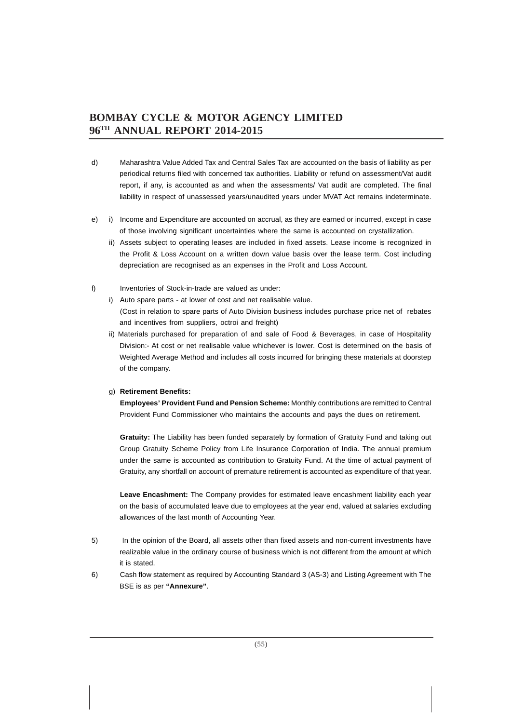- d) Maharashtra Value Added Tax and Central Sales Tax are accounted on the basis of liability as per periodical returns filed with concerned tax authorities. Liability or refund on assessment/Vat audit report, if any, is accounted as and when the assessments/ Vat audit are completed. The final liability in respect of unassessed years/unaudited years under MVAT Act remains indeterminate.
- e) i) Income and Expenditure are accounted on accrual, as they are earned or incurred, except in case of those involving significant uncertainties where the same is accounted on crystallization.
	- ii) Assets subject to operating leases are included in fixed assets. Lease income is recognized in the Profit & Loss Account on a written down value basis over the lease term. Cost including depreciation are recognised as an expenses in the Profit and Loss Account.
- f) Inventories of Stock-in-trade are valued as under:
	- i) Auto spare parts at lower of cost and net realisable value. (Cost in relation to spare parts of Auto Division business includes purchase price net of rebates and incentives from suppliers, octroi and freight)
	- ii) Materials purchased for preparation of and sale of Food & Beverages, in case of Hospitality Division:- At cost or net realisable value whichever is lower. Cost is determined on the basis of Weighted Average Method and includes all costs incurred for bringing these materials at doorstep of the company.

### g) **Retirement Benefits:**

**Employees' Provident Fund and Pension Scheme:** Monthly contributions are remitted to Central Provident Fund Commissioner who maintains the accounts and pays the dues on retirement.

**Gratuity:** The Liability has been funded separately by formation of Gratuity Fund and taking out Group Gratuity Scheme Policy from Life Insurance Corporation of India. The annual premium under the same is accounted as contribution to Gratuity Fund. At the time of actual payment of Gratuity, any shortfall on account of premature retirement is accounted as expenditure of that year.

**Leave Encashment:** The Company provides for estimated leave encashment liability each year on the basis of accumulated leave due to employees at the year end, valued at salaries excluding allowances of the last month of Accounting Year.

- 5) In the opinion of the Board, all assets other than fixed assets and non-current investments have realizable value in the ordinary course of business which is not different from the amount at which it is stated.
- 6) Cash flow statement as required by Accounting Standard 3 (AS-3) and Listing Agreement with The BSE is as per **"Annexure"**.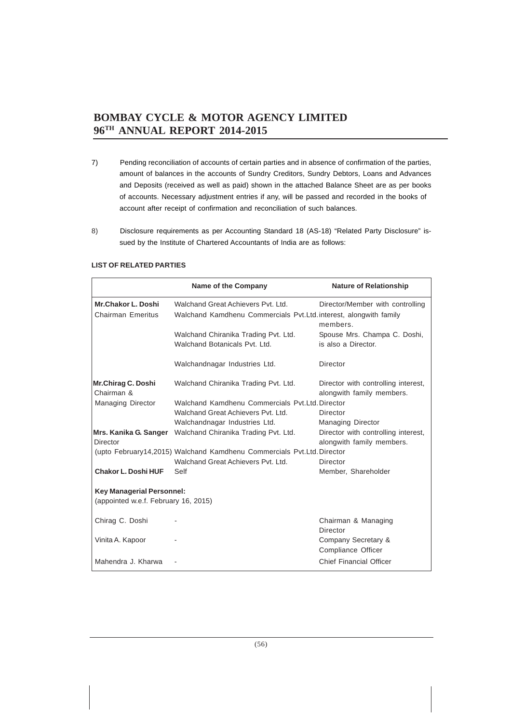- 7) Pending reconciliation of accounts of certain parties and in absence of confirmation of the parties, amount of balances in the accounts of Sundry Creditors, Sundry Debtors, Loans and Advances and Deposits (received as well as paid) shown in the attached Balance Sheet are as per books of accounts. Necessary adjustment entries if any, will be passed and recorded in the books of account after receipt of confirmation and reconciliation of such balances.
- 8) Disclosure requirements as per Accounting Standard 18 (AS-18) "Related Party Disclosure" issued by the Institute of Chartered Accountants of India are as follows:

|                                                                          | <b>Name of the Company</b>                                             | <b>Nature of Relationship</b>                                    |
|--------------------------------------------------------------------------|------------------------------------------------------------------------|------------------------------------------------------------------|
| <b>Mr.Chakor L. Doshi</b>                                                | Walchand Great Achievers Pyt. Ltd.                                     | Director/Member with controlling                                 |
| <b>Chairman Emeritus</b>                                                 | Walchand Kamdhenu Commercials Pvt.Ltd.interest, alongwith family       | members.                                                         |
|                                                                          | Walchand Chiranika Trading Pvt. Ltd.                                   | Spouse Mrs. Champa C. Doshi,                                     |
|                                                                          | Walchand Botanicals Pvt. Ltd.                                          | is also a Director.                                              |
|                                                                          | Walchandnagar Industries Ltd.                                          | Director                                                         |
| Mr.Chirag C. Doshi<br>Chairman &                                         | Walchand Chiranika Trading Pvt. Ltd.                                   | Director with controlling interest,<br>alongwith family members. |
| <b>Managing Director</b>                                                 | Walchand Kamdhenu Commercials Pyt. Ltd. Director                       |                                                                  |
|                                                                          | Walchand Great Achievers Pyt. Ltd.                                     | Director                                                         |
|                                                                          | Walchandnagar Industries Ltd.                                          | <b>Managing Director</b>                                         |
| Mrs. Kanika G. Sanger<br>Director                                        | Walchand Chiranika Trading Pvt. Ltd.                                   | Director with controlling interest,<br>alongwith family members. |
|                                                                          | (upto February14,2015) Walchand Kamdhenu Commercials Pvt.Ltd. Director |                                                                  |
|                                                                          | Walchand Great Achievers Pvt. Ltd.                                     | Director                                                         |
| <b>Chakor L. Doshi HUF</b>                                               | Self                                                                   | Member, Shareholder                                              |
| <b>Key Managerial Personnel:</b><br>(appointed w.e.f. February 16, 2015) |                                                                        |                                                                  |
| Chirag C. Doshi                                                          |                                                                        | Chairman & Managing<br>Director                                  |
| Vinita A. Kapoor                                                         |                                                                        | Company Secretary &<br>Compliance Officer                        |
| Mahendra J. Kharwa                                                       |                                                                        | <b>Chief Financial Officer</b>                                   |

### **LIST OF RELATED PARTIES**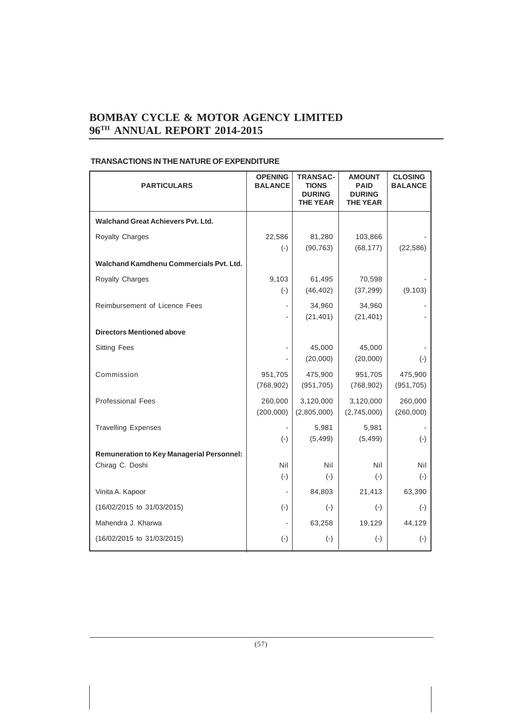| <b>PARTICULARS</b>                               | <b>OPENING</b><br><b>BALANCE</b> | <b>TRANSAC-</b><br><b>TIONS</b><br><b>DURING</b><br><b>THE YEAR</b> | <b>AMOUNT</b><br><b>PAID</b><br><b>DURING</b><br><b>THE YEAR</b> | <b>CLOSING</b><br><b>BALANCE</b> |
|--------------------------------------------------|----------------------------------|---------------------------------------------------------------------|------------------------------------------------------------------|----------------------------------|
| <b>Walchand Great Achievers Pvt. Ltd.</b>        |                                  |                                                                     |                                                                  |                                  |
| <b>Royalty Charges</b>                           | 22,586<br>$(-)$                  | 81,280<br>(90, 763)                                                 | 103,866<br>(68, 177)                                             | (22, 586)                        |
| Walchand Kamdhenu Commercials Pvt. Ltd.          |                                  |                                                                     |                                                                  |                                  |
| Royalty Charges                                  | 9,103<br>$(-)$                   | 61,495<br>(46, 402)                                                 | 70,598<br>(37, 299)                                              | (9, 103)                         |
| Reimbursement of Licence Fees                    |                                  | 34,960<br>(21, 401)                                                 | 34,960<br>(21, 401)                                              |                                  |
| <b>Directors Mentioned above</b>                 |                                  |                                                                     |                                                                  |                                  |
| <b>Sitting Fees</b>                              |                                  | 45,000<br>(20,000)                                                  | 45,000<br>(20,000)                                               | $(-)$                            |
| Commission                                       | 951,705<br>(768, 902)            | 475,900<br>(951, 705)                                               | 951,705<br>(768, 902)                                            | 475,900<br>(951, 705)            |
| <b>Professional Fees</b>                         | 260,000<br>(200,000)             | 3,120,000<br>(2,805,000)                                            | 3,120,000<br>(2,745,000)                                         | 260,000<br>(260,000)             |
| <b>Travelling Expenses</b>                       | $(-)$                            | 5,981<br>(5, 499)                                                   | 5,981<br>(5, 499)                                                | $(\cdot)$                        |
| <b>Remuneration to Key Managerial Personnel:</b> |                                  |                                                                     |                                                                  |                                  |
| Chirag C. Doshi                                  | Nil<br>$(-)$                     | Nil<br>$(-)$                                                        | Nil<br>$(-)$                                                     | Nil<br>$(-)$                     |
| Vinita A. Kapoor                                 |                                  | 84,803                                                              | 21,413                                                           | 63,390                           |
| (16/02/2015 to 31/03/2015)                       | $(-)$                            | $(-)$                                                               | $(-)$                                                            | $(-)$                            |
| Mahendra J. Kharwa                               |                                  | 63,258                                                              | 19,129                                                           | 44,129                           |
| (16/02/2015 to 31/03/2015)                       | $(-)$                            | $(-)$                                                               | $(\cdot)$                                                        | $(\cdot)$                        |

### **TRANSACTIONS IN THE NATURE OF EXPENDITURE**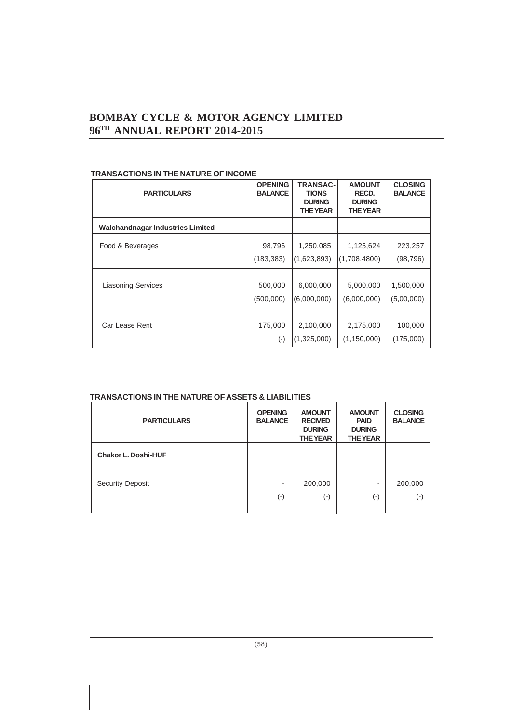| <b>PARTICULARS</b>                      | <b>OPENING</b><br><b>BALANCE</b> | <b>TRANSAC-</b><br><b>TIONS</b><br><b>DURING</b><br><b>THE YEAR</b> | <b>AMOUNT</b><br>RECD.<br><b>DURING</b><br><b>THE YEAR</b> | <b>CLOSING</b><br><b>BALANCE</b> |
|-----------------------------------------|----------------------------------|---------------------------------------------------------------------|------------------------------------------------------------|----------------------------------|
| <b>Walchandnagar Industries Limited</b> |                                  |                                                                     |                                                            |                                  |
| Food & Beverages                        | 98,796                           | 1,250,085                                                           | 1,125,624                                                  | 223,257                          |
|                                         | (183, 383)                       | (1,623,893)                                                         | (1,708,4800)                                               | (98,796)                         |
| <b>Liasoning Services</b>               | 500,000<br>(500,000)             | 6,000,000<br>(6,000,000)                                            | 5,000,000<br>(6,000,000)                                   | 1,500,000<br>(5,00,000)          |
| Car Lease Rent                          | 175,000<br>$(\cdot)$             | 2,100,000<br>(1,325,000)                                            | 2,175,000<br>(1, 150, 000)                                 | 100,000<br>(175,000)             |

### **TRANSACTIONS IN THE NATURE OF INCOME**

### **TRANSACTIONS IN THE NATURE OF ASSETS & LIABILITIES**

| <b>PARTICULARS</b>         | <b>OPENING</b><br><b>BALANCE</b> | <b>AMOUNT</b><br><b>RECIVED</b><br><b>DURING</b><br><b>THE YEAR</b> | <b>AMOUNT</b><br><b>PAID</b><br><b>DURING</b><br><b>THE YEAR</b> | <b>CLOSING</b><br><b>BALANCE</b> |
|----------------------------|----------------------------------|---------------------------------------------------------------------|------------------------------------------------------------------|----------------------------------|
| <b>Chakor L. Doshi-HUF</b> |                                  |                                                                     |                                                                  |                                  |
|                            |                                  |                                                                     |                                                                  |                                  |
| <b>Security Deposit</b>    | ۰                                | 200,000                                                             |                                                                  | 200,000                          |
|                            | $(\textnormal{-})$               | $(\textnormal{-})$                                                  | (-)                                                              | $(\hbox{-})$                     |
|                            |                                  |                                                                     |                                                                  |                                  |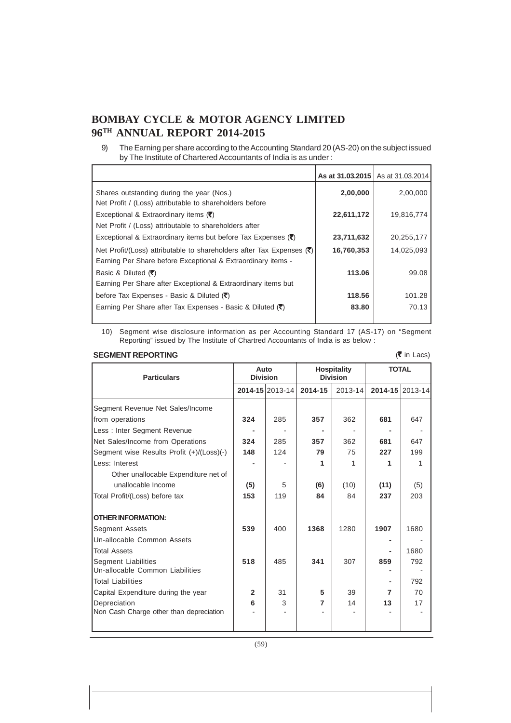|                                                                                                                                                  |            | <b>As at 31.03.2015</b> As at 31.03.2014 |
|--------------------------------------------------------------------------------------------------------------------------------------------------|------------|------------------------------------------|
| Shares outstanding during the year (Nos.)<br>Net Profit / (Loss) attributable to shareholders before                                             | 2,00,000   | 2,00,000                                 |
| Exceptional & Extraordinary items $(\vec{\tau})$<br>Net Profit / (Loss) attributable to shareholders after                                       | 22,611,172 | 19.816.774                               |
| Exceptional & Extraordinary items but before Tax Expenses $(\overline{\bullet})$                                                                 | 23,711,632 | 20,255,177                               |
| Net Profit/(Loss) attributable to shareholders after Tax Expenses $(\vec{\tau})$<br>Earning Per Share before Exceptional & Extraordinary items - | 16,760,353 | 14,025,093                               |
| Basic & Diluted $(\overline{\mathbf{C}})$<br>Earning Per Share after Exceptional & Extraordinary items but                                       | 113.06     | 99.08                                    |
| before Tax Expenses - Basic & Diluted $(\vec{\tau})$                                                                                             | 118.56     | 101.28                                   |
| Earning Per Share after Tax Expenses - Basic & Diluted $(\overline{\mathbf{z}})$                                                                 | 83.80      | 70.13                                    |

9) The Earning per share according to the Accounting Standard 20 (AS-20) on the subject issued by The Institute of Chartered Accountants of India is as under :

10) Segment wise disclosure information as per Accounting Standard 17 (AS-17) on "Segment Reporting" issued by The Institute of Chartred Accountants of India is as below :

### **SEGMENT REPORTING**

| <b>SEGMENT REPORTING</b><br>$(5 \infty)$ in Lacs) |                         |                 |                                       |         |              |                 |
|---------------------------------------------------|-------------------------|-----------------|---------------------------------------|---------|--------------|-----------------|
| <b>Particulars</b>                                | Auto<br><b>Division</b> |                 | <b>Hospitality</b><br><b>Division</b> |         | <b>TOTAL</b> |                 |
|                                                   |                         | 2014-15 2013-14 | 2014-15                               | 2013-14 |              | 2014-15 2013-14 |
| Segment Revenue Net Sales/Income                  |                         |                 |                                       |         |              |                 |
| from operations                                   | 324                     | 285             | 357                                   | 362     | 681          | 647             |
| Less: Inter Segment Revenue                       |                         |                 |                                       |         |              |                 |
| Net Sales/Income from Operations                  | 324                     | 285             | 357                                   | 362     | 681          | 647             |
| Segment wise Results Profit (+)/(Loss)(-)         | 148                     | 124             | 79                                    | 75      | 227          | 199             |
| Less: Interest                                    |                         |                 | 1                                     | 1       | 1            | 1               |
| Other unallocable Expenditure net of              |                         |                 |                                       |         |              |                 |
| unallocable Income                                | (5)                     | 5               | (6)                                   | (10)    | (11)         | (5)             |
| Total Profit/(Loss) before tax                    | 153                     | 119             | 84                                    | 84      | 237          | 203             |
| <b>OTHER INFORMATION:</b>                         |                         |                 |                                       |         |              |                 |
| Segment Assets                                    | 539                     | 400             | 1368                                  | 1280    | 1907         | 1680            |
| Un-allocable Common Assets                        |                         |                 |                                       |         |              |                 |
| <b>Total Assets</b>                               |                         |                 |                                       |         |              | 1680            |
| Segment Liabilities                               | 518                     | 485             | 341                                   | 307     | 859          | 792             |
| Un-allocable Common Liabilities                   |                         |                 |                                       |         |              |                 |
| <b>Total Liabilities</b>                          |                         |                 |                                       |         |              | 792             |
| Capital Expenditure during the year               | $\overline{2}$          | 31              | 5                                     | 39      | 7            | 70              |
| Depreciation                                      | 6                       | 3               | 7                                     | 14      | 13           | 17              |
| Non Cash Charge other than depreciation           |                         |                 |                                       |         |              |                 |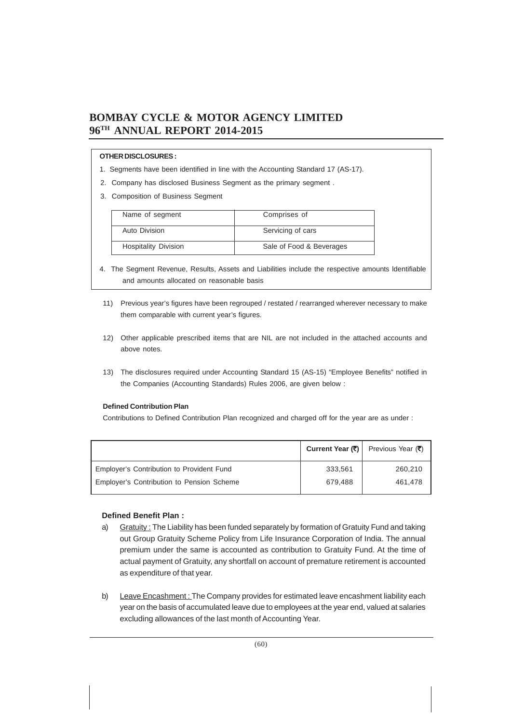### **OTHER DISCLOSURES :**

- 1. Segments have been identified in line with the Accounting Standard 17 (AS-17).
- 2. Company has disclosed Business Segment as the primary segment .
- 3. Composition of Business Segment

| Name of segment             | Comprises of             |
|-----------------------------|--------------------------|
|                             |                          |
| Auto Division               | Servicing of cars        |
|                             |                          |
| <b>Hospitality Division</b> | Sale of Food & Beverages |
|                             |                          |

- 4. The Segment Revenue, Results, Assets and Liabilities include the respective amounts ldentifiable and amounts allocated on reasonable basis
- 11) Previous year's figures have been regrouped / restated / rearranged wherever necessary to make them comparable with current year's figures.
- 12) Other applicable prescribed items that are NIL are not included in the attached accounts and above notes.
- 13) The disclosures required under Accounting Standard 15 (AS-15) "Employee Benefits" notified in the Companies (Accounting Standards) Rules 2006, are given below :

### **Defined Contribution Plan**

Contributions to Defined Contribution Plan recognized and charged off for the year are as under :

|                                           |         | Current Year (₹)   Previous Year (₹) |
|-------------------------------------------|---------|--------------------------------------|
| Employer's Contribution to Provident Fund | 333.561 | 260,210                              |
| Employer's Contribution to Pension Scheme | 679.488 | 461.478                              |

### **Defined Benefit Plan :**

- a) Gratuity: The Liability has been funded separately by formation of Gratuity Fund and taking out Group Gratuity Scheme Policy from Life Insurance Corporation of India. The annual premium under the same is accounted as contribution to Gratuity Fund. At the time of actual payment of Gratuity, any shortfall on account of premature retirement is accounted as expenditure of that year.
- b) Leave Encashment: The Company provides for estimated leave encashment liability each year on the basis of accumulated leave due to employees at the year end, valued at salaries excluding allowances of the last month of Accounting Year.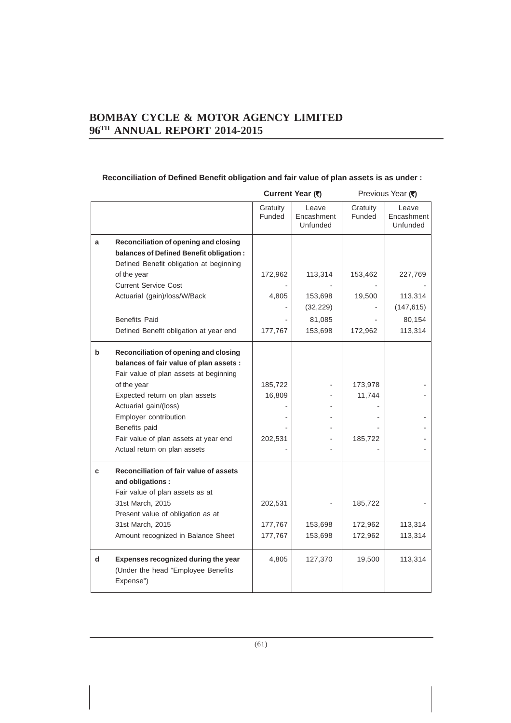### **Reconciliation of Defined Benefit obligation and fair value of plan assets is as under :**

|   |                                                                                                                             | Current Year (₹)   |                                 |                    | Previous Year (₹)               |
|---|-----------------------------------------------------------------------------------------------------------------------------|--------------------|---------------------------------|--------------------|---------------------------------|
|   |                                                                                                                             | Gratuity<br>Funded | Leave<br>Encashment<br>Unfunded | Gratuity<br>Funded | Leave<br>Encashment<br>Unfunded |
| a | Reconciliation of opening and closing<br>balances of Defined Benefit obligation:<br>Defined Benefit obligation at beginning |                    |                                 |                    |                                 |
|   | of the year                                                                                                                 | 172,962            | 113,314                         | 153,462            | 227,769                         |
|   | <b>Current Service Cost</b>                                                                                                 |                    |                                 |                    |                                 |
|   | Actuarial (gain)/loss/W/Back                                                                                                | 4,805              | 153,698<br>(32, 229)            | 19,500             | 113,314<br>(147, 615)           |
|   | <b>Benefits Paid</b>                                                                                                        |                    | 81,085                          |                    | 80,154                          |
|   | Defined Benefit obligation at year end                                                                                      | 177,767            | 153,698                         | 172,962            | 113,314                         |
| b | Reconciliation of opening and closing                                                                                       |                    |                                 |                    |                                 |
|   | balances of fair value of plan assets :                                                                                     |                    |                                 |                    |                                 |
|   | Fair value of plan assets at beginning                                                                                      |                    |                                 |                    |                                 |
|   | of the year                                                                                                                 | 185,722            |                                 | 173,978            |                                 |
|   | Expected return on plan assets                                                                                              | 16,809             |                                 | 11,744             |                                 |
|   | Actuarial gain/(loss)                                                                                                       |                    |                                 |                    |                                 |
|   | Employer contribution                                                                                                       |                    |                                 |                    |                                 |
|   | Benefits paid                                                                                                               |                    |                                 |                    |                                 |
|   | Fair value of plan assets at year end                                                                                       | 202,531            |                                 | 185,722            |                                 |
|   | Actual return on plan assets                                                                                                |                    |                                 |                    |                                 |
| c | Reconciliation of fair value of assets                                                                                      |                    |                                 |                    |                                 |
|   | and obligations:                                                                                                            |                    |                                 |                    |                                 |
|   | Fair value of plan assets as at                                                                                             |                    |                                 |                    |                                 |
|   | 31st March, 2015                                                                                                            | 202,531            |                                 | 185,722            |                                 |
|   | Present value of obligation as at                                                                                           |                    |                                 |                    |                                 |
|   | 31st March, 2015                                                                                                            | 177,767            | 153,698                         | 172,962            | 113,314                         |
|   | Amount recognized in Balance Sheet                                                                                          | 177,767            | 153,698                         | 172,962            | 113,314                         |
| d | Expenses recognized during the year<br>(Under the head "Employee Benefits<br>Expense")                                      | 4,805              | 127,370                         | 19,500             | 113,314                         |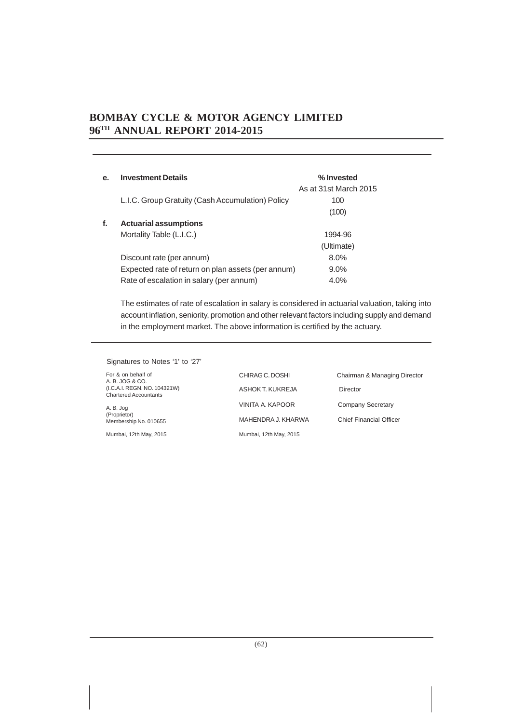| e. | <b>Investment Details</b>                          | % Invested            |
|----|----------------------------------------------------|-----------------------|
|    |                                                    | As at 31st March 2015 |
|    | L.I.C. Group Gratuity (Cash Accumulation) Policy   | 100                   |
|    |                                                    | (100)                 |
| f. | <b>Actuarial assumptions</b>                       |                       |
|    | Mortality Table (L.I.C.)                           | 1994-96               |
|    |                                                    | (Ultimate)            |
|    | Discount rate (per annum)                          | 8.0%                  |
|    | Expected rate of return on plan assets (per annum) | $9.0\%$               |
|    | Rate of escalation in salary (per annum)           | 4.0%                  |
|    |                                                    |                       |

The estimates of rate of escalation in salary is considered in actuarial valuation, taking into account inflation, seniority, promotion and other relevant factors including supply and demand in the employment market. The above information is certified by the actuary.

Signatures to Notes '1' to '27'

For & on behalf of A. B. JOG & CO. (I.C.A.I. REGN. NO. 104321W) Chartered Accountants

A. B. Jog (Proprietor) Membership No. 010655

Mumbai, 12th May, 2015

ASHOK T. KUKREJA Director VINITA A. KAPOOR Company Secretary MAHENDRA J. KHARWA Chief Financial Officer Mumbai, 12th May, 2015

CHIRAG C. DOSHI Chairman & Managing Director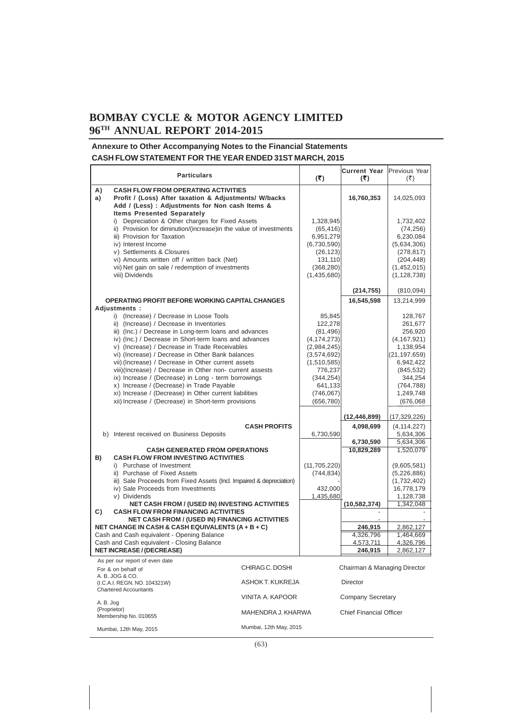### **Annexure to Other Accompanying Notes to the Financial Statements CASH FLOW STATEMENT FOR THE YEAR ENDED 31ST MARCH, 2015**

|           | <b>Particulars</b>                                                                                |                        | (5)                        | Current Year Previous Year<br>(5) | (₹)                         |
|-----------|---------------------------------------------------------------------------------------------------|------------------------|----------------------------|-----------------------------------|-----------------------------|
| A)        | <b>CASH FLOW FROM OPERATING ACTIVITIES</b>                                                        |                        |                            |                                   |                             |
| a)        | Profit / (Loss) After taxation & Adjustments/ W/backs                                             |                        |                            | 16,760,353                        | 14,025,093                  |
|           | Add / (Less) : Adjustments for Non cash Items &                                                   |                        |                            |                                   |                             |
|           | <b>Items Presented Separately</b>                                                                 |                        |                            |                                   |                             |
|           | i) Depreciation & Other charges for Fixed Assets                                                  |                        | 1,328,945                  |                                   | 1,732,402                   |
|           | ii) Provision for diminution/(increase) in the value of investments                               |                        | (65, 416)                  |                                   | (74, 256)                   |
|           | iii) Provision for Taxation<br>iv) Interest Income                                                |                        | 6,951,279<br>(6,730,590)   |                                   | 6,230,084<br>(5,634,306)    |
|           | v) Settlements & Closures                                                                         |                        | (26, 123)                  |                                   | (278, 817)                  |
|           | vi) Amounts written off / written back (Net)                                                      |                        | 131,110                    |                                   | (204, 448)                  |
|           | vii) Net gain on sale / redemption of investments                                                 |                        | (368, 280)                 |                                   | (1,452,015)                 |
|           | viii) Dividends                                                                                   |                        | (1,435,680)                |                                   | (1, 128, 738)               |
|           |                                                                                                   |                        |                            | (214, 755)                        |                             |
|           | OPERATING PROFIT BEFORE WORKING CAPITAL CHANGES                                                   |                        |                            | 16,545,598                        | (810,094)<br>13,214,999     |
|           | Adjustments:                                                                                      |                        |                            |                                   |                             |
|           | i) (Increase) / Decrease in Loose Tools                                                           |                        | 85,845                     |                                   | 128,767                     |
|           | ii) (Increase) / Decrease in Inventories                                                          |                        | 122,278                    |                                   | 261,677                     |
|           | iii) (Inc.) / Decrease in Long-term loans and advances                                            |                        | (81, 496)                  |                                   | 256,920                     |
|           | iv) (Inc.) / Decrease in Short-term loans and advances                                            |                        | (4, 174, 273)              |                                   | (4, 167, 921)               |
|           | v) (Increase) / Decrease in Trade Receivables<br>vi) (Increase) / Decrease in Other Bank balances |                        | (2,984,245)<br>(3,574,692) |                                   | 1,138,954<br>(21, 197, 659) |
|           | vii) (Increase) / Decrease in Other current assets                                                |                        | (1,510,585)                |                                   | 6,942,422                   |
|           | viii)(Increase) / Decrease in Other non- current assests                                          |                        | 776,237                    |                                   | (845, 532)                  |
|           | ix) Increase / (Decrease) in Long - term borrowings                                               |                        | (344, 254)                 |                                   | 344,254                     |
|           | x) Increase / (Decrease) in Trade Payable                                                         |                        | 641,133                    |                                   | (764, 788)                  |
|           | xi) Increase / (Decrease) in Other current liabilities                                            |                        | (746, 067)                 |                                   | 1,249,748                   |
|           | xii) Increase / (Decrease) in Short-term provisions                                               |                        | (656, 780)                 |                                   | (676,068)                   |
|           |                                                                                                   |                        |                            | (12, 446, 899)                    | (17, 329, 226)              |
|           |                                                                                                   | <b>CASH PROFITS</b>    |                            | 4,098,699                         | (4, 114, 227)               |
|           | b) Interest received on Business Deposits                                                         |                        | 6,730,590                  |                                   | 5,634,306<br>5,634,306      |
|           | <b>CASH GENERATED FROM OPERATIONS</b>                                                             |                        |                            | 6,730,590<br>10,829,289           | 1,520,079                   |
| B)        | <b>CASH FLOW FROM INVESTING ACTIVITIES</b>                                                        |                        |                            |                                   |                             |
|           | i) Purchase of Investment                                                                         |                        | (11, 705, 220)             |                                   | (9,605,581)                 |
|           | ii) Purchase of Fixed Assets                                                                      |                        | (744, 834)                 |                                   | (5,226,886)                 |
|           | iii) Sale Proceeds from Fixed Assets (Incl. Impaired & depreciation)                              |                        |                            |                                   | (1,732,402)                 |
|           | iv) Sale Proceeds from Investments                                                                |                        | 432,000                    |                                   | 16,778,179                  |
|           | v) Dividends<br><b>NET CASH FROM / (USED IN) INVESTING ACTIVITIES</b>                             |                        | 1,435,680                  | (10, 582, 374)                    | 1,128,738<br>1,342,048      |
| C)        | <b>CASH FLOW FROM FINANCING ACTIVITIES</b>                                                        |                        |                            |                                   |                             |
|           | <b>NET CASH FROM / (USED IN) FINANCING ACTIVITIES</b>                                             |                        |                            |                                   |                             |
|           | NET CHANGE IN CASH & CASH EQUIVALENTS (A + B + C)                                                 |                        |                            | 246,915                           | 2,862,127                   |
|           | Cash and Cash equivalent - Opening Balance<br>Cash and Cash equivalent - Closing Balance          |                        |                            | 4,326,796<br>4,573,711            | 1,464,669<br>4,326,796      |
|           | <b>NET INCREASE / (DECREASE)</b>                                                                  |                        |                            | 246,915                           | 2,862,127                   |
|           | As per our report of even date                                                                    |                        |                            |                                   |                             |
|           | For & on behalf of                                                                                | CHIRAG C. DOSHI        |                            | Chairman & Managing Director      |                             |
|           | A. B. JOG & CO.<br>(I.C.A.I. REGN. NO. 104321W)                                                   | ASHOK T. KUKREJA       |                            | <b>Director</b>                   |                             |
|           | <b>Chartered Accountants</b>                                                                      |                        |                            |                                   |                             |
| A. B. Jog |                                                                                                   | VINITA A. KAPOOR       |                            | Company Secretary                 |                             |
|           | (Proprietor)<br>Membership No. 010655                                                             | MAHENDRA J. KHARWA     |                            | <b>Chief Financial Officer</b>    |                             |
|           |                                                                                                   | Mumbai, 12th May, 2015 |                            |                                   |                             |
|           | Mumbai, 12th May, 2015                                                                            |                        |                            |                                   |                             |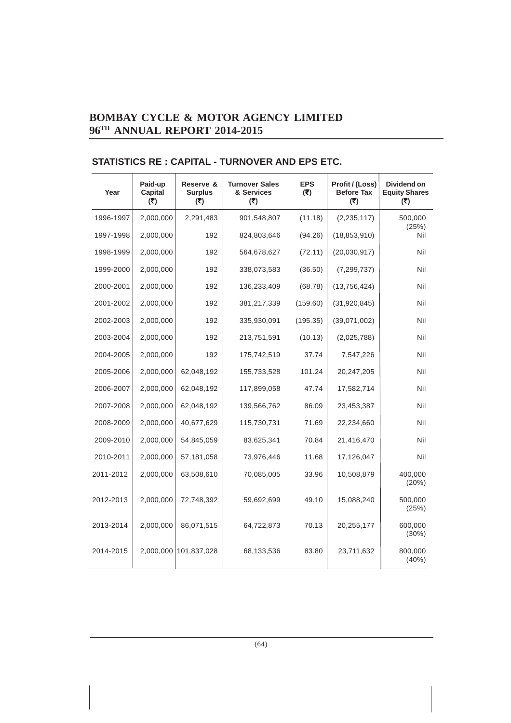| Year      | Paid-up<br>Capital<br>(5) | Reserve &<br><b>Surplus</b><br>(5) | <b>Turnover Sales</b><br>& Services<br>(5) | <b>EPS</b><br>(₹) | Profit / (Loss)<br><b>Before Tax</b><br>(5) | Dividend on<br><b>Equity Shares</b><br>(5) |
|-----------|---------------------------|------------------------------------|--------------------------------------------|-------------------|---------------------------------------------|--------------------------------------------|
| 1996-1997 | 2,000,000                 | 2,291,483                          | 901,548,807                                | (11.18)           | (2, 235, 117)                               | 500,000                                    |
| 1997-1998 | 2,000,000                 | 192                                | 824,803,646                                | (94.26)           | (18, 853, 910)                              | (25%)<br>Nil                               |
| 1998-1999 | 2,000,000                 | 192                                | 564,678,627                                | (72.11)           | (20,030,917)                                | Nil                                        |
| 1999-2000 | 2,000,000                 | 192                                | 338,073,583                                | (36.50)           | (7, 299, 737)                               | Nil                                        |
| 2000-2001 | 2,000,000                 | 192                                | 136,233,409                                | (68.78)           | (13,756,424)                                | Nil                                        |
| 2001-2002 | 2,000,000                 | 192                                | 381,217,339                                | (159.60)          | (31,920,845)                                | Nil                                        |
| 2002-2003 | 2,000,000                 | 192                                | 335,930,091                                | (195.35)          | (39,071,002)                                | Nil                                        |
| 2003-2004 | 2,000,000                 | 192                                | 213,751,591                                | (10.13)           | (2,025,788)                                 | Nil                                        |
| 2004-2005 | 2,000,000                 | 192                                | 175,742,519                                | 37.74             | 7,547,226                                   | Nil                                        |
| 2005-2006 | 2,000,000                 | 62,048,192                         | 155,733,528                                | 101.24            | 20,247,205                                  | Nil                                        |
| 2006-2007 | 2,000,000                 | 62,048,192                         | 117,899,058                                | 47.74             | 17,582,714                                  | Nil                                        |
| 2007-2008 | 2,000,000                 | 62,048,192                         | 139,566,762                                | 86.09             | 23,453,387                                  | Nil                                        |
| 2008-2009 | 2,000,000                 | 40,677,629                         | 115,730,731                                | 71.69             | 22,234,660                                  | Nil                                        |
| 2009-2010 | 2,000,000                 | 54,845,059                         | 83,625,341                                 | 70.84             | 21,416,470                                  | Nil                                        |
| 2010-2011 | 2,000,000                 | 57,181,058                         | 73,976,446                                 | 11.68             | 17,126,047                                  | Nil                                        |
| 2011-2012 | 2,000,000                 | 63,508,610                         | 70,085,005                                 | 33.96             | 10,508,879                                  | 400,000<br>(20%)                           |
| 2012-2013 | 2,000,000                 | 72,748,392                         | 59,692,699                                 | 49.10             | 15,088,240                                  | 500,000<br>(25%)                           |
| 2013-2014 | 2,000,000                 | 86,071,515                         | 64,722,873                                 | 70.13             | 20,255,177                                  | 600,000<br>(30%)                           |
| 2014-2015 | 2,000,000                 | 101,837,028                        | 68,133,536                                 | 83.80             | 23,711,632                                  | 800,000<br>(40%)                           |

### **STATISTICS RE : CAPITAL - TURNOVER AND EPS ETC.**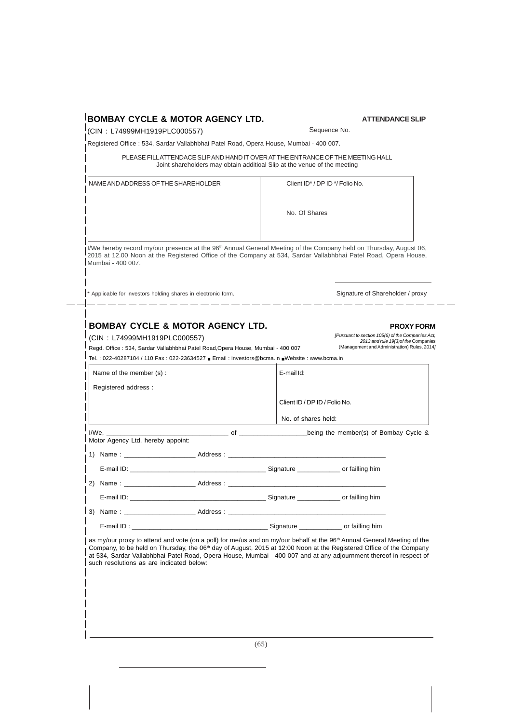### **BOMBAY CYCLE & MOTOR AGENCY LTD.**

(CIN : L74999MH1919PLC000557)

Sequence No.

**ATTENDANCE SLIP**

Registered Office : 534, Sardar Vallabhbhai Patel Road, Opera House, Mumbai - 400 007.

PLEASE FILL ATTENDACE SLIP AND HAND IT OVER AT THE ENTRANCE OF THE MEETING HALL Joint shareholders may obtain additioal Slip at the venue of the meeting

| NAME AND ADDRESS OF THE SHAREHOLDER | Client ID <sup>*</sup> / DP ID <sup>*</sup> / Folio No. |  |
|-------------------------------------|---------------------------------------------------------|--|
|                                     | No. Of Shares                                           |  |
|                                     |                                                         |  |

I/We hereby record my/our presence at the 96<sup>th</sup> Annual General Meeting of the Company held on Thursday, August 06, 2015 at 12.00 Noon at the Registered Office of the Company at 534, Sardar Vallabhbhai Patel Road, Opera House, Mumbai - 400 007.

\* Applicable for investors holding shares in electronic form. Signature of Shareholder / proxy  $-$ 

### **BOMBAY CYCLE & MOTOR AGENCY LTD.**

(CIN : L74999MH1919PLC000557) Regd. Office : 534, Sardar Vallabhbhai Patel Road,Opera House, Mumbai - 400 007 Tel. : 022-40287104 / 110 Fax : 022-23634527 ■ Email : investors@bcma.in ■Website : www.bcma.in

*[Pursuant to section 105(6) of the Companies Act, 2013 and rule 19(3)of the* Companies (Management and Administration) Rules, 2014*]*

**PROXY FORM**

| Name of the member (s):           |  | E-mail Id: |                               |  |  |
|-----------------------------------|--|------------|-------------------------------|--|--|
| Registered address:               |  |            |                               |  |  |
|                                   |  |            | Client ID / DP ID / Folio No. |  |  |
|                                   |  |            | No. of shares held:           |  |  |
| Motor Agency Ltd. hereby appoint: |  |            |                               |  |  |
|                                   |  |            |                               |  |  |
|                                   |  |            |                               |  |  |
|                                   |  |            |                               |  |  |
|                                   |  |            |                               |  |  |
|                                   |  |            |                               |  |  |
|                                   |  |            |                               |  |  |

as my/our proxy to attend and vote (on a poll) for me/us and on my/our behalf at the 96<sup>th</sup> Annual General Meeting of the Company, to be held on Thursday, the 06<sup>th</sup> day of August, 2015 at 12:00 Noon at the Registered Office of the Company at 534, Sardar Vallabhbhai Patel Road, Opera House, Mumbai - 400 007 and at any adjournment thereof in respect of such resolutions as are indicated below: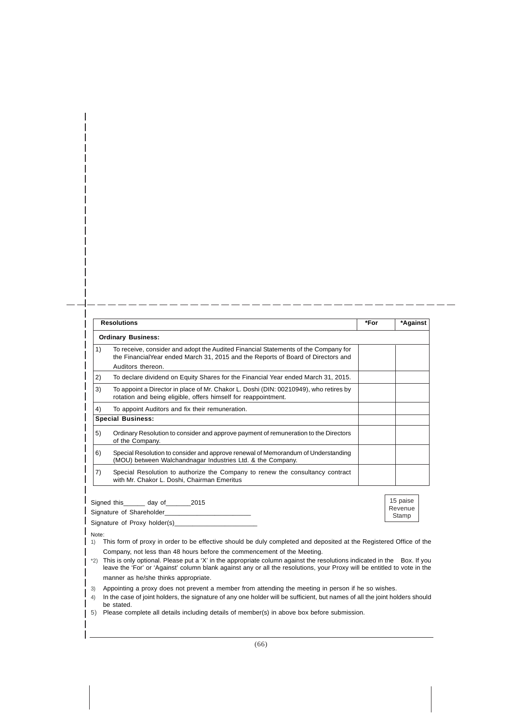|    | <b>Resolutions</b>                                                                                                                                                                           | *For | *Against                     |
|----|----------------------------------------------------------------------------------------------------------------------------------------------------------------------------------------------|------|------------------------------|
|    | <b>Ordinary Business:</b>                                                                                                                                                                    |      |                              |
| 1) | To receive, consider and adopt the Audited Financial Statements of the Company for<br>the Financial Year ended March 31, 2015 and the Reports of Board of Directors and<br>Auditors thereon. |      |                              |
| 2) | To declare dividend on Equity Shares for the Financial Year ended March 31, 2015.                                                                                                            |      |                              |
| 3) | To appoint a Director in place of Mr. Chakor L. Doshi (DIN: 00210949), who retires by<br>rotation and being eligible, offers himself for reappointment.                                      |      |                              |
| 4) | To appoint Auditors and fix their remuneration.                                                                                                                                              |      |                              |
|    | <b>Special Business:</b>                                                                                                                                                                     |      |                              |
| 5) | Ordinary Resolution to consider and approve payment of remuneration to the Directors<br>of the Company.                                                                                      |      |                              |
| 6) | Special Resolution to consider and approve renewal of Memorandum of Understanding<br>(MOU) between Walchandnagar Industries Ltd. & the Company.                                              |      |                              |
| 7) | Special Resolution to authorize the Company to renew the consultancy contract<br>with Mr. Chakor L. Doshi, Chairman Emeritus                                                                 |      |                              |
|    | Signed this _______ day of _______ 2015                                                                                                                                                      |      | 15 paise<br>Revenue<br>Stamp |

- Note: 1) This form of proxy in order to be effective should be duly completed and deposited at the Registered Office of the Company, not less than 48 hours before the commencement of the Meeting.
- \*2) This is only optional. Please put a 'X' in the appropriate column against the resolutions indicated in the Box. If you leave the 'For' or 'Against' column blank against any or all the resolutions, your Proxy will be entitled to vote in the manner as he/she thinks appropriate.
- 3) Appointing a proxy does not prevent a member from attending the meeting in person if he so wishes.
- 4) In the case of joint holders, the signature of any one holder will be sufficient, but names of all the joint holders should be stated.
- 5) Please complete all details including details of member(s) in above box before submission.